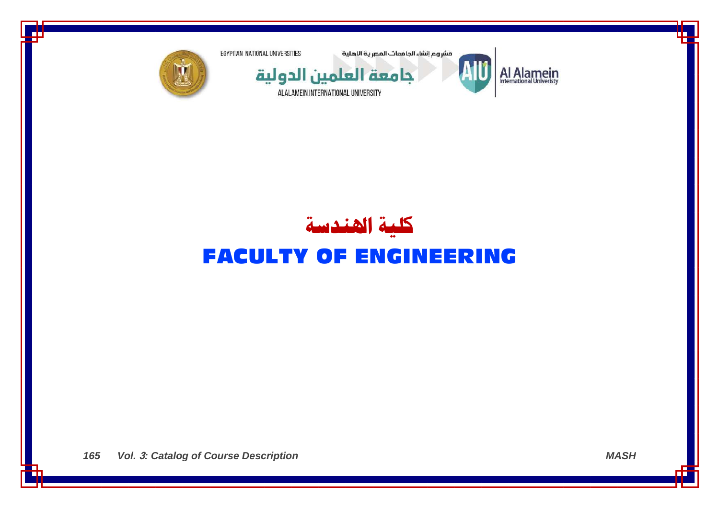

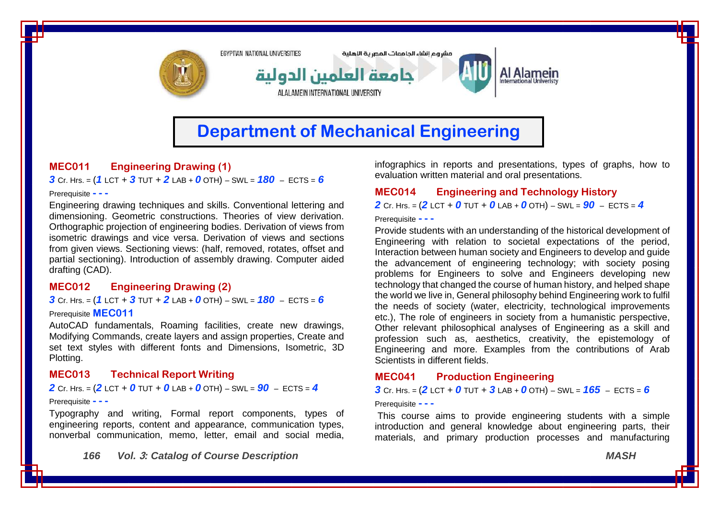

# **Department of Mechanical Engineering**

# **MEC011 Engineering Drawing (1)**

*3* Cr. Hrs. = (*1* LCT + *3* TUT + *2* LAB + *0* OTH) – SWL = *180* – ECTS = *6*

#### Prerequisite **- - -**

Engineering drawing techniques and skills. Conventional lettering and dimensioning. Geometric constructions. Theories of view derivation. Orthographic projection of engineering bodies. Derivation of views from isometric drawings and vice versa. Derivation of views and sections from given views. Sectioning views: (half, removed, rotates, offset and partial sectioning). Introduction of assembly drawing. Computer aided drafting (CAD).

# **MEC012 Engineering Drawing (2)**

*3* Cr. Hrs. = (*1* LCT + *3* TUT + *2* LAB + *0* OTH) – SWL = *180* – ECTS = *6*

#### Prerequisite **MEC011**

AutoCAD fundamentals, Roaming facilities, create new drawings, Modifying Commands, create layers and assign properties, Create and set text styles with different fonts and Dimensions, Isometric, 3D Plotting.

# **MEC013 Technical Report Writing**

**2** Cr. Hrs. =  $(2$  LCT + 0 TUT + 0 LAB + 0 OTH) – SWL =  $90 -$  ECTS = 4

#### Prerequisite **- - -**

Typography and writing, Formal report components, types of engineering reports, content and appearance, communication types, nonverbal communication, memo, letter, email and social media,

*166 Vol.* **3***: Catalog of Course Description MASH*

infographics in reports and presentations, types of graphs, how to evaluation written material and oral presentations.

### **MEC014 Engineering and Technology History**

*2* Cr. Hrs. = (*2* LCT + *0* TUT + *0* LAB + *0* OTH) – SWL = *90* – ECTS = *4*

Prerequisite **- - -**

Provide students with an understanding of the historical development of Engineering with relation to societal expectations of the period, Interaction between human society and Engineers to develop and guide the advancement of engineering technology; with society posing problems for Engineers to solve and Engineers developing new technology that changed the course of human history, and helped shape the world we live in, General philosophy behind Engineering work to fulfil the needs of society (water, electricity, technological improvements etc.), The role of engineers in society from a humanistic perspective, Other relevant philosophical analyses of Engineering as a skill and profession such as, aesthetics, creativity, the epistemology of Engineering and more. Examples from the contributions of Arab Scientists in different fields.

### **MEC041 Production Engineering**

**3** Cr. Hrs. =  $(2$  LCT + 0 TUT + 3 LAB + 0 OTH) – SWL =  $165 -$  ECTS = 6

#### Prerequisite **- - -**

This course aims to provide engineering students with a simple introduction and general knowledge about engineering parts, their materials, and primary production processes and manufacturing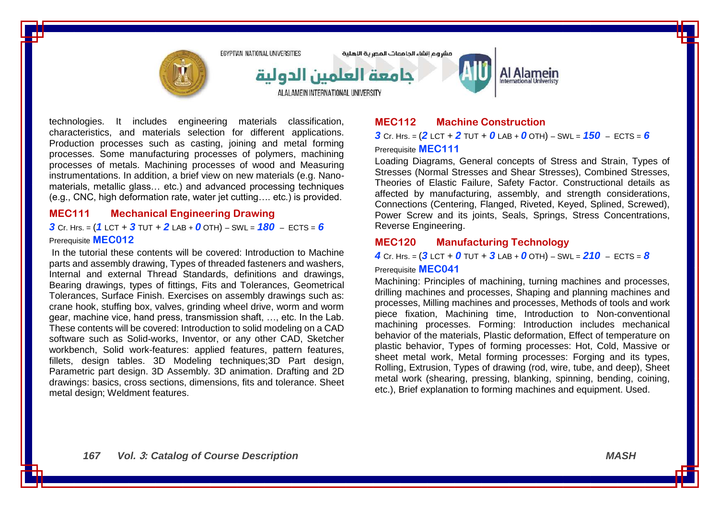

technologies. It includes engineering materials classification, characteristics, and materials selection for different applications. Production processes such as casting, joining and metal forming processes. Some manufacturing processes of polymers, machining processes of metals. Machining processes of wood and Measuring instrumentations. In addition, a brief view on new materials (e.g. Nanomaterials, metallic glass… etc.) and advanced processing techniques (e.g., CNC, high deformation rate, water jet cutting…. etc.) is provided.

### **MEC111 Mechanical Engineering Drawing**

### *3* Cr. Hrs. = (*1* LCT + *3* TUT + *2* LAB + *0* OTH) – SWL = *180* – ECTS = *6* Prerequisite **MEC012**

In the tutorial these contents will be covered: Introduction to Machine parts and assembly drawing, Types of threaded fasteners and washers, Internal and external Thread Standards, definitions and drawings, Bearing drawings, types of fittings, Fits and Tolerances, Geometrical Tolerances, Surface Finish. Exercises on assembly drawings such as: crane hook, stuffing box, valves, grinding wheel drive, worm and worm gear, machine vice, hand press, transmission shaft, …, etc. In the Lab. These contents will be covered: Introduction to solid modeling on a CAD software such as Solid-works, Inventor, or any other CAD, Sketcher workbench, Solid work-features: applied features, pattern features, fillets, design tables. 3D Modeling techniques;3D Part design, Parametric part design. 3D Assembly. 3D animation. Drafting and 2D drawings: basics, cross sections, dimensions, fits and tolerance. Sheet metal design; Weldment features.

# **MEC112 Machine Construction**

*3* Cr. Hrs. = (*2* LCT + *2* TUT + *0* LAB + *0* OTH) – SWL = *150* – ECTS = *6* Prerequisite **MEC111**

Loading Diagrams, General concepts of Stress and Strain, Types of Stresses (Normal Stresses and Shear Stresses), Combined Stresses, Theories of Elastic Failure, Safety Factor. Constructional details as affected by manufacturing, assembly, and strength considerations, Connections (Centering, Flanged, Riveted, Keyed, Splined, Screwed), Power Screw and its joints, Seals, Springs, Stress Concentrations, Reverse Engineering.

## **MEC120 Manufacturing Technology**

 $4$  Cr. Hrs. =  $(3$  LCT +  $0$  TUT +  $3$  LAB +  $0$  OTH) – SWL =  $210$  – ECTS =  $8$ 

Prerequisite **MEC041**

Machining: Principles of machining, turning machines and processes, drilling machines and processes, Shaping and planning machines and processes, Milling machines and processes, Methods of tools and work piece fixation, Machining time, Introduction to Non-conventional machining processes. Forming: Introduction includes mechanical behavior of the materials, Plastic deformation, Effect of temperature on plastic behavior, Types of forming processes: Hot, Cold, Massive or sheet metal work, Metal forming processes: Forging and its types, Rolling, Extrusion, Types of drawing (rod, wire, tube, and deep), Sheet metal work (shearing, pressing, blanking, spinning, bending, coining, etc.), Brief explanation to forming machines and equipment. Used.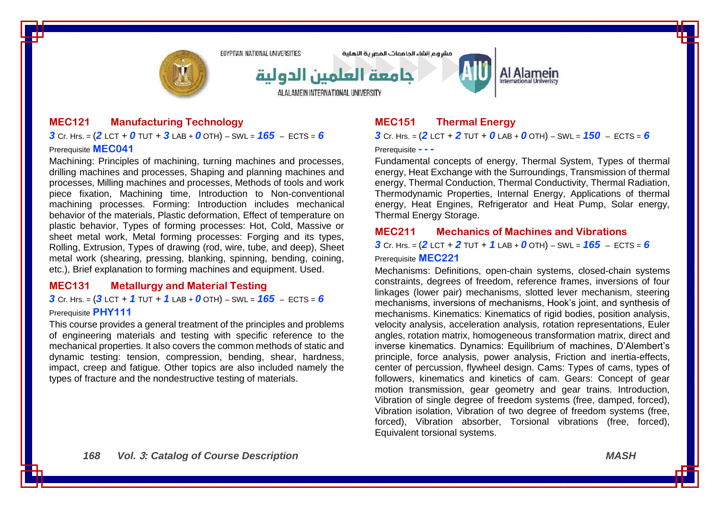

مشروع انشاء الحامعات المصرية الاهلية



Al Alamein

### **MEC121 Manufacturing Technology**

**3** Cr. Hrs. =  $(2$  LCT + 0 TUT + 3 LAB + 0 OTH) – SWL =  $165$  – ECTS = 6 Prerequisite **MEC041**

Machining: Principles of machining, turning machines and processes, drilling machines and processes, Shaping and planning machines and processes, Milling machines and processes, Methods of tools and work piece fixation, Machining time, Introduction to Non-conventional machining processes. Forming: Introduction includes mechanical behavior of the materials, Plastic deformation, Effect of temperature on plastic behavior, Types of forming processes: Hot, Cold, Massive or sheet metal work, Metal forming processes: Forging and its types, Rolling, Extrusion, Types of drawing (rod, wire, tube, and deep), Sheet metal work (shearing, pressing, blanking, spinning, bending, coining, etc.), Brief explanation to forming machines and equipment. Used.

#### **MEC131 Metallurgy and Material Testing**

*3* Cr. Hrs. = (*3* LCT + *1* TUT + *1* LAB + *0* OTH) – SWL = *165* – ECTS = *6* Prerequisite **PHY111**

This course provides a general treatment of the principles and problems of engineering materials and testing with specific reference to the mechanical properties. It also covers the common methods of static and dynamic testing: tension, compression, bending, shear, hardness, impact, creep and fatigue. Other topics are also included namely the types of fracture and the nondestructive testing of materials.

# **MEC151 Thermal Energy**

*3* Cr. Hrs. = (*2* LCT + *2* TUT + *0* LAB + *0* OTH) – SWL = *150* – ECTS = *6*

#### Prerequisite **- - -**

Fundamental concepts of energy, Thermal System, Types of thermal energy, Heat Exchange with the Surroundings, Transmission of thermal energy, Thermal Conduction, Thermal Conductivity, Thermal Radiation, Thermodynamic Properties, Internal Energy, Applications of thermal energy, Heat Engines, Refrigerator and Heat Pump, Solar energy, Thermal Energy Storage.

#### **MEC211 Mechanics of Machines and Vibrations**

*3* Cr. Hrs. = (*2* LCT + *2* TUT + *1* LAB + *0* OTH) – SWL = *165* – ECTS = *6* Prerequisite **MEC221**

Mechanisms: Definitions, open-chain systems, closed-chain systems constraints, degrees of freedom, reference frames, inversions of four linkages (lower pair) mechanisms, slotted lever mechanism, steering mechanisms, inversions of mechanisms, Hook's joint, and synthesis of mechanisms. Kinematics: Kinematics of rigid bodies, position analysis, velocity analysis, acceleration analysis, rotation representations, Euler angles, rotation matrix, homogeneous transformation matrix, direct and inverse kinematics. Dynamics: Equilibrium of machines, D'Alembert's principle, force analysis, power analysis, Friction and inertia-effects, center of percussion, flywheel design. Cams: Types of cams, types of followers, kinematics and kinetics of cam. Gears: Concept of gear motion transmission, gear geometry and gear trains. Introduction, Vibration of single degree of freedom systems (free, damped, forced), Vibration isolation, Vibration of two degree of freedom systems (free, forced), Vibration absorber, Torsional vibrations (free, forced), Equivalent torsional systems.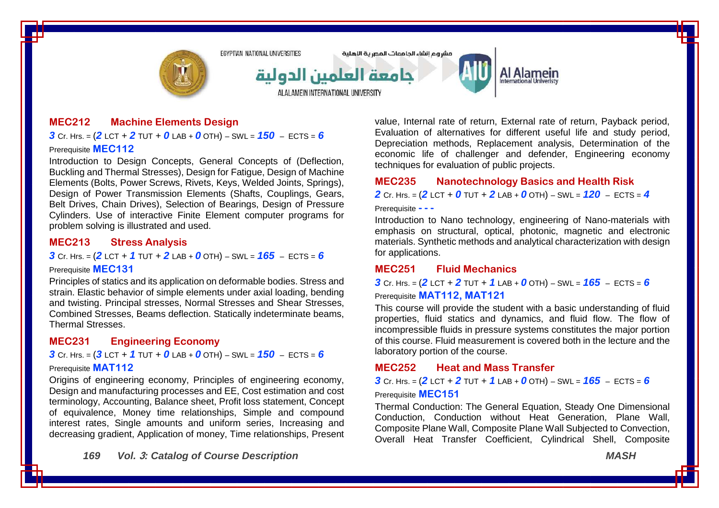

#### **MEC212 Machine Elements Design**

*3* Cr. Hrs. = (*2* LCT + *2* TUT + *0* LAB + *0* OTH) – SWL = *150* – ECTS = *6* Prerequisite **MEC112**

Introduction to Design Concepts, General Concepts of (Deflection, Buckling and Thermal Stresses), Design for Fatigue, Design of Machine Elements (Bolts, Power Screws, Rivets, Keys, Welded Joints, Springs), Design of Power Transmission Elements (Shafts, Couplings, Gears, Belt Drives, Chain Drives), Selection of Bearings, Design of Pressure Cylinders. Use of interactive Finite Element computer programs for problem solving is illustrated and used.

### **MEC213 Stress Analysis**

*3* Cr. Hrs. = (*2* LCT + *1* TUT + *2* LAB + *0* OTH) – SWL = *165* – ECTS = *6*

### Prerequisite **MEC131**

Principles of statics and its application on deformable bodies. Stress and strain. Elastic behavior of simple elements under axial loading, bending and twisting. Principal stresses, Normal Stresses and Shear Stresses, Combined Stresses, Beams deflection. Statically indeterminate beams, Thermal Stresses.

#### **MEC231 Engineering Economy**

#### *3* Cr. Hrs. = (*3* LCT + *1* TUT + *0* LAB + *0* OTH) – SWL = *150* – ECTS = *6*

#### Prerequisite **MAT112**

Origins of engineering economy, Principles of engineering economy, Design and manufacturing processes and EE, Cost estimation and cost terminology, Accounting, Balance sheet, Profit loss statement, Concept of equivalence, Money time relationships, Simple and compound interest rates, Single amounts and uniform series, Increasing and decreasing gradient, Application of money, Time relationships, Present

*169 Vol.* **3***: Catalog of Course Description MASH*

value, Internal rate of return, External rate of return, Payback period, Evaluation of alternatives for different useful life and study period, Depreciation methods, Replacement analysis, Determination of the economic life of challenger and defender, Engineering economy techniques for evaluation of public projects.

### **MEC235 Nanotechnology Basics and Health Risk**

*2* Cr. Hrs. = (*2* LCT + *0* TUT + *2* LAB + *0* OTH) – SWL = *120* – ECTS = *4*

#### Prerequisite **- - -**

Introduction to Nano technology, engineering of Nano-materials with emphasis on structural, optical, photonic, magnetic and electronic materials. Synthetic methods and analytical characterization with design for applications.

#### **MEC251 Fluid Mechanics**

*3* Cr. Hrs. = (*2* LCT + *2* TUT + *1* LAB + *0* OTH) – SWL = *165* – ECTS = *6* Prerequisite **MAT112, MAT121**

This course will provide the student with a basic understanding of fluid properties, fluid statics and dynamics, and fluid flow. The flow of incompressible fluids in pressure systems constitutes the major portion of this course. Fluid measurement is covered both in the lecture and the laboratory portion of the course.

#### **MEC252 Heat and Mass Transfer**

**3** Cr. Hrs. =  $(2$  LCT + 2 TUT + 1 LAB + 0 OTH) – SWL =  $165$  – ECTS = 6

#### Prerequisite **MEC151**

Thermal Conduction: The General Equation, Steady One Dimensional Conduction, Conduction without Heat Generation, Plane Wall, Composite Plane Wall, Composite Plane Wall Subjected to Convection, Overall Heat Transfer Coefficient, Cylindrical Shell, Composite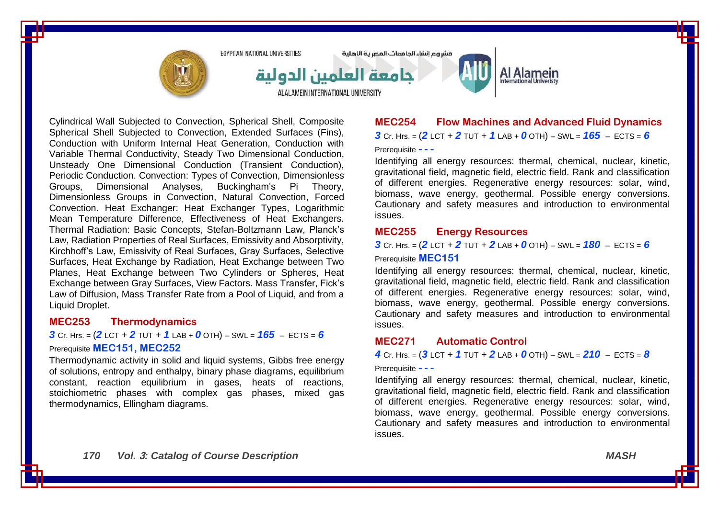

Cylindrical Wall Subjected to Convection, Spherical Shell, Composite Spherical Shell Subjected to Convection, Extended Surfaces (Fins), Conduction with Uniform Internal Heat Generation, Conduction with Variable Thermal Conductivity, Steady Two Dimensional Conduction, Unsteady One Dimensional Conduction (Transient Conduction), Periodic Conduction. Convection: Types of Convection, Dimensionless Groups, Dimensional Analyses, Buckingham's Pi Theory, Dimensionless Groups in Convection, Natural Convection, Forced Convection. Heat Exchanger: Heat Exchanger Types, Logarithmic Mean Temperature Difference, Effectiveness of Heat Exchangers. Thermal Radiation: Basic Concepts, Stefan-Boltzmann Law, Planck's Law, Radiation Properties of Real Surfaces, Emissivity and Absorptivity, Kirchhoff's Law, Emissivity of Real Surfaces, Gray Surfaces, Selective Surfaces, Heat Exchange by Radiation, Heat Exchange between Two Planes, Heat Exchange between Two Cylinders or Spheres, Heat Exchange between Gray Surfaces, View Factors. Mass Transfer, Fick's Law of Diffusion, Mass Transfer Rate from a Pool of Liquid, and from a Liquid Droplet.

#### **MEC253 Thermodynamics**

*3* Cr. Hrs. = (*2* LCT + *2* TUT + *1* LAB + *0* OTH) – SWL = *165* – ECTS = *6* Prerequisite **MEC151, MEC252**

Thermodynamic activity in solid and liquid systems, Gibbs free energy of solutions, entropy and enthalpy, binary phase diagrams, equilibrium constant, reaction equilibrium in gases, heats of reactions, stoichiometric phases with complex gas phases, mixed gas thermodynamics, Ellingham diagrams.

# **MEC254 Flow Machines and Advanced Fluid Dynamics** *3* Cr. Hrs. = (*2* LCT + *2* TUT + *1* LAB + *0* OTH) – SWL = *165* – ECTS = *6* Prerequisite **- - -**

Identifying all energy resources: thermal, chemical, nuclear, kinetic, gravitational field, magnetic field, electric field. Rank and classification of different energies. Regenerative energy resources: solar, wind, biomass, wave energy, geothermal. Possible energy conversions. Cautionary and safety measures and introduction to environmental issues.

#### **MEC255 Energy Resources**

*3* Cr. Hrs. = (*2* LCT + *2* TUT + *2* LAB + *0* OTH) – SWL = *180* – ECTS = *6*

Prerequisite **MEC151**

Identifying all energy resources: thermal, chemical, nuclear, kinetic, gravitational field, magnetic field, electric field. Rank and classification of different energies. Regenerative energy resources: solar, wind, biomass, wave energy, geothermal. Possible energy conversions. Cautionary and safety measures and introduction to environmental issues.

#### **MEC271 Automatic Control**

*4* Cr. Hrs. = (*3* LCT + *1* TUT + *2* LAB + *0* OTH) – SWL = *210* – ECTS = *8*

#### Prerequisite **- - -**

Identifying all energy resources: thermal, chemical, nuclear, kinetic, gravitational field, magnetic field, electric field. Rank and classification of different energies. Regenerative energy resources: solar, wind, biomass, wave energy, geothermal. Possible energy conversions. Cautionary and safety measures and introduction to environmental issues.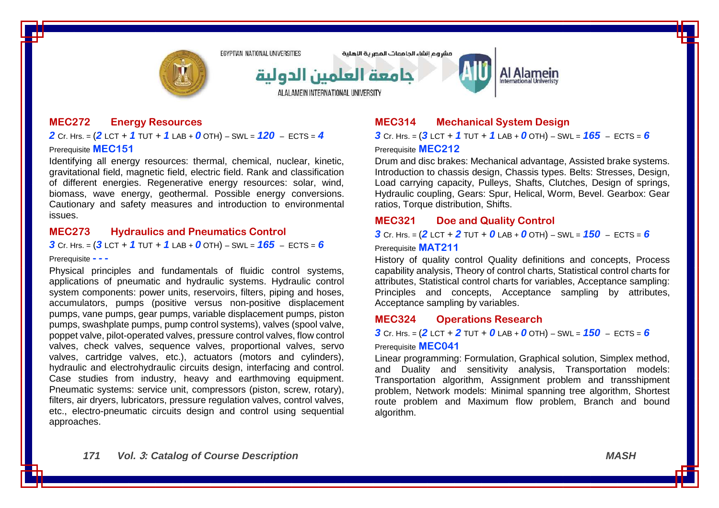

مشروع انشاء الحامعات المصرية اللهلية



# Al Alamein

## **MEC272 Energy Resources**

*2* Cr. Hrs. = (*2* LCT + *1* TUT + *1* LAB + *0* OTH) – SWL = *120* – ECTS = *4* Prerequisite **MEC151**

Identifying all energy resources: thermal, chemical, nuclear, kinetic, gravitational field, magnetic field, electric field. Rank and classification of different energies. Regenerative energy resources: solar, wind, biomass, wave energy, geothermal. Possible energy conversions. Cautionary and safety measures and introduction to environmental issues.

### **MEC273 Hydraulics and Pneumatics Control**

*3* Cr. Hrs. = (*3* LCT + *1* TUT + *1* LAB + *0* OTH) – SWL = *165* – ECTS = *6*

Prerequisite **- - -**

Physical principles and fundamentals of fluidic control systems, applications of pneumatic and hydraulic systems. Hydraulic control system components: power units, reservoirs, filters, piping and hoses, accumulators, pumps (positive versus non-positive displacement pumps, vane pumps, gear pumps, variable displacement pumps, piston pumps, swashplate pumps, pump control systems), valves (spool valve, poppet valve, pilot-operated valves, pressure control valves, flow control valves, check valves, sequence valves, proportional valves, servo valves, cartridge valves, etc.), actuators (motors and cylinders), hydraulic and electrohydraulic circuits design, interfacing and control. Case studies from industry, heavy and earthmoving equipment. Pneumatic systems: service unit, compressors (piston, screw, rotary), filters, air dryers, lubricators, pressure regulation valves, control valves, etc., electro-pneumatic circuits design and control using sequential approaches.

# **MEC314 Mechanical System Design**

*3* Cr. Hrs. = (*3* LCT + *1* TUT + *1* LAB + *0* OTH) – SWL = *165* – ECTS = *6* Prerequisite **MEC212**

Drum and disc brakes: Mechanical advantage, Assisted brake systems. Introduction to chassis design, Chassis types. Belts: Stresses, Design, Load carrying capacity, Pulleys, Shafts, Clutches, Design of springs, Hydraulic coupling, Gears: Spur, Helical, Worm, Bevel. Gearbox: Gear ratios, Torque distribution, Shifts.

### **MEC321 Doe and Quality Control**

*3* Cr. Hrs. = (*2* LCT + *2* TUT + *0* LAB + *0* OTH) – SWL = *150* – ECTS = *6*

Prerequisite **MAT211**

History of quality control Quality definitions and concepts, Process capability analysis, Theory of control charts, Statistical control charts for attributes, Statistical control charts for variables, Acceptance sampling: Principles and concepts, Acceptance sampling by attributes, Acceptance sampling by variables.

### **MEC324 Operations Research**

*3* Cr. Hrs. =  $(2$  LCT + 2 TUT + 0 LAB + 0 OTH) – SWL =  $150$  – ECTS = 6

#### Prerequisite **MEC041**

Linear programming: Formulation, Graphical solution, Simplex method, and Duality and sensitivity analysis, Transportation models: Transportation algorithm, Assignment problem and transshipment problem, Network models: Minimal spanning tree algorithm, Shortest route problem and Maximum flow problem, Branch and bound algorithm.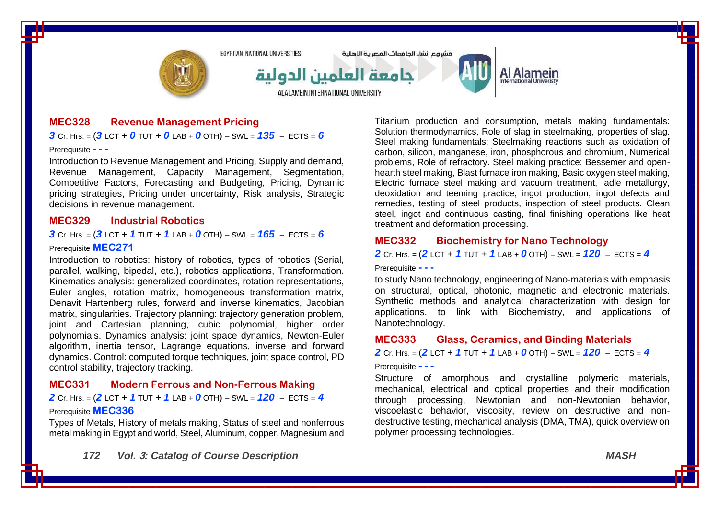

#### **MEC328 Revenue Management Pricing**

#### $3$  Cr. Hrs. =  $(3$  LCT + 0 TUT + 0 LAB + 0 OTH) – SWL =  $135$  – ECTS = 6

#### Prerequisite **- - -**

Introduction to Revenue Management and Pricing, Supply and demand, Revenue Management, Capacity Management, Segmentation, Competitive Factors, Forecasting and Budgeting, Pricing, Dynamic pricing strategies, Pricing under uncertainty, Risk analysis, Strategic decisions in revenue management.

#### **MEC329 Industrial Robotics**

*3* Cr. Hrs. = (*3* LCT + *1* TUT + *1* LAB + *0* OTH) – SWL = *165* – ECTS = *6*

#### Prerequisite **MEC271**

Introduction to robotics: history of robotics, types of robotics (Serial, parallel, walking, bipedal, etc.), robotics applications, Transformation. Kinematics analysis: generalized coordinates, rotation representations, Euler angles, rotation matrix, homogeneous transformation matrix, Denavit Hartenberg rules, forward and inverse kinematics, Jacobian matrix, singularities. Trajectory planning: trajectory generation problem, joint and Cartesian planning, cubic polynomial, higher order polynomials. Dynamics analysis: joint space dynamics, Newton-Euler algorithm, inertia tensor, Lagrange equations, inverse and forward dynamics. Control: computed torque techniques, joint space control, PD control stability, trajectory tracking.

### **MEC331 Modern Ferrous and Non-Ferrous Making**

*2* Cr. Hrs. = (*2* LCT + *1* TUT + *1* LAB + *0* OTH) – SWL = *120* – ECTS = *4*

#### Prerequisite **MEC336**

Types of Metals, History of metals making, Status of steel and nonferrous metal making in Egypt and world, Steel, Aluminum, copper, Magnesium and

Titanium production and consumption, metals making fundamentals: Solution thermodynamics, Role of slag in steelmaking, properties of slag. Steel making fundamentals: Steelmaking reactions such as oxidation of carbon, silicon, manganese, iron, phosphorous and chromium, Numerical problems, Role of refractory. Steel making practice: Bessemer and openhearth steel making, Blast furnace iron making, Basic oxygen steel making, Electric furnace steel making and vacuum treatment, ladle metallurgy, deoxidation and teeming practice, ingot production, ingot defects and remedies, testing of steel products, inspection of steel products. Clean steel, ingot and continuous casting, final finishing operations like heat treatment and deformation processing.

### **MEC332 Biochemistry for Nano Technology**

*2* Cr. Hrs. = (*2* LCT + *1* TUT + *1* LAB + *0* OTH) – SWL = *120* – ECTS = *4*

Prerequisite **- - -**

to study Nano technology, engineering of Nano-materials with emphasis on structural, optical, photonic, magnetic and electronic materials. Synthetic methods and analytical characterization with design for applications. to link with Biochemistry, and applications of Nanotechnology.

#### **MEC333 Glass, Ceramics, and Binding Materials**

*2* Cr. Hrs. = (*2* LCT + *1* TUT + *1* LAB + *0* OTH) – SWL = *120* – ECTS = *4*

#### Prerequisite **- - -**

Structure of amorphous and crystalline polymeric materials, mechanical, electrical and optical properties and their modification through processing, Newtonian and non-Newtonian behavior, viscoelastic behavior, viscosity, review on destructive and nondestructive testing, mechanical analysis (DMA, TMA), quick overview on polymer processing technologies.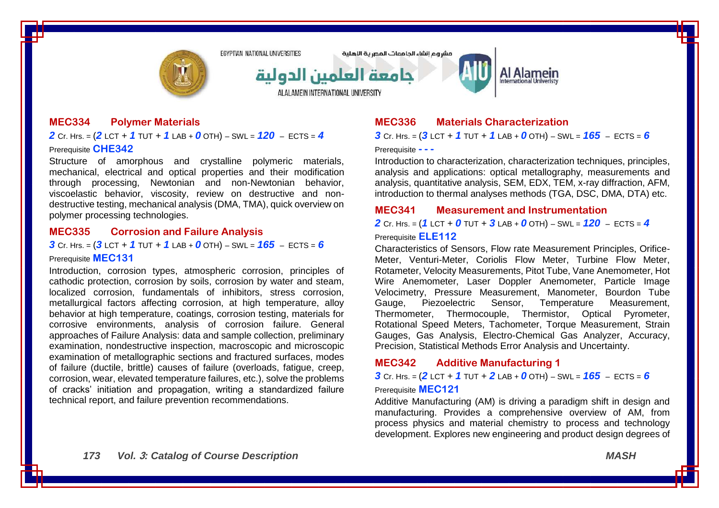

مشروع انشاء الحامعات المصرية الاهلية



Al Alamein

### **MEC334 Polymer Materials**

*2* Cr. Hrs. = (*2* LCT + *1* TUT + *1* LAB + *0* OTH) – SWL = *120* – ECTS = *4* Prerequisite **CHE342**

Structure of amorphous and crystalline polymeric materials, mechanical, electrical and optical properties and their modification through processing, Newtonian and non-Newtonian behavior, viscoelastic behavior, viscosity, review on destructive and nondestructive testing, mechanical analysis (DMA, TMA), quick overview on polymer processing technologies.

#### **MEC335 Corrosion and Failure Analysis**

*3* Cr. Hrs. = (*3* LCT + *1* TUT + *1* LAB + *0* OTH) – SWL = *165* – ECTS = *6*

Prerequisite **MEC131**

Introduction, corrosion types, atmospheric corrosion, principles of cathodic protection, corrosion by soils, corrosion by water and steam, localized corrosion, fundamentals of inhibitors, stress corrosion, metallurgical factors affecting corrosion, at high temperature, alloy behavior at high temperature, coatings, corrosion testing, materials for corrosive environments, analysis of corrosion failure. General approaches of Failure Analysis: data and sample collection, preliminary examination, nondestructive inspection, macroscopic and microscopic examination of metallographic sections and fractured surfaces, modes of failure (ductile, brittle) causes of failure (overloads, fatigue, creep, corrosion, wear, elevated temperature failures, etc.), solve the problems of cracks' initiation and propagation, writing a standardized failure technical report, and failure prevention recommendations.

# **MEC336 Materials Characterization**

*3* Cr. Hrs. = (*3* LCT + *1* TUT + *1* LAB + *0* OTH) – SWL = *165* – ECTS = *6*

Prerequisite **- - -**

Introduction to characterization, characterization techniques, principles, analysis and applications: optical metallography, measurements and analysis, quantitative analysis, SEM, EDX, TEM, x-ray diffraction, AFM, introduction to thermal analyses methods (TGA, DSC, DMA, DTA) etc.

#### **MEC341 Measurement and Instrumentation**

*2* Cr. Hrs. = (*1* LCT + *0* TUT + *3* LAB + *0* OTH) – SWL = *120* – ECTS = *4* Prerequisite **ELE112**

Characteristics of Sensors, Flow rate Measurement Principles, Orifice-Meter, Venturi-Meter, Coriolis Flow Meter, Turbine Flow Meter, Rotameter, Velocity Measurements, Pitot Tube, Vane Anemometer, Hot Wire Anemometer, Laser Doppler Anemometer, Particle Image Velocimetry, Pressure Measurement, Manometer, Bourdon Tube Gauge, Piezoelectric Sensor, Temperature Measurement, Thermometer, Thermocouple, Thermistor, Optical Pyrometer, Rotational Speed Meters, Tachometer, Torque Measurement, Strain Gauges, Gas Analysis, Electro-Chemical Gas Analyzer, Accuracy, Precision, Statistical Methods Error Analysis and Uncertainty.

# **MEC342 Additive Manufacturing 1**

**3** Cr. Hrs. =  $(2$  LCT + 1 TUT + 2 LAB + 0 OTH) – SWL =  $165$  – ECTS = 6

#### Prerequisite **MEC121**

Additive Manufacturing (AM) is driving a paradigm shift in design and manufacturing. Provides a comprehensive overview of AM, from process physics and material chemistry to process and technology development. Explores new engineering and product design degrees of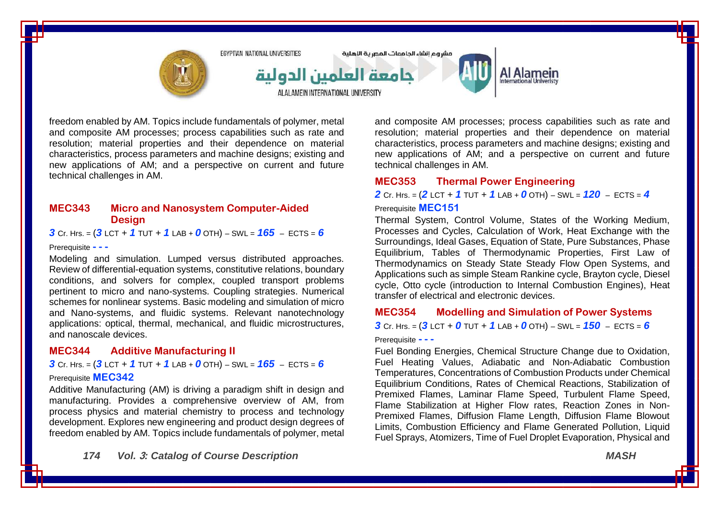

freedom enabled by AM. Topics include fundamentals of polymer, metal and composite AM processes; process capabilities such as rate and resolution; material properties and their dependence on material characteristics, process parameters and machine designs; existing and new applications of AM; and a perspective on current and future technical challenges in AM.

### **MEC343 Micro and Nanosystem Computer-Aided Design**

*3* Cr. Hrs. = (*3* LCT + *1* TUT + *1* LAB + *0* OTH) – SWL = *165* – ECTS = *6*

Prerequisite **- - -**

Modeling and simulation. Lumped versus distributed approaches. Review of differential-equation systems, constitutive relations, boundary conditions, and solvers for complex, coupled transport problems pertinent to micro and nano-systems. Coupling strategies. Numerical schemes for nonlinear systems. Basic modeling and simulation of micro and Nano-systems, and fluidic systems. Relevant nanotechnology applications: optical, thermal, mechanical, and fluidic microstructures, and nanoscale devices.

# **MEC344 Additive Manufacturing II**

*3* Cr. Hrs. = (*3* LCT + *1* TUT + *1* LAB + *0* OTH) – SWL = *165* – ECTS = *6*

#### Prerequisite **MEC342**

Additive Manufacturing (AM) is driving a paradigm shift in design and manufacturing. Provides a comprehensive overview of AM, from process physics and material chemistry to process and technology development. Explores new engineering and product design degrees of freedom enabled by AM. Topics include fundamentals of polymer, metal

*174 Vol.* **3***: Catalog of Course Description MASH*

and composite AM processes; process capabilities such as rate and resolution; material properties and their dependence on material characteristics, process parameters and machine designs; existing and new applications of AM; and a perspective on current and future technical challenges in AM.

# **MEC353 Thermal Power Engineering**

*2* Cr. Hrs. = (*2* LCT + *1* TUT + *1* LAB + *0* OTH) – SWL = *120* – ECTS = *4*

#### Prerequisite **MEC151**

Thermal System, Control Volume, States of the Working Medium, Processes and Cycles, Calculation of Work, Heat Exchange with the Surroundings, Ideal Gases, Equation of State, Pure Substances, Phase Equilibrium, Tables of Thermodynamic Properties, First Law of Thermodynamics on Steady State Steady Flow Open Systems, and Applications such as simple Steam Rankine cycle, Brayton cycle, Diesel cycle, Otto cycle (introduction to Internal Combustion Engines), Heat transfer of electrical and electronic devices.

# **MEC354 Modelling and Simulation of Power Systems** *3* Cr. Hrs. = (*3* LCT + *0* TUT + *1* LAB + *0* OTH) – SWL = *150* – ECTS = *6*

Prerequisite **- - -**

Fuel Bonding Energies, Chemical Structure Change due to Oxidation, Fuel Heating Values, Adiabatic and Non-Adiabatic Combustion Temperatures, Concentrations of Combustion Products under Chemical Equilibrium Conditions, Rates of Chemical Reactions, Stabilization of Premixed Flames, Laminar Flame Speed, Turbulent Flame Speed, Flame Stabilization at Higher Flow rates, Reaction Zones in Non-Premixed Flames, Diffusion Flame Length, Diffusion Flame Blowout Limits, Combustion Efficiency and Flame Generated Pollution, Liquid Fuel Sprays, Atomizers, Time of Fuel Droplet Evaporation, Physical and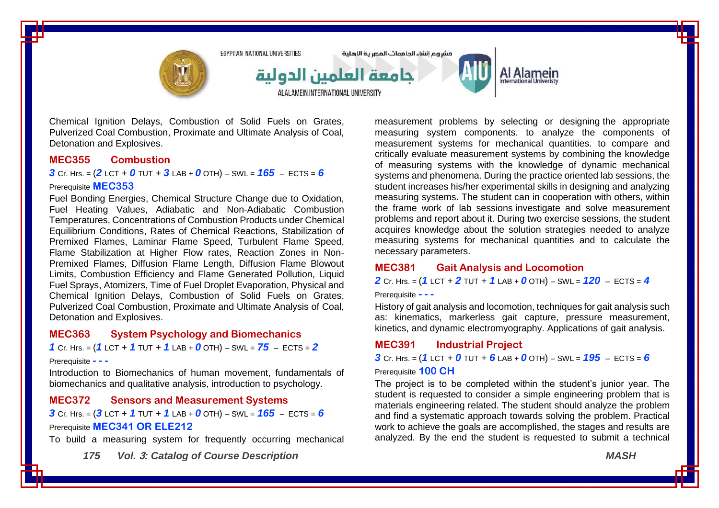

Chemical Ignition Delays, Combustion of Solid Fuels on Grates, Pulverized Coal Combustion, Proximate and Ultimate Analysis of Coal, Detonation and Explosives.

#### **MEC355 Combustion**

**3** Cr. Hrs. =  $(2$  LCT + 0 TUT + 3 LAB + 0 OTH) – SWL =  $165$  – ECTS = 6

#### Prerequisite **MEC353**

Fuel Bonding Energies, Chemical Structure Change due to Oxidation, Fuel Heating Values, Adiabatic and Non-Adiabatic Combustion Temperatures, Concentrations of Combustion Products under Chemical Equilibrium Conditions, Rates of Chemical Reactions, Stabilization of Premixed Flames, Laminar Flame Speed, Turbulent Flame Speed, Flame Stabilization at Higher Flow rates, Reaction Zones in Non-Premixed Flames, Diffusion Flame Length, Diffusion Flame Blowout Limits, Combustion Efficiency and Flame Generated Pollution, Liquid Fuel Sprays, Atomizers, Time of Fuel Droplet Evaporation, Physical and Chemical Ignition Delays, Combustion of Solid Fuels on Grates, Pulverized Coal Combustion, Proximate and Ultimate Analysis of Coal, Detonation and Explosives.

### **MEC363 System Psychology and Biomechanics**

*1* Cr. Hrs. = (*1* LCT + *1* TUT + *1* LAB + *0* OTH) – SWL = *75* – ECTS = *2*

#### Prerequisite **- - -**

Introduction to Biomechanics of human movement, fundamentals of biomechanics and qualitative analysis, introduction to psychology.

### **MEC372 Sensors and Measurement Systems**

*3* Cr. Hrs. = (*3* LCT + *1* TUT + *1* LAB + *0* OTH) – SWL = *165* – ECTS = *6* Prerequisite **MEC341 OR ELE212**

To build a measuring system for frequently occurring mechanical

*175 Vol.* **3***: Catalog of Course Description MASH*

measurement problems by selecting or designing the appropriate measuring system components. to analyze the components of measurement systems for mechanical quantities. to compare and critically evaluate measurement systems by combining the knowledge of measuring systems with the knowledge of dynamic mechanical systems and phenomena. During the practice oriented lab sessions, the student increases his/her experimental skills in designing and analyzing measuring systems. The student can in cooperation with others, within the frame work of lab sessions investigate and solve measurement problems and report about it. During two exercise sessions, the student acquires knowledge about the solution strategies needed to analyze measuring systems for mechanical quantities and to calculate the necessary parameters.

# **MEC381 Gait Analysis and Locomotion**

*2* Cr. Hrs. = (*1* LCT + *2* TUT + *1* LAB + *0* OTH) – SWL = *120* – ECTS = *4*

Prerequisite **- - -**

History of gait analysis and locomotion, techniques for gait analysis such as: kinematics, markerless gait capture, pressure measurement, kinetics, and dynamic electromyography. Applications of gait analysis.

### **MEC391 Industrial Project**

*3* Cr. Hrs. = (*1* LCT + *0* TUT + *6* LAB + *0* OTH) – SWL = *195* – ECTS = *6*

#### Prerequisite **100 CH**

The project is to be completed within the student's junior year. The student is requested to consider a simple engineering problem that is materials engineering related. The student should analyze the problem and find a systematic approach towards solving the problem. Practical work to achieve the goals are accomplished, the stages and results are analyzed. By the end the student is requested to submit a technical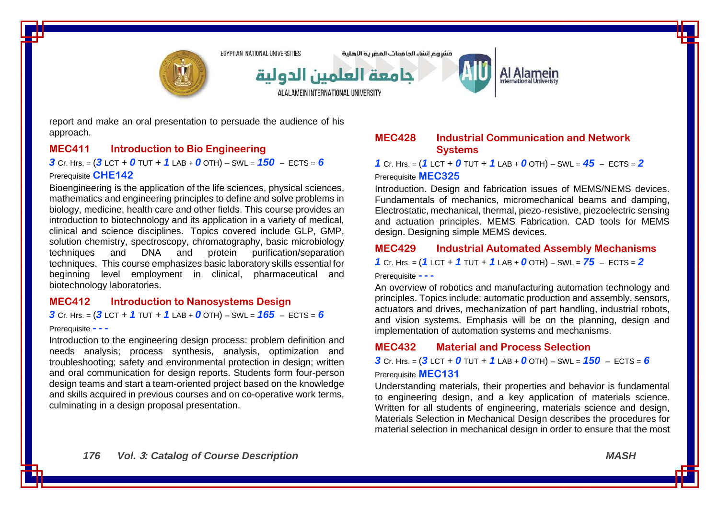

report and make an oral presentation to persuade the audience of his approach.

### **MEC411 Introduction to Bio Engineering**

*3* Cr. Hrs. = (*3* LCT + *0* TUT + *1* LAB + *0* OTH) – SWL = *150* – ECTS = *6*

#### Prerequisite **CHE142**

Bioengineering is the application of the life sciences, physical sciences, mathematics and engineering principles to define and solve problems in biology, medicine, health care and other fields. This course provides an introduction to biotechnology and its application in a variety of medical, clinical and science disciplines. Topics covered include GLP, GMP, solution chemistry, spectroscopy, chromatography, basic microbiology techniques and DNA and protein purification/separation techniques. This course emphasizes basic laboratory skills essential for beginning level employment in clinical, pharmaceutical and biotechnology laboratories.

### **MEC412 Introduction to Nanosystems Design**

*3* Cr. Hrs. = (*3* LCT + *1* TUT + *1* LAB + *0* OTH) – SWL = *165* – ECTS = *6*

#### Prerequisite **- - -**

Introduction to the engineering design process: problem definition and needs analysis; process synthesis, analysis, optimization and troubleshooting; safety and environmental protection in design; written and oral communication for design reports. Students form four-person design teams and start a team-oriented project based on the knowledge and skills acquired in previous courses and on co-operative work terms, culminating in a design proposal presentation.

#### **MEC428 Industrial Communication and Network Systems**

*1* Cr. Hrs. = (*1* LCT + *0* TUT + *1* LAB + *0* OTH) – SWL = *45* – ECTS = *2* Prerequisite **MEC325**

Introduction. Design and fabrication issues of MEMS/NEMS devices. Fundamentals of mechanics, micromechanical beams and damping, Electrostatic, mechanical, thermal, piezo-resistive, piezoelectric sensing and actuation principles. MEMS Fabrication. CAD tools for MEMS design. Designing simple MEMS devices.

#### **MEC429 Industrial Automated Assembly Mechanisms**

*1* Cr. Hrs. = (*1* LCT + *1* TUT + *1* LAB + *0* OTH) – SWL = *75* – ECTS = *2*

Prerequisite **- - -**

An overview of robotics and manufacturing automation technology and principles. Topics include: automatic production and assembly, sensors, actuators and drives, mechanization of part handling, industrial robots, and vision systems. Emphasis will be on the planning, design and implementation of automation systems and mechanisms.

# **MEC432 Material and Process Selection**

*3* Cr. Hrs. =  $(3$  LCT + 0 TUT + 1 LAB + 0 OTH) – SWL =  $150$  – ECTS = 6 Prerequisite **MEC131**

Understanding materials, their properties and behavior is fundamental to engineering design, and a key application of materials science. Written for all students of engineering, materials science and design, Materials Selection in Mechanical Design describes the procedures for material selection in mechanical design in order to ensure that the most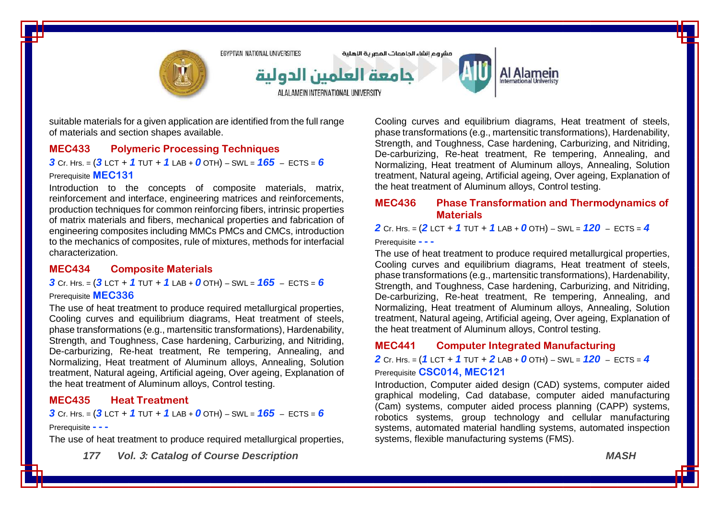

suitable materials for a given application are identified from the full range of materials and section shapes available.

## **MEC433 Polymeric Processing Techniques**

*3* Cr. Hrs. = (*3* LCT + *1* TUT + *1* LAB + *0* OTH) – SWL = *165* – ECTS = *6* Prerequisite **MEC131**

Introduction to the concepts of composite materials, matrix, reinforcement and interface, engineering matrices and reinforcements, production techniques for common reinforcing fibers, intrinsic properties of matrix materials and fibers, mechanical properties and fabrication of engineering composites including MMCs PMCs and CMCs, introduction to the mechanics of composites, rule of mixtures, methods for interfacial characterization.

### **MEC434 Composite Materials**

*3* Cr. Hrs. = (*3* LCT + *1* TUT + *1* LAB + *0* OTH) – SWL = *165* – ECTS = *6* Prerequisite **MEC336**

The use of heat treatment to produce required metallurgical properties, Cooling curves and equilibrium diagrams, Heat treatment of steels, phase transformations (e.g., martensitic transformations), Hardenability, Strength, and Toughness, Case hardening, Carburizing, and Nitriding, De-carburizing, Re-heat treatment, Re tempering, Annealing, and Normalizing, Heat treatment of Aluminum alloys, Annealing, Solution treatment, Natural ageing, Artificial ageing, Over ageing, Explanation of the heat treatment of Aluminum alloys, Control testing.

### **MEC435 Heat Treatment**

*3* Cr. Hrs. = (*3* LCT + *1* TUT + *1* LAB + *0* OTH) – SWL = *165* – ECTS = *6*

#### Prerequisite **- - -**

The use of heat treatment to produce required metallurgical properties,

*177 Vol.* **3***: Catalog of Course Description MASH*

Cooling curves and equilibrium diagrams, Heat treatment of steels, phase transformations (e.g., martensitic transformations), Hardenability, Strength, and Toughness, Case hardening, Carburizing, and Nitriding, De-carburizing, Re-heat treatment, Re tempering, Annealing, and Normalizing, Heat treatment of Aluminum alloys, Annealing, Solution treatment, Natural ageing, Artificial ageing, Over ageing, Explanation of the heat treatment of Aluminum alloys, Control testing.

## **MEC436 Phase Transformation and Thermodynamics of Materials**

*2* Cr. Hrs. = (*2* LCT + *1* TUT + *1* LAB + *0* OTH) – SWL = *120* – ECTS = *4*

Prerequisite **- - -**

The use of heat treatment to produce required metallurgical properties, Cooling curves and equilibrium diagrams, Heat treatment of steels, phase transformations (e.g., martensitic transformations), Hardenability, Strength, and Toughness, Case hardening, Carburizing, and Nitriding, De-carburizing, Re-heat treatment, Re tempering, Annealing, and Normalizing, Heat treatment of Aluminum alloys, Annealing, Solution treatment, Natural ageing, Artificial ageing, Over ageing, Explanation of the heat treatment of Aluminum alloys, Control testing.

### **MEC441 Computer Integrated Manufacturing**

*2* Cr. Hrs. = (*1* LCT + *1* TUT + *2* LAB + *0* OTH) – SWL = *120* – ECTS = *4* Prerequisite **CSC014, MEC121**

Introduction, Computer aided design (CAD) systems, computer aided graphical modeling, Cad database, computer aided manufacturing (Cam) systems, computer aided process planning (CAPP) systems, robotics systems, group technology and cellular manufacturing systems, automated material handling systems, automated inspection systems, flexible manufacturing systems (FMS).

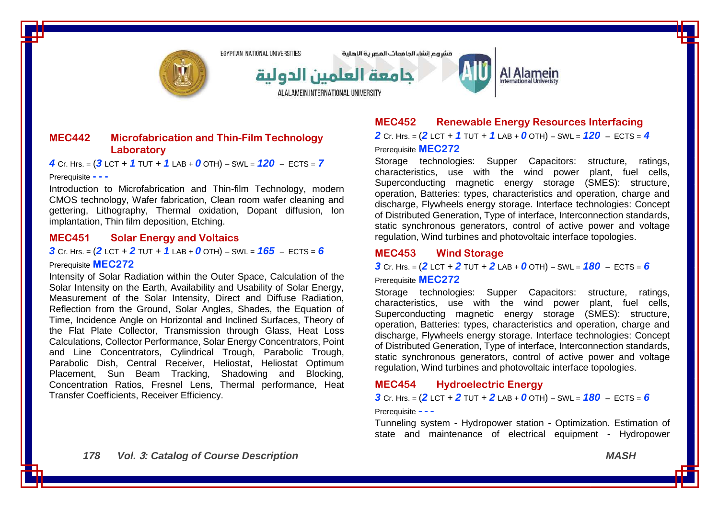

مشروع انشاء الحامعات المصرية اللهلية



Al Alamein

## **MEC442 Microfabrication and Thin-Film Technology Laboratory**

*4* Cr. Hrs. = (*3* LCT + *1* TUT + *1* LAB + *0* OTH) – SWL = *120* – ECTS = *7*

#### Prerequisite **- - -**

Introduction to Microfabrication and Thin-film Technology, modern CMOS technology, Wafer fabrication, Clean room wafer cleaning and gettering, Lithography, Thermal oxidation, Dopant diffusion, Ion implantation, Thin film deposition, Etching.

#### **MEC451 Solar Energy and Voltaics**

*3* Cr. Hrs. = (*2* LCT + *2* TUT + *1* LAB + *0* OTH) – SWL = *165* – ECTS = *6* Prerequisite **MEC272**

Intensity of Solar Radiation within the Outer Space, Calculation of the Solar Intensity on the Earth, Availability and Usability of Solar Energy, Measurement of the Solar Intensity, Direct and Diffuse Radiation, Reflection from the Ground, Solar Angles, Shades, the Equation of Time, Incidence Angle on Horizontal and Inclined Surfaces, Theory of the Flat Plate Collector, Transmission through Glass, Heat Loss Calculations, Collector Performance, Solar Energy Concentrators, Point and Line Concentrators, Cylindrical Trough, Parabolic Trough, Parabolic Dish, Central Receiver, Heliostat, Heliostat Optimum Placement, Sun Beam Tracking, Shadowing and Blocking, Concentration Ratios, Fresnel Lens, Thermal performance, Heat Transfer Coefficients, Receiver Efficiency.

# **MEC452 Renewable Energy Resources Interfacing**

*2* Cr. Hrs. = (*2* LCT + *1* TUT + *1* LAB + *0* OTH) – SWL = *120* – ECTS = *4* Prerequisite **MEC272**

Storage technologies: Supper Capacitors: structure, ratings, characteristics, use with the wind power plant, fuel cells, Superconducting magnetic energy storage (SMES): structure, operation, Batteries: types, characteristics and operation, charge and discharge, Flywheels energy storage. Interface technologies: Concept of Distributed Generation, Type of interface, Interconnection standards, static synchronous generators, control of active power and voltage regulation, Wind turbines and photovoltaic interface topologies.

### **MEC453 Wind Storage**

**3** Cr. Hrs. =  $(2$  LCT + 2 TUT + 2 LAB + 0 OTH) – SWL =  $180 -$  ECTS = 6

Prerequisite **MEC272**

Storage technologies: Supper Capacitors: structure, ratings, characteristics, use with the wind power plant, fuel cells, Superconducting magnetic energy storage (SMES): structure, operation, Batteries: types, characteristics and operation, charge and discharge, Flywheels energy storage. Interface technologies: Concept of Distributed Generation, Type of interface, Interconnection standards, static synchronous generators, control of active power and voltage regulation, Wind turbines and photovoltaic interface topologies.

# **MEC454 Hydroelectric Energy**

*3* Cr. Hrs. = (*2* LCT + *2* TUT + *2* LAB + *0* OTH) – SWL = *180* – ECTS = *6*

#### Prerequisite **- - -**

Tunneling system - Hydropower station - Optimization. Estimation of state and maintenance of electrical equipment - Hydropower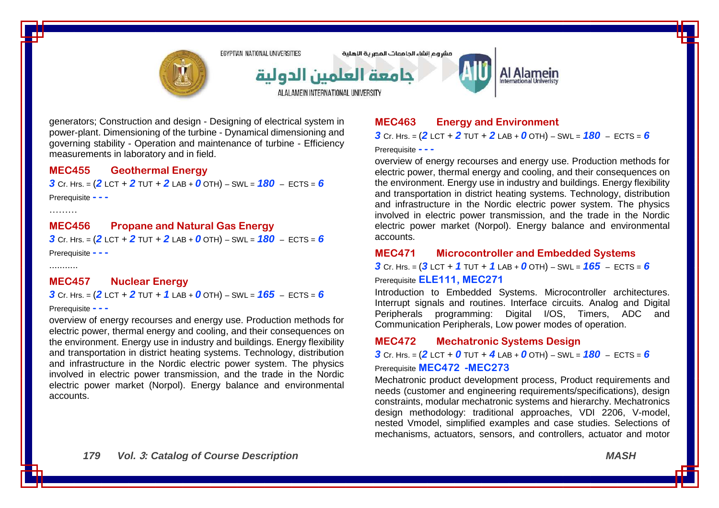

generators; Construction and design - Designing of electrical system in power-plant. Dimensioning of the turbine - Dynamical dimensioning and governing stability - Operation and maintenance of turbine - Efficiency measurements in laboratory and in field.

#### **MEC455 Geothermal Energy**

 $3$  Cr. Hrs. =  $(2$  LCT +  $2$  TUT +  $2$  LAB +  $0$  OTH) – SWL =  $180$  – ECTS =  $6$ 

Prerequisite **- - -**

………

# **MEC456 Propane and Natural Gas Energy**

*3* Cr. Hrs. = (*2* LCT + *2* TUT + *2* LAB + *0* OTH) – SWL = *180* – ECTS = *6*

Prerequisite **- - -**

...........

# **MEC457 Nuclear Energy**

*3* Cr. Hrs. = (*2* LCT + *2* TUT + *1* LAB + *0* OTH) – SWL = *165* – ECTS = *6*

#### Prerequisite **- - -**

overview of energy recourses and energy use. Production methods for electric power, thermal energy and cooling, and their consequences on the environment. Energy use in industry and buildings. Energy flexibility and transportation in district heating systems. Technology, distribution and infrastructure in the Nordic electric power system. The physics involved in electric power transmission, and the trade in the Nordic electric power market (Norpol). Energy balance and environmental accounts.

# **MEC463 Energy and Environment**

*3* Cr. Hrs. = (*2* LCT + *2* TUT + *2* LAB + *0* OTH) – SWL = *180* – ECTS = *6*

Prerequisite **- - -**

overview of energy recourses and energy use. Production methods for electric power, thermal energy and cooling, and their consequences on the environment. Energy use in industry and buildings. Energy flexibility and transportation in district heating systems. Technology, distribution and infrastructure in the Nordic electric power system. The physics involved in electric power transmission, and the trade in the Nordic electric power market (Norpol). Energy balance and environmental accounts.

### **MEC471 Microcontroller and Embedded Systems**

*3* Cr. Hrs. = (*3* LCT + *1* TUT + *1* LAB + *0* OTH) – SWL = *165* – ECTS = *6* Prerequisite **ELE111, MEC271**

Introduction to Embedded Systems. Microcontroller architectures. Interrupt signals and routines. Interface circuits. Analog and Digital Peripherals programming: Digital I/OS, Timers, ADC and Communication Peripherals, Low power modes of operation.

## **MEC472 Mechatronic Systems Design**

*3* Cr. Hrs. = (*2* LCT + *0* TUT + *4* LAB + *0* OTH) – SWL = *180* – ECTS = *6* Prerequisite **MEC472 -MEC273**

Mechatronic product development process, Product requirements and needs (customer and engineering requirements/specifications), design constraints, modular mechatronic systems and hierarchy. Mechatronics design methodology: traditional approaches, VDI 2206, V-model, nested Vmodel, simplified examples and case studies. Selections of mechanisms, actuators, sensors, and controllers, actuator and motor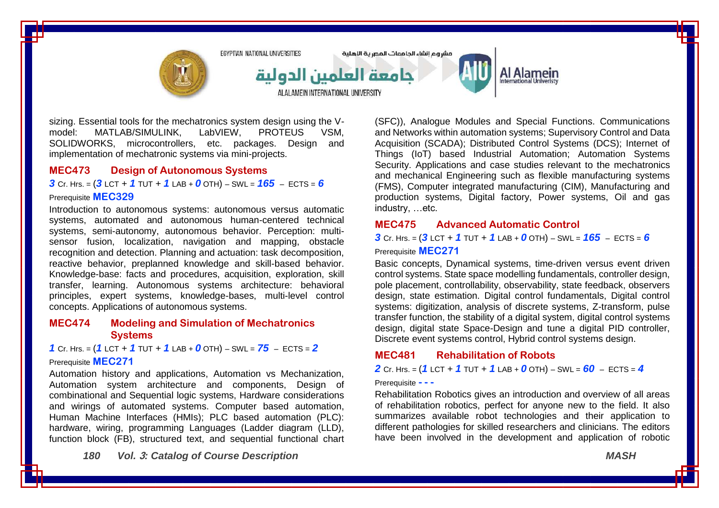

sizing. Essential tools for the mechatronics system design using the V-<br>model: MATLAB/SIMULINK. LabVIEW. PROTEUS VSM. model: MATLAB/SIMULINK, LabVIEW, PROTEUS VSM, SOLIDWORKS, microcontrollers, etc. packages. Design and implementation of mechatronic systems via mini-projects.

#### **MEC473 Design of Autonomous Systems**

*3* Cr. Hrs. = (*3* LCT + *1* TUT + *1* LAB + *0* OTH) – SWL = *165* – ECTS = *6*

#### Prerequisite **MEC329**

Introduction to autonomous systems: autonomous versus automatic systems, automated and autonomous human-centered technical systems, semi-autonomy, autonomous behavior. Perception: multisensor fusion, localization, navigation and mapping, obstacle recognition and detection. Planning and actuation: task decomposition, reactive behavior, preplanned knowledge and skill-based behavior. Knowledge-base: facts and procedures, acquisition, exploration, skill transfer, learning. Autonomous systems architecture: behavioral principles, expert systems, knowledge-bases, multi-level control concepts. Applications of autonomous systems.

## **MEC474 Modeling and Simulation of Mechatronics Systems**

### *1* Cr. Hrs. = (*1* LCT + *1* TUT + *1* LAB + *0* OTH) – SWL = *75* – ECTS = *2* Prerequisite **MEC271**

Automation history and applications, Automation vs Mechanization, Automation system architecture and components, Design of combinational and Sequential logic systems, Hardware considerations and wirings of automated systems. Computer based automation, Human Machine Interfaces (HMIs); PLC based automation (PLC): hardware, wiring, programming Languages (Ladder diagram (LLD), function block (FB), structured text, and sequential functional chart

*180 Vol.* **3***: Catalog of Course Description MASH*

(SFC)), Analogue Modules and Special Functions. Communications and Networks within automation systems; Supervisory Control and Data Acquisition (SCADA); Distributed Control Systems (DCS); Internet of Things (IoT) based Industrial Automation; Automation Systems Security. Applications and case studies relevant to the mechatronics and mechanical Engineering such as flexible manufacturing systems (FMS), Computer integrated manufacturing (CIM), Manufacturing and production systems, Digital factory, Power systems, Oil and gas industry, …etc.

### **MEC475 Advanced Automatic Control**

*3* Cr. Hrs. = (*3* LCT + *1* TUT + *1* LAB + *0* OTH) – SWL = *165* – ECTS = *6*

Prerequisite **MEC271**

Basic concepts, Dynamical systems, time-driven versus event driven control systems. State space modelling fundamentals, controller design, pole placement, controllability, observability, state feedback, observers design, state estimation. Digital control fundamentals, Digital control systems: digitization, analysis of discrete systems, Z-transform, pulse transfer function, the stability of a digital system, digital control systems design, digital state Space-Design and tune a digital PID controller, Discrete event systems control, Hybrid control systems design.

#### **MEC481 Rehabilitation of Robots**

*2* Cr. Hrs. = (*1* LCT + *1* TUT + *1* LAB + *0* OTH) – SWL = *60* – ECTS = *4*

Prerequisite **- - -**

Rehabilitation Robotics gives an introduction and overview of all areas of rehabilitation robotics, perfect for anyone new to the field. It also summarizes available robot technologies and their application to different pathologies for skilled researchers and clinicians. The editors have been involved in the development and application of robotic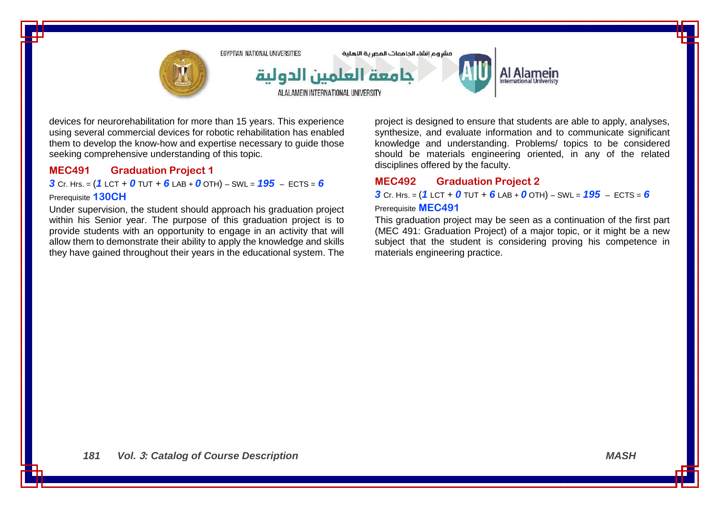

devices for neurorehabilitation for more than 15 years. This experience using several commercial devices for robotic rehabilitation has enabled them to develop the know-how and expertise necessary to guide those seeking comprehensive understanding of this topic.

### **MEC491 Graduation Project 1**

*3* Cr. Hrs. =  $(1 \text{ LCT} + 0 \text{ TUT} + 6 \text{ LAB} + 0 \text{ OTH}) - \text{SWL} = 195 - \text{ECTS} = 6$ 

#### Prerequisite **130CH**

Under supervision, the student should approach his graduation project within his Senior year. The purpose of this graduation project is to provide students with an opportunity to engage in an activity that will allow them to demonstrate their ability to apply the knowledge and skills they have gained throughout their years in the educational system. The

project is designed to ensure that students are able to apply, analyses, synthesize, and evaluate information and to communicate significant knowledge and understanding. Problems/ topics to be considered should be materials engineering oriented, in any of the related disciplines offered by the faculty.

## **MEC492 Graduation Project 2**

# *3* Cr. Hrs. = (*1* LCT + *0* TUT + *6* LAB + *0* OTH) – SWL = *195* – ECTS = *6* Prerequisite **MEC491**

This graduation project may be seen as a continuation of the first part (MEC 491: Graduation Project) of a major topic, or it might be a new subject that the student is considering proving his competence in materials engineering practice.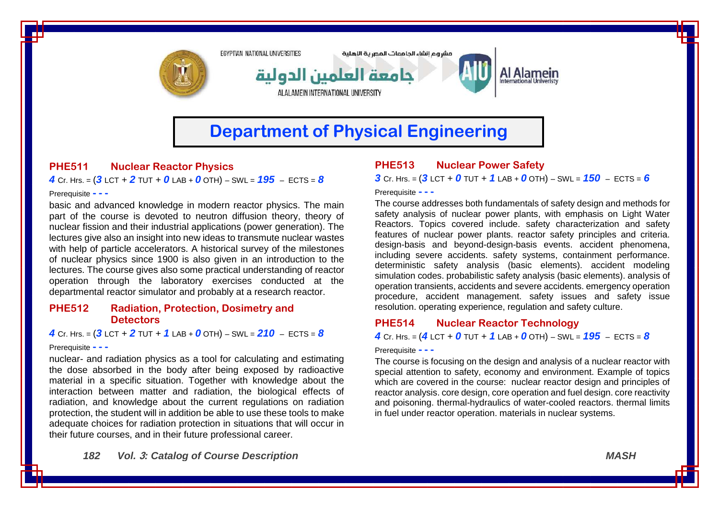

# **Department of Physical Engineering**

# **PHE511 Nuclear Reactor Physics**

*4* Cr. Hrs. = (*3* LCT + *2* TUT + *0* LAB + *0* OTH) – SWL = *195* – ECTS = *8*

#### Prerequisite **- - -**

basic and advanced knowledge in modern reactor physics. The main part of the course is devoted to neutron diffusion theory, theory of nuclear fission and their industrial applications (power generation). The lectures give also an insight into new ideas to transmute nuclear wastes with help of particle accelerators. A historical survey of the milestones of nuclear physics since 1900 is also given in an introduction to the lectures. The course gives also some practical understanding of reactor operation through the laboratory exercises conducted at the departmental reactor simulator and probably at a research reactor.

### **PHE512 Radiation, Protection, Dosimetry and Detectors**

*4* Cr. Hrs. = (*3* LCT + *2* TUT + *1* LAB + *0* OTH) – SWL = *210* – ECTS = *8* Prerequisite **- - -**

nuclear- and radiation physics as a tool for calculating and estimating the dose absorbed in the body after being exposed by radioactive material in a specific situation. Together with knowledge about the interaction between matter and radiation, the biological effects of radiation, and knowledge about the current regulations on radiation protection, the student will in addition be able to use these tools to make adequate choices for radiation protection in situations that will occur in their future courses, and in their future professional career.

### *182 Vol.* **3***: Catalog of Course Description MASH*

# **PHE513 Nuclear Power Safety**

*3* Cr. Hrs. = (*3* LCT + *0* TUT + *1* LAB + *0* OTH) – SWL = *150* – ECTS = *6*

Prerequisite **- - -**

The course addresses both fundamentals of safety design and methods for safety analysis of nuclear power plants, with emphasis on Light Water Reactors. Topics covered include. safety characterization and safety features of nuclear power plants. reactor safety principles and criteria. design-basis and beyond-design-basis events. accident phenomena, including severe accidents. safety systems, containment performance. deterministic safety analysis (basic elements). accident modeling simulation codes. probabilistic safety analysis (basic elements). analysis of operation transients, accidents and severe accidents. emergency operation procedure, accident management. safety issues and safety issue resolution. operating experience, regulation and safety culture.

### **PHE514 Nuclear Reactor Technology**

*4* Cr. Hrs. = (*4* LCT + *0* TUT + *1* LAB + *0* OTH) – SWL = *195* – ECTS = *8*

#### Prerequisite **- - -**

The course is focusing on the design and analysis of a nuclear reactor with special attention to safety, economy and environment. Example of topics which are covered in the course: nuclear reactor design and principles of reactor analysis. core design, core operation and fuel design. core reactivity and poisoning. thermal-hydraulics of water-cooled reactors. thermal limits in fuel under reactor operation. materials in nuclear systems.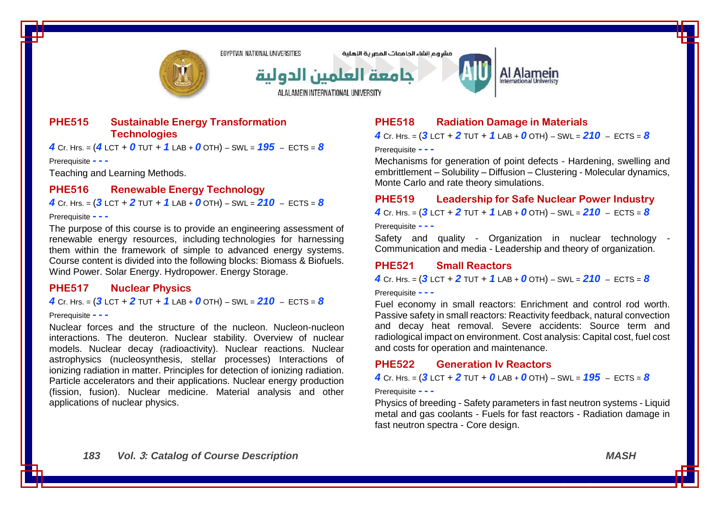

مشروع انشاء الحامعات المصرية اللهلية



# Al Alamein

**PHE515 Sustainable Energy Transformation Technologies**

*4* Cr. Hrs. = (*4* LCT + *0* TUT + *1* LAB + *0* OTH) – SWL = *195* – ECTS = *8*

Prerequisite **- - -**

Teaching and Learning Methods.

### **PHE516 Renewable Energy Technology**

*4* Cr. Hrs. = (*3* LCT + *2* TUT + *1* LAB + *0* OTH) – SWL = *210* – ECTS = *8*

#### Prerequisite **- - -**

The purpose of this course is to provide an engineering assessment of renewable energy resources, including technologies for harnessing them within the framework of simple to advanced energy systems. Course content is divided into the following blocks: Biomass & Biofuels. Wind Power. Solar Energy. Hydropower. Energy Storage.

### **PHE517 Nuclear Physics**

*4* Cr. Hrs. = (*3* LCT + *2* TUT + *1* LAB + *0* OTH) – SWL = *210* – ECTS = *8*

#### Prerequisite **- - -**

Nuclear forces and the structure of the nucleon. Nucleon-nucleon interactions. The deuteron. Nuclear stability. Overview of nuclear models. Nuclear decay (radioactivity). Nuclear reactions. Nuclear astrophysics (nucleosynthesis, stellar processes) Interactions of ionizing radiation in matter. Principles for detection of ionizing radiation. Particle accelerators and their applications. Nuclear energy production (fission, fusion). Nuclear medicine. Material analysis and other applications of nuclear physics.

# **PHE518 Radiation Damage in Materials**

*4* Cr. Hrs. = (*3* LCT + *2* TUT + *1* LAB + *0* OTH) – SWL = *210* – ECTS = *8*

Prerequisite **- - -**

Mechanisms for generation of point defects - Hardening, swelling and embrittlement – Solubility – Diffusion – Clustering - Molecular dynamics, Monte Carlo and rate theory simulations.

#### **PHE519 Leadership for Safe Nuclear Power Industry**

*4* Cr. Hrs. = (*3* LCT + *2* TUT + *1* LAB + *0* OTH) – SWL = *210* – ECTS = *8*

Prerequisite **- - -**

Safety and quality - Organization in nuclear technology -Communication and media - Leadership and theory of organization.

### **PHE521 Small Reactors**

 $4$  Cr. Hrs. =  $(31$  CT +  $2$  TUT +  $1$  LAB +  $0$  OTH) – SWL =  $210$  – FCTS =  $8$ 

#### Prerequisite **- - -**

Fuel economy in small reactors: Enrichment and control rod worth. Passive safety in small reactors: Reactivity feedback, natural convection and decay heat removal. Severe accidents: Source term and radiological impact on environment. Cost analysis: Capital cost, fuel cost and costs for operation and maintenance.

#### **PHE522 Generation Iv Reactors**

### *4* Cr. Hrs. =  $(3$  LCT + 2 TUT + 0 LAB + 0 OTH) – SWL =  $195$  – ECTS = 8

Prerequisite **- - -**

Physics of breeding - Safety parameters in fast neutron systems - Liquid metal and gas coolants - Fuels for fast reactors - Radiation damage in fast neutron spectra - Core design.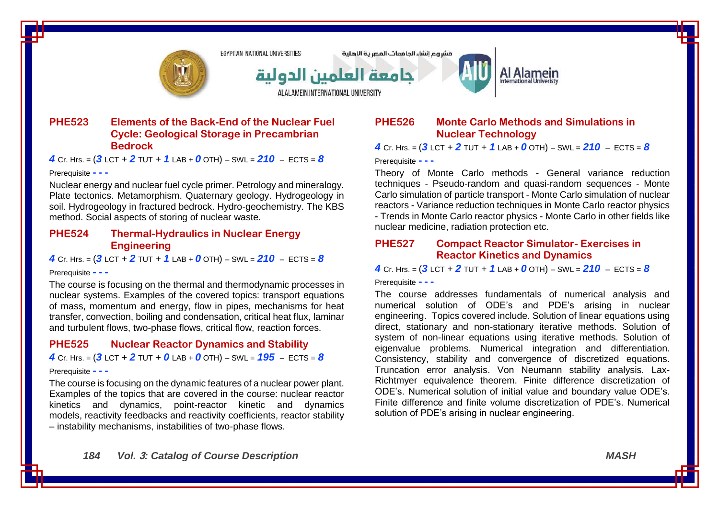

مشروع انشاء الحامعات المصرية الاهلية



# Al Alamein

### **PHE523 Elements of the Back-End of the Nuclear Fuel Cycle: Geological Storage in Precambrian Bedrock**

*4* Cr. Hrs. = (*3* LCT + *2* TUT + *1* LAB + *0* OTH) – SWL = *210* – ECTS = *8*

#### Prerequisite **- - -**

Nuclear energy and nuclear fuel cycle primer. Petrology and mineralogy. Plate tectonics. Metamorphism. Quaternary geology. Hydrogeology in soil. Hydrogeology in fractured bedrock. Hydro-geochemistry. The KBS method. Social aspects of storing of nuclear waste.

## **PHE524 Thermal-Hydraulics in Nuclear Energy Engineering**

*4* Cr. Hrs. = (*3* LCT + *2* TUT + *1* LAB + *0* OTH) – SWL = *210* – ECTS = *8*

#### Prerequisite **- - -**

The course is focusing on the thermal and thermodynamic processes in nuclear systems. Examples of the covered topics: transport equations of mass, momentum and energy, flow in pipes, mechanisms for heat transfer, convection, boiling and condensation, critical heat flux, laminar and turbulent flows, two-phase flows, critical flow, reaction forces.

#### **PHE525 Nuclear Reactor Dynamics and Stability**

*4* Cr. Hrs. =  $(3$  LCT + 2 TUT + 0 LAB + 0 OTH) – SWL =  $195$  – ECTS = 8

#### Prerequisite **- - -**

The course is focusing on the dynamic features of a nuclear power plant. Examples of the topics that are covered in the course: nuclear reactor kinetics and dynamics, point-reactor kinetic and dynamics models, reactivity feedbacks and reactivity coefficients, reactor stability – instability mechanisms, instabilities of two-phase flows.

# **PHE526 Monte Carlo Methods and Simulations in Nuclear Technology**

*4* Cr. Hrs. = (*3* LCT + *2* TUT + *1* LAB + *0* OTH) – SWL = *210* – ECTS = *8*

#### Prerequisite **- - -**

Theory of Monte Carlo methods - General variance reduction techniques - Pseudo-random and quasi-random sequences - Monte Carlo simulation of particle transport - Monte Carlo simulation of nuclear reactors - Variance reduction techniques in Monte Carlo reactor physics - Trends in Monte Carlo reactor physics - Monte Carlo in other fields like nuclear medicine, radiation protection etc.

### **PHE527 Compact Reactor Simulator- Exercises in Reactor Kinetics and Dynamics**

*4* Cr. Hrs. = (*3* LCT + *2* TUT + *1* LAB + *0* OTH) – SWL = *210* – ECTS = *8*

Prerequisite **- - -**

The course addresses fundamentals of numerical analysis and numerical solution of ODE's and PDE's arising in nuclear engineering. Topics covered include. Solution of linear equations using direct, stationary and non-stationary iterative methods. Solution of system of non-linear equations using iterative methods. Solution of eigenvalue problems. Numerical integration and differentiation. Consistency, stability and convergence of discretized equations. Truncation error analysis. Von Neumann stability analysis. Lax-Richtmyer equivalence theorem. Finite difference discretization of ODE's. Numerical solution of initial value and boundary value ODE's. Finite difference and finite volume discretization of PDE's. Numerical solution of PDE's arising in nuclear engineering.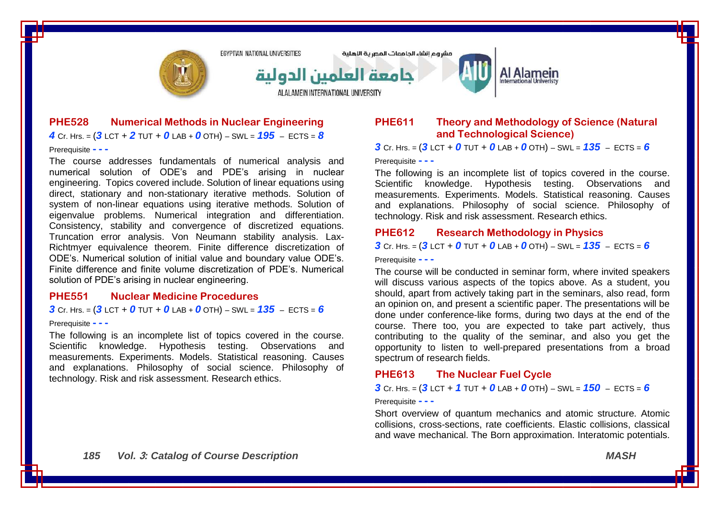

# **PHE528 Numerical Methods in Nuclear Engineering** *4* Cr. Hrs. = (*3* LCT + *2* TUT + *0* LAB + *0* OTH) – SWL = *195* – ECTS = *8*

Prerequisite **- - -**

The course addresses fundamentals of numerical analysis and numerical solution of ODE's and PDE's arising in nuclear engineering. Topics covered include. Solution of linear equations using direct, stationary and non-stationary iterative methods. Solution of system of non-linear equations using iterative methods. Solution of eigenvalue problems. Numerical integration and differentiation. Consistency, stability and convergence of discretized equations. Truncation error analysis. Von Neumann stability analysis. Lax-Richtmyer equivalence theorem. Finite difference discretization of ODE's. Numerical solution of initial value and boundary value ODE's. Finite difference and finite volume discretization of PDE's. Numerical solution of PDE's arising in nuclear engineering.

#### **PHE551 Nuclear Medicine Procedures**

# $3$  Cr. Hrs. =  $(3$  LCT + 0 TUT + 0 LAB + 0 OTH) – SWL =  $135$  – ECTS = 6

#### Prerequisite **- - -**

The following is an incomplete list of topics covered in the course. Scientific knowledge. Hypothesis testing. Observations and measurements. Experiments. Models. Statistical reasoning. Causes and explanations. Philosophy of social science. Philosophy of technology. Risk and risk assessment. Research ethics.

# **PHE611 Theory and Methodology of Science (Natural and Technological Science)**

**3** Cr. Hrs. =  $(3 \text{ LCT} + 0 \text{ TUT} + 0 \text{ LAB} + 0 \text{ OTH}) - \text{SWL} = 135 - \text{ECTS} = 6$ 

#### Prerequisite **- - -**

The following is an incomplete list of topics covered in the course. Scientific knowledge. Hypothesis testing. Observations and measurements. Experiments. Models. Statistical reasoning. Causes and explanations. Philosophy of social science. Philosophy of technology. Risk and risk assessment. Research ethics.

### **PHE612 Research Methodology in Physics**

 $3$  Cr. Hrs. =  $(3$  LCT + 0 TUT + 0 LAB + 0 OTH) – SWL =  $135$  – ECTS = 6

Prerequisite **- - -**

The course will be conducted in seminar form, where invited speakers will discuss various aspects of the topics above. As a student, you should, apart from actively taking part in the seminars, also read, form an opinion on, and present a scientific paper. The presentations will be done under conference-like forms, during two days at the end of the course. There too, you are expected to take part actively, thus contributing to the quality of the seminar, and also you get the opportunity to listen to well-prepared presentations from a broad spectrum of research fields.

### **PHE613 The Nuclear Fuel Cycle**

#### *3* Cr. Hrs. = (*3* LCT + *1* TUT + *0* LAB + *0* OTH) – SWL = *150* – ECTS = *6*

Prerequisite **- - -**

Short overview of quantum mechanics and atomic structure. Atomic collisions, cross-sections, rate coefficients. Elastic collisions, classical and wave mechanical. The Born approximation. Interatomic potentials.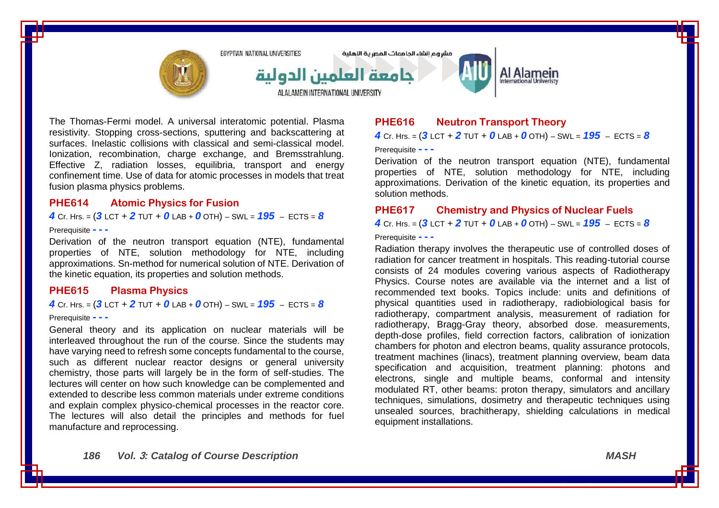

The Thomas-Fermi model. A universal interatomic potential. Plasma resistivity. Stopping cross-sections, sputtering and backscattering at surfaces. Inelastic collisions with classical and semi-classical model. Ionization, recombination, charge exchange, and Bremsstrahlung. Effective Z, radiation losses, equilibria, transport and energy confinement time. Use of data for atomic processes in models that treat fusion plasma physics problems.

#### **PHE614 Atomic Physics for Fusion**

*4* Cr. Hrs. = (*3* LCT + *2* TUT + *0* LAB + *0* OTH) – SWL = *195* – ECTS = *8*

#### Prerequisite **- - -**

Derivation of the neutron transport equation (NTE), fundamental properties of NTE, solution methodology for NTE, including approximations. Sn-method for numerical solution of NTE. Derivation of the kinetic equation, its properties and solution methods.

#### **PHE615 Plasma Physics**

#### *4* Cr. Hrs. =  $(3$  LCT + 2 TUT + 0 LAB + 0 OTH) – SWL =  $195$  – ECTS = 8

#### Prerequisite **- - -**

General theory and its application on nuclear materials will be interleaved throughout the run of the course. Since the students may have varying need to refresh some concepts fundamental to the course, such as different nuclear reactor designs or general university chemistry, those parts will largely be in the form of self-studies. The lectures will center on how such knowledge can be complemented and extended to describe less common materials under extreme conditions and explain complex physico-chemical processes in the reactor core. The lectures will also detail the principles and methods for fuel manufacture and reprocessing.

# **PHE616 Neutron Transport Theory**

*4* Cr. Hrs. = (*3* LCT + *2* TUT + *0* LAB + *0* OTH) – SWL = *195* – ECTS = *8*

Prerequisite **- - -**

Derivation of the neutron transport equation (NTE), fundamental properties of NTE, solution methodology for NTE, including approximations. Derivation of the kinetic equation, its properties and solution methods.

#### **PHE617 Chemistry and Physics of Nuclear Fuels**

*4* Cr. Hrs. = (*3* LCT + *2* TUT + *0* LAB + *0* OTH) – SWL = *195* – ECTS = *8*

#### Prerequisite **- - -**

Radiation therapy involves the therapeutic use of controlled doses of radiation for cancer treatment in hospitals. This reading-tutorial course consists of 24 modules covering various aspects of Radiotherapy Physics. Course notes are available via the internet and a list of recommended text books. Topics include: units and definitions of physical quantities used in radiotherapy, radiobiological basis for radiotherapy, compartment analysis, measurement of radiation for radiotherapy, Bragg-Gray theory, absorbed dose. measurements, depth-dose profiles, field correction factors, calibration of ionization chambers for photon and electron beams, quality assurance protocols, treatment machines (linacs), treatment planning overview, beam data specification and acquisition, treatment planning: photons and electrons, single and multiple beams, conformal and intensity modulated RT, other beams: proton therapy, simulators and ancillary techniques, simulations, dosimetry and therapeutic techniques using unsealed sources, brachitherapy, shielding calculations in medical equipment installations.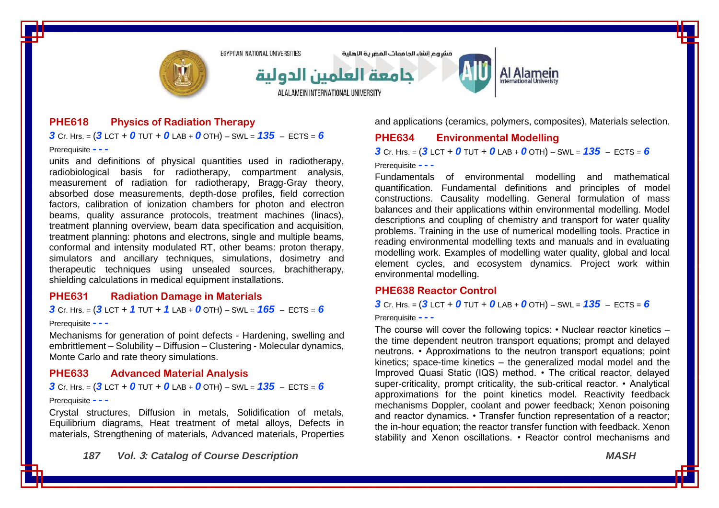

## **PHE618 Physics of Radiation Therapy**

 $3$  Cr. Hrs. =  $(3$  LCT + 0 TUT + 0 LAB + 0 OTH) – SWL =  $135$  – ECTS = 6

Prerequisite **- - -**

units and definitions of physical quantities used in radiotherapy, radiobiological basis for radiotherapy, compartment analysis, measurement of radiation for radiotherapy, Bragg-Gray theory, absorbed dose measurements, depth-dose profiles, field correction factors, calibration of ionization chambers for photon and electron beams, quality assurance protocols, treatment machines (linacs), treatment planning overview, beam data specification and acquisition, treatment planning: photons and electrons, single and multiple beams, conformal and intensity modulated RT, other beams: proton therapy, simulators and ancillary techniques, simulations, dosimetry and therapeutic techniques using unsealed sources, brachitherapy, shielding calculations in medical equipment installations.

#### **PHE631 Radiation Damage in Materials**

*3* Cr. Hrs. = (*3* LCT + *1* TUT + *1* LAB + *0* OTH) – SWL = *165* – ECTS = *6*

#### Prerequisite **- - -**

Mechanisms for generation of point defects - Hardening, swelling and embrittlement – Solubility – Diffusion – Clustering - Molecular dynamics, Monte Carlo and rate theory simulations.

### **PHE633 Advanced Material Analysis**

*3* Cr. Hrs. = (*3* LCT + *0* TUT + *0* LAB + *0* OTH) – SWL = *135* – ECTS = *6*

#### Prerequisite **- - -**

Crystal structures, Diffusion in metals, Solidification of metals, Equilibrium diagrams, Heat treatment of metal alloys, Defects in materials, Strengthening of materials, Advanced materials, Properties

*187 Vol.* **3***: Catalog of Course Description MASH*

and applications (ceramics, polymers, composites), Materials selection.

### **PHE634 Environmental Modelling**

 $3$  Cr. Hrs. =  $(3$  LCT + 0 TUT + 0 LAB + 0 OTH) – SWL =  $135$  – ECTS = 6

Prerequisite **- - -**

Fundamentals of environmental modelling and mathematical quantification. Fundamental definitions and principles of model constructions. Causality modelling. General formulation of mass balances and their applications within environmental modelling. Model descriptions and coupling of chemistry and transport for water quality problems. Training in the use of numerical modelling tools. Practice in reading environmental modelling texts and manuals and in evaluating modelling work. Examples of modelling water quality, global and local element cycles, and ecosystem dynamics. Project work within environmental modelling.

#### **PHE638 Reactor Control**

#### **3** Cr. Hrs. =  $(3$  LCT + 0 TUT + 0 LAB + 0 OTH) – SWL =  $135$  – ECTS = 6

Prerequisite **- - -**

The course will cover the following topics: • Nuclear reactor kinetics – the time dependent neutron transport equations; prompt and delayed neutrons. • Approximations to the neutron transport equations; point kinetics; space-time kinetics – the generalized modal model and the Improved Quasi Static (IQS) method. • The critical reactor, delayed super-criticality, prompt criticality, the sub-critical reactor. • Analytical approximations for the point kinetics model. Reactivity feedback mechanisms Doppler, coolant and power feedback; Xenon poisoning and reactor dynamics. • Transfer function representation of a reactor; the in-hour equation; the reactor transfer function with feedback. Xenon stability and Xenon oscillations. • Reactor control mechanisms and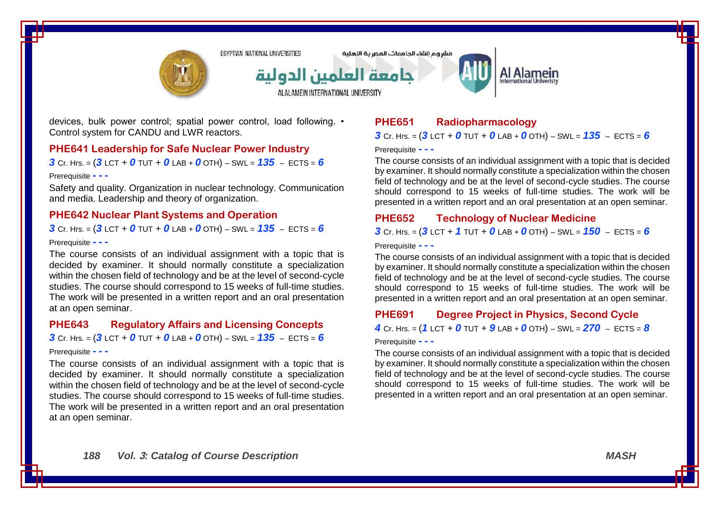

مشروع انشاء الحامعات المصرية الاهلية



devices, bulk power control; spatial power control, load following. • Control system for CANDU and LWR reactors.

#### **PHE641 Leadership for Safe Nuclear Power Industry**

**3** Cr. Hrs. =  $(3$  LCT + 0 TUT + 0 LAB + 0 OTH) – SWL =  $135$  – ECTS = 6

#### Prerequisite **- - -**

Safety and quality. Organization in nuclear technology. Communication and media. Leadership and theory of organization.

### **PHE642 Nuclear Plant Systems and Operation**

 $3$  Cr. Hrs. =  $(3$  LCT + 0 TUT + 0 LAB + 0 OTH) – SWL =  $135$  – ECTS = 6

#### Prerequisite **- - -**

The course consists of an individual assignment with a topic that is decided by examiner. It should normally constitute a specialization within the chosen field of technology and be at the level of second-cycle studies. The course should correspond to 15 weeks of full-time studies. The work will be presented in a written report and an oral presentation at an open seminar.

#### **PHE643 Regulatory Affairs and Licensing Concepts**

 $3$  Cr. Hrs. =  $(3$  LCT + 0 TUT + 0 LAB + 0 OTH) – SWL =  $135$  – ECTS = 6

#### Prerequisite **- - -**

The course consists of an individual assignment with a topic that is decided by examiner. It should normally constitute a specialization within the chosen field of technology and be at the level of second-cycle studies. The course should correspond to 15 weeks of full-time studies. The work will be presented in a written report and an oral presentation at an open seminar.

# **PHE651 Radiopharmacology**

### $3$  Cr. Hrs. =  $(3$  LCT + 0 TUT + 0 LAB + 0 OTH) – SWL =  $135$  – ECTS = 6

Prerequisite **- - -**

The course consists of an individual assignment with a topic that is decided by examiner. It should normally constitute a specialization within the chosen field of technology and be at the level of second-cycle studies. The course should correspond to 15 weeks of full-time studies. The work will be presented in a written report and an oral presentation at an open seminar.

Al Alamein

### **PHE652 Technology of Nuclear Medicine**

*3* Cr. Hrs. = (*3* LCT + *1* TUT + *0* LAB + *0* OTH) – SWL = *150* – ECTS = *6*

Prerequisite **- - -**

The course consists of an individual assignment with a topic that is decided by examiner. It should normally constitute a specialization within the chosen field of technology and be at the level of second-cycle studies. The course should correspond to 15 weeks of full-time studies. The work will be presented in a written report and an oral presentation at an open seminar.

# **PHE691 Degree Project in Physics, Second Cycle**

*4* Cr. Hrs. = (*1* LCT + *0* TUT + *9* LAB + *0* OTH) – SWL = *270* – ECTS = *8*

#### Prerequisite **- - -**

The course consists of an individual assignment with a topic that is decided by examiner. It should normally constitute a specialization within the chosen field of technology and be at the level of second-cycle studies. The course should correspond to 15 weeks of full-time studies. The work will be presented in a written report and an oral presentation at an open seminar.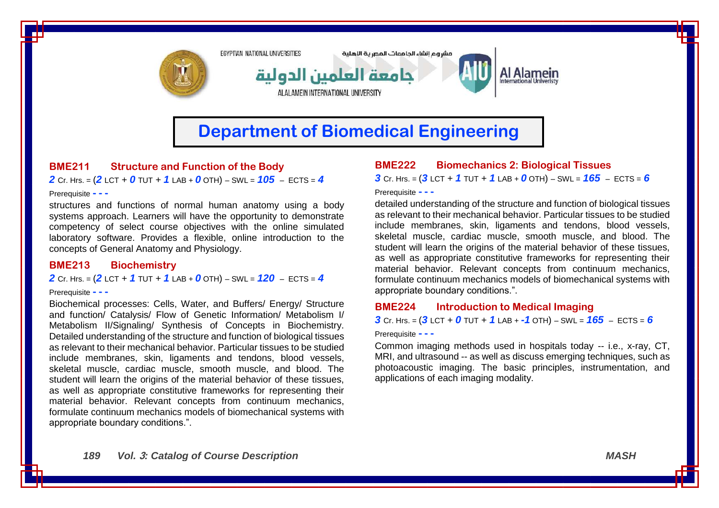

# **Department of Biomedical Engineering**

# **BME211 Structure and Function of the Body**

*2* Cr. Hrs. = (*2* LCT + *0* TUT + *1* LAB + *0* OTH) – SWL = *105* – ECTS = *4*

#### Prerequisite **- - -**

structures and functions of normal human anatomy using a body systems approach. Learners will have the opportunity to demonstrate competency of select course objectives with the online simulated laboratory software. Provides a flexible, online introduction to the concepts of General Anatomy and Physiology.

#### **BME213 Biochemistry**

*2* Cr. Hrs. = (*2* LCT + *1* TUT + *1* LAB + *0* OTH) – SWL = *120* – ECTS = *4*

#### Prerequisite **- - -**

Biochemical processes: Cells, Water, and Buffers/ Energy/ Structure and function/ Catalysis/ Flow of Genetic Information/ Metabolism I/ Metabolism II/Signaling/ Synthesis of Concepts in Biochemistry. Detailed understanding of the structure and function of biological tissues as relevant to their mechanical behavior. Particular tissues to be studied include membranes, skin, ligaments and tendons, blood vessels, skeletal muscle, cardiac muscle, smooth muscle, and blood. The student will learn the origins of the material behavior of these tissues, as well as appropriate constitutive frameworks for representing their material behavior. Relevant concepts from continuum mechanics, formulate continuum mechanics models of biomechanical systems with appropriate boundary conditions.".

# **BME222 Biomechanics 2: Biological Tissues**

*3* Cr. Hrs. = (*3* LCT + *1* TUT + *1* LAB + *0* OTH) – SWL = *165* – ECTS = *6*

Prerequisite **- - -**

detailed understanding of the structure and function of biological tissues as relevant to their mechanical behavior. Particular tissues to be studied include membranes, skin, ligaments and tendons, blood vessels, skeletal muscle, cardiac muscle, smooth muscle, and blood. The student will learn the origins of the material behavior of these tissues, as well as appropriate constitutive frameworks for representing their material behavior. Relevant concepts from continuum mechanics, formulate continuum mechanics models of biomechanical systems with appropriate boundary conditions.".

### **BME224 Introduction to Medical Imaging**

*3* Cr. Hrs. = (*3* LCT + *0* TUT + *1* LAB + *-1* OTH) – SWL = *165* – ECTS = *6*

Prerequisite **- - -**

Common imaging methods used in hospitals today -- i.e., x-ray, CT, MRI, and ultrasound -- as well as discuss emerging techniques, such as photoacoustic imaging. The basic principles, instrumentation, and applications of each imaging modality.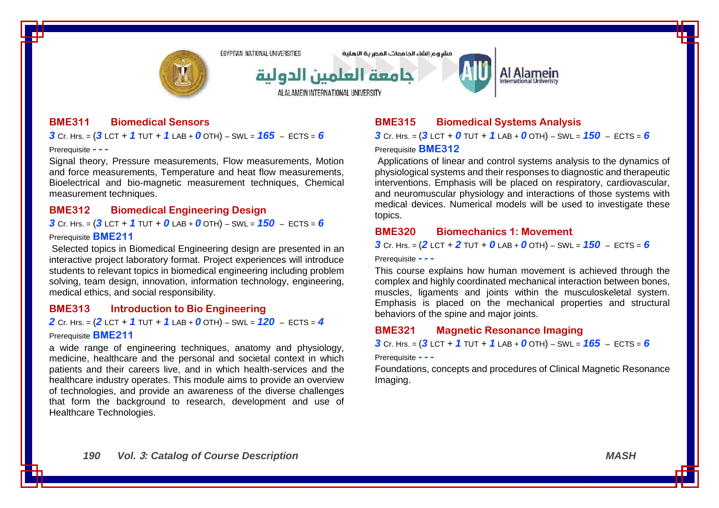

مشروع انشاء الحامعات المصرية الاهلية



# Al Alamein

**BME311 Biomedical Sensors**

*3* Cr. Hrs. = (*3* LCT + *1* TUT + *1* LAB + *0* OTH) – SWL = *165* – ECTS = *6*

Prerequisite **- - -**

Signal theory, Pressure measurements, Flow measurements, Motion and force measurements, Temperature and heat flow measurements, Bioelectrical and bio-magnetic measurement techniques, Chemical measurement techniques.

### **BME312 Biomedical Engineering Design**

*3* Cr. Hrs. = (*3* LCT + *1* TUT + *0* LAB + *0* OTH) – SWL = *150* – ECTS = *6* Prerequisite **BME211**

Selected topics in Biomedical Engineering design are presented in an interactive project laboratory format. Project experiences will introduce students to relevant topics in biomedical engineering including problem solving, team design, innovation, information technology, engineering, medical ethics, and social responsibility.

### **BME313 Introduction to Bio Engineering**

*2* Cr. Hrs. = (*2* LCT + *1* TUT + *1* LAB + *0* OTH) – SWL = *120* – ECTS = *4* Prerequisite **BME211**

a wide range of engineering techniques, anatomy and physiology, medicine, healthcare and the personal and societal context in which patients and their careers live, and in which health-services and the healthcare industry operates. This module aims to provide an overview of technologies, and provide an awareness of the diverse challenges that form the background to research, development and use of Healthcare Technologies.

# **BME315 Biomedical Systems Analysis**

*3* Cr. Hrs. = (*3* LCT + *0* TUT + *1* LAB + *0* OTH) – SWL = *150* – ECTS = *6* Prerequisite **BME312**

Applications of linear and control systems analysis to the dynamics of physiological systems and their responses to diagnostic and therapeutic interventions. Emphasis will be placed on respiratory, cardiovascular, and neuromuscular physiology and interactions of those systems with medical devices. Numerical models will be used to investigate these topics.

### **BME320 Biomechanics 1: Movement**

*3* Cr. Hrs. = (*2* LCT + *2* TUT + *0* LAB + *0* OTH) – SWL = *150* – ECTS = *6*

Prerequisite **- - -**

This course explains how human movement is achieved through the complex and highly coordinated mechanical interaction between bones, muscles, ligaments and joints within the musculoskeletal system. Emphasis is placed on the mechanical properties and structural behaviors of the spine and major joints.

### **BME321 Magnetic Resonance Imaging**

*3* Cr. Hrs. = (*3* LCT + *1* TUT + *1* LAB + *0* OTH) – SWL = *165* – ECTS = *6*

Prerequisite **- - -**

Foundations, concepts and procedures of Clinical Magnetic Resonance Imaging.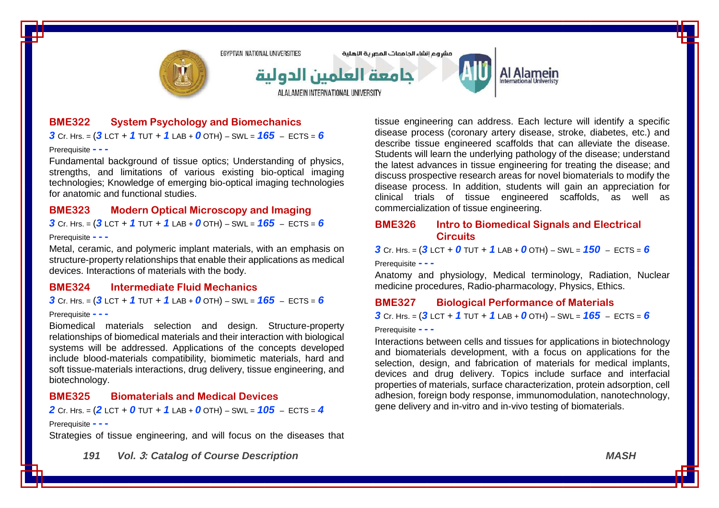

# **BME322 System Psychology and Biomechanics**

*3* Cr. Hrs. = (*3* LCT + *1* TUT + *1* LAB + *0* OTH) – SWL = *165* – ECTS = *6*

Prerequisite **- - -**

Fundamental background of tissue optics; Understanding of physics, strengths, and limitations of various existing bio-optical imaging technologies; Knowledge of emerging bio-optical imaging technologies for anatomic and functional studies.

# **BME323 Modern Optical Microscopy and Imaging**

 $3$  Cr. Hrs. =  $(3$  LCT +  $1$  TUT +  $1$  LAB +  $0$  OTH) – SWL =  $165$  – ECTS = 6

#### Prerequisite **- - -**

Metal, ceramic, and polymeric implant materials, with an emphasis on structure-property relationships that enable their applications as medical devices. Interactions of materials with the body.

#### **BME324 Intermediate Fluid Mechanics**

*3* Cr. Hrs. = (*3* LCT + *1* TUT + *1* LAB + *0* OTH) – SWL = *165* – ECTS = *6*

#### Prerequisite **- - -**

Biomedical materials selection and design. Structure-property relationships of biomedical materials and their interaction with biological systems will be addressed. Applications of the concepts developed include blood-materials compatibility, biomimetic materials, hard and soft tissue-materials interactions, drug delivery, tissue engineering, and biotechnology.

#### **BME325 Biomaterials and Medical Devices**

*2* Cr. Hrs. = (*2* LCT + *0* TUT + *1* LAB + *0* OTH) – SWL = *105* – ECTS = *4*

#### Prerequisite **- - -**

Strategies of tissue engineering, and will focus on the diseases that

*191 Vol.* **3***: Catalog of Course Description MASH*

tissue engineering can address. Each lecture will identify a specific disease process (coronary artery disease, stroke, diabetes, etc.) and describe tissue engineered scaffolds that can alleviate the disease. Students will learn the underlying pathology of the disease; understand the latest advances in tissue engineering for treating the disease; and discuss prospective research areas for novel biomaterials to modify the disease process. In addition, students will gain an appreciation for clinical trials of tissue engineered scaffolds, as well as commercialization of tissue engineering.

#### **BME326 Intro to Biomedical Signals and Electrical Circuits**

**3** Cr. Hrs. =  $(3$  LCT + 0 TUT + 1 LAB + 0 OTH) – SWL =  $150$  – ECTS = 6

Prerequisite **- - -**

Anatomy and physiology, Medical terminology, Radiation, Nuclear medicine procedures, Radio-pharmacology, Physics, Ethics.

#### **BME327 Biological Performance of Materials**

*3* Cr. Hrs. = (*3* LCT + *1* TUT + *1* LAB + *0* OTH) – SWL = *165* – ECTS = *6*

Prerequisite **- - -**

Interactions between cells and tissues for applications in biotechnology and biomaterials development, with a focus on applications for the selection, design, and fabrication of materials for medical implants, devices and drug delivery. Topics include surface and interfacial properties of materials, surface characterization, protein adsorption, cell adhesion, foreign body response, immunomodulation, nanotechnology, gene delivery and in-vitro and in-vivo testing of biomaterials.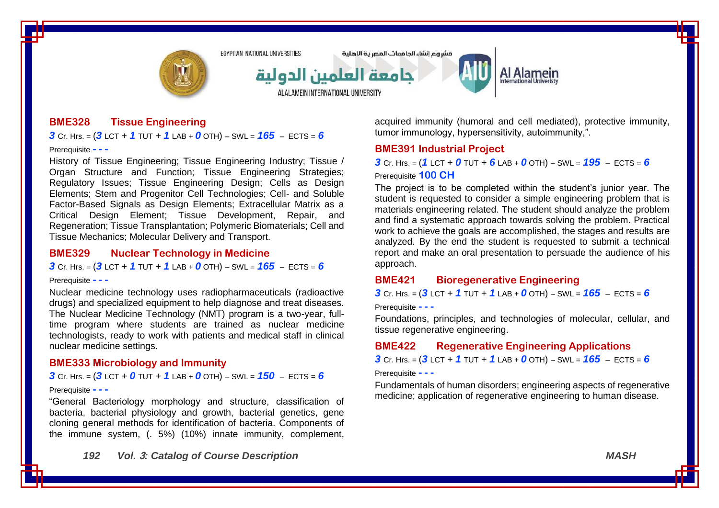

مشروع انشاء الحامعات المصرية الاهلية



# Al Alamein

**BME328 Tissue Engineering**

*3* Cr. Hrs. = (*3* LCT + *1* TUT + *1* LAB + *0* OTH) – SWL = *165* – ECTS = *6*

Prerequisite **- - -**

History of Tissue Engineering; Tissue Engineering Industry; Tissue / Organ Structure and Function; Tissue Engineering Strategies; Regulatory Issues; Tissue Engineering Design; Cells as Design Elements; Stem and Progenitor Cell Technologies; Cell- and Soluble Factor-Based Signals as Design Elements; Extracellular Matrix as a Critical Design Element; Tissue Development, Repair, and Regeneration; Tissue Transplantation; Polymeric Biomaterials; Cell and Tissue Mechanics; Molecular Delivery and Transport.

### **BME329 Nuclear Technology in Medicine**

*3* Cr. Hrs. = (*3* LCT + *1* TUT + *1* LAB + *0* OTH) – SWL = *165* – ECTS = *6*

#### Prerequisite **- - -**

Nuclear medicine technology uses radiopharmaceuticals (radioactive drugs) and specialized equipment to help diagnose and treat diseases. The Nuclear Medicine Technology (NMT) program is a two-year, fulltime program where students are trained as nuclear medicine technologists, ready to work with patients and medical staff in clinical nuclear medicine settings.

#### **BME333 Microbiology and Immunity**

**3** Cr. Hrs. =  $(3$  LCT + 0 TUT + 1 LAB + 0 OTH) – SWL =  $150$  – ECTS = 6

#### Prerequisite **- - -**

"General Bacteriology morphology and structure, classification of bacteria, bacterial physiology and growth, bacterial genetics, gene cloning general methods for identification of bacteria. Components of the immune system, (. 5%) (10%) innate immunity, complement,

acquired immunity (humoral and cell mediated), protective immunity, tumor immunology, hypersensitivity, autoimmunity,".

### **BME391 Industrial Project**

*3* Cr. Hrs. = (*1* LCT + *0* TUT + *6* LAB + *0* OTH) – SWL = *195* – ECTS = *6* Prerequisite **100 CH**

The project is to be completed within the student's junior year. The student is requested to consider a simple engineering problem that is materials engineering related. The student should analyze the problem and find a systematic approach towards solving the problem. Practical work to achieve the goals are accomplished, the stages and results are analyzed. By the end the student is requested to submit a technical report and make an oral presentation to persuade the audience of his approach.

### **BME421 Bioregenerative Engineering**

*3* Cr. Hrs. = (*3* LCT + *1* TUT + *1* LAB + *0* OTH) – SWL = *165* – ECTS = *6*

Prerequisite **- - -**

Foundations, principles, and technologies of molecular, cellular, and tissue regenerative engineering.

#### **BME422 Regenerative Engineering Applications**

*3* Cr. Hrs. = (*3* LCT + *1* TUT + *1* LAB + *0* OTH) – SWL = *165* – ECTS = *6*

Prerequisite **- - -**

Fundamentals of human disorders; engineering aspects of regenerative medicine; application of regenerative engineering to human disease.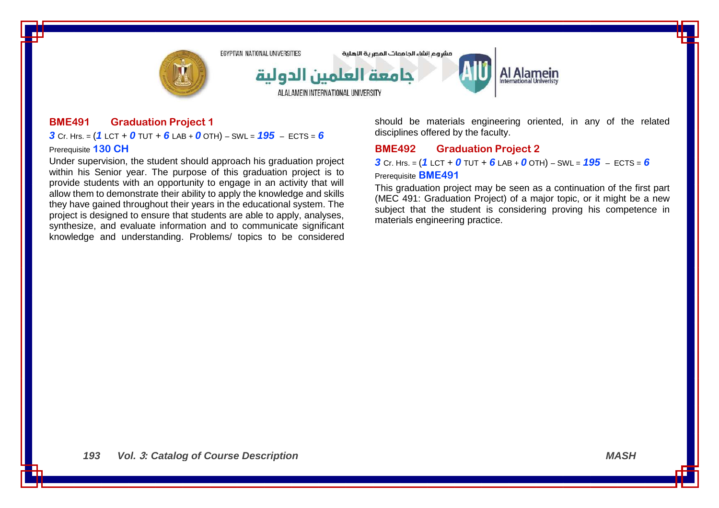

# **BME491 Graduation Project 1**

*3* Cr. Hrs. = (*1* LCT + *0* TUT + *6* LAB + *0* OTH) – SWL = *195* – ECTS = *6* Prerequisite **130 CH**

Under supervision, the student should approach his graduation project within his Senior year. The purpose of this graduation project is to provide students with an opportunity to engage in an activity that will allow them to demonstrate their ability to apply the knowledge and skills they have gained throughout their years in the educational system. The project is designed to ensure that students are able to apply, analyses, synthesize, and evaluate information and to communicate significant knowledge and understanding. Problems/ topics to be considered should be materials engineering oriented, in any of the related disciplines offered by the faculty.

## **BME492 Graduation Project 2**

*3* Cr. Hrs. = (*1* LCT + *0* TUT + *6* LAB + *0* OTH) – SWL = *195* – ECTS = *6*

#### Prerequisite **BME491**

This graduation project may be seen as a continuation of the first part (MEC 491: Graduation Project) of a major topic, or it might be a new subject that the student is considering proving his competence in materials engineering practice.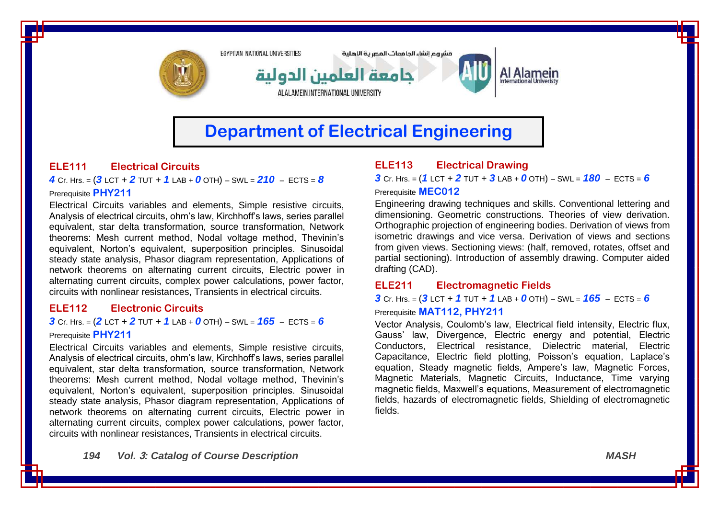

# **Department of Electrical Engineering**

# **ELE111 Electrical Circuits**

*4* Cr. Hrs. = (*3* LCT + *2* TUT + *1* LAB + *0* OTH) – SWL = *210* – ECTS = *8* Prerequisite **PHY211**

Electrical Circuits variables and elements, Simple resistive circuits, Analysis of electrical circuits, ohm's law, Kirchhoff's laws, series parallel equivalent, star delta transformation, source transformation, Network theorems: Mesh current method, Nodal voltage method, Thevinin's equivalent, Norton's equivalent, superposition principles. Sinusoidal steady state analysis, Phasor diagram representation, Applications of network theorems on alternating current circuits, Electric power in alternating current circuits, complex power calculations, power factor, circuits with nonlinear resistances, Transients in electrical circuits.

# **ELE112 Electronic Circuits**

*3* Cr. Hrs. =  $(2$  LCT + 2 TUT + 1 LAB + 0 OTH) – SWL =  $165$  – ECTS = 6 Prerequisite **PHY211**

Electrical Circuits variables and elements, Simple resistive circuits, Analysis of electrical circuits, ohm's law, Kirchhoff's laws, series parallel equivalent, star delta transformation, source transformation, Network theorems: Mesh current method, Nodal voltage method, Thevinin's equivalent, Norton's equivalent, superposition principles. Sinusoidal steady state analysis, Phasor diagram representation, Applications of network theorems on alternating current circuits, Electric power in alternating current circuits, complex power calculations, power factor, circuits with nonlinear resistances, Transients in electrical circuits.

# **ELE113 Electrical Drawing**

*3* Cr. Hrs. = (*1* LCT + *2* TUT + *3* LAB + *0* OTH) – SWL = *180* – ECTS = *6* Prerequisite **MEC012**

Engineering drawing techniques and skills. Conventional lettering and dimensioning. Geometric constructions. Theories of view derivation. Orthographic projection of engineering bodies. Derivation of views from isometric drawings and vice versa. Derivation of views and sections from given views. Sectioning views: (half, removed, rotates, offset and partial sectioning). Introduction of assembly drawing. Computer aided drafting (CAD).

# **ELE211 Electromagnetic Fields**

*3* Cr. Hrs. = (*3* LCT + *1* TUT + *1* LAB + *0* OTH) – SWL = *165* – ECTS = *6* Prerequisite **MAT112, PHY211**

Vector Analysis, Coulomb's law, Electrical field intensity, Electric flux, Gauss' law, Divergence, Electric energy and potential, Electric Conductors, Electrical resistance, Dielectric material, Electric Capacitance, Electric field plotting, Poisson's equation, Laplace's equation, Steady magnetic fields, Ampere's law, Magnetic Forces, Magnetic Materials, Magnetic Circuits, Inductance, Time varying magnetic fields, Maxwell's equations, Measurement of electromagnetic fields, hazards of electromagnetic fields, Shielding of electromagnetic fields.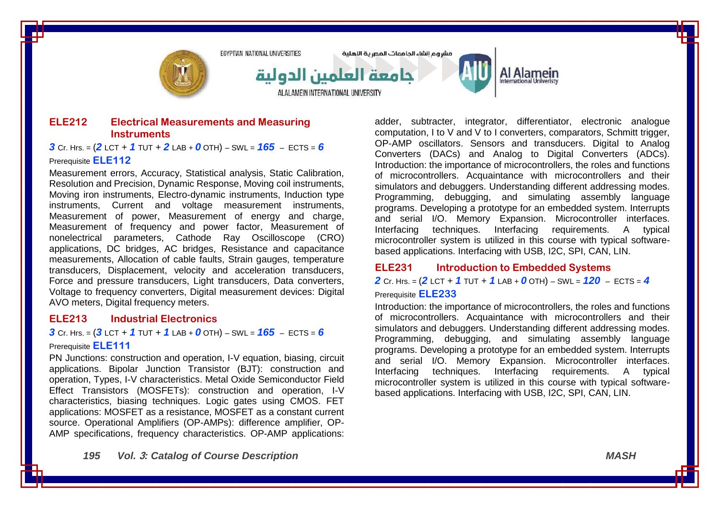

## **ELE212 Electrical Measurements and Measuring Instruments**

**3** Cr. Hrs. =  $(2$  LCT + 1 TUT + 2 LAB + 0 OTH) – SWL =  $165$  – ECTS = 6

#### Prerequisite **ELE112**

Measurement errors, Accuracy, Statistical analysis, Static Calibration, Resolution and Precision, Dynamic Response, Moving coil instruments, Moving iron instruments, Electro-dynamic instruments, Induction type instruments, Current and voltage measurement instruments, Measurement of power, Measurement of energy and charge, Measurement of frequency and power factor, Measurement of nonelectrical parameters, Cathode Ray Oscilloscope (CRO) applications, DC bridges, AC bridges, Resistance and capacitance measurements, Allocation of cable faults, Strain gauges, temperature transducers, Displacement, velocity and acceleration transducers, Force and pressure transducers, Light transducers, Data converters, Voltage to frequency converters, Digital measurement devices: Digital AVO meters, Digital frequency meters.

## **ELE213 Industrial Electronics**

*3* Cr. Hrs. = (*3* LCT + *1* TUT + *1* LAB + *0* OTH) – SWL = *165* – ECTS = *6* Prerequisite **ELE111**

PN Junctions: construction and operation, I-V equation, biasing, circuit applications. Bipolar Junction Transistor (BJT): construction and operation, Types, I-V characteristics. Metal Oxide Semiconductor Field Effect Transistors (MOSFETs): construction and operation, I-V characteristics, biasing techniques. Logic gates using CMOS. FET applications: MOSFET as a resistance, MOSFET as a constant current source. Operational Amplifiers (OP-AMPs): difference amplifier, OP-AMP specifications, frequency characteristics. OP-AMP applications:

Al Alamein

adder, subtracter, integrator, differentiator, electronic analogue computation, I to V and V to I converters, comparators, Schmitt trigger, OP-AMP oscillators. Sensors and transducers. Digital to Analog Converters (DACs) and Analog to Digital Converters (ADCs). Introduction: the importance of microcontrollers, the roles and functions of microcontrollers. Acquaintance with microcontrollers and their simulators and debuggers. Understanding different addressing modes. Programming, debugging, and simulating assembly language programs. Developing a prototype for an embedded system. Interrupts and serial I/O. Memory Expansion. Microcontroller interfaces. Interfacing techniques. Interfacing requirements. A typical microcontroller system is utilized in this course with typical softwarebased applications. Interfacing with USB, I2C, SPI, CAN, LIN.

### **ELE231 Introduction to Embedded Systems**

*2* Cr. Hrs. = (*2* LCT + *1* TUT + *1* LAB + *0* OTH) – SWL = *120* – ECTS = *4* Prerequisite **ELE233**

Introduction: the importance of microcontrollers, the roles and functions of microcontrollers. Acquaintance with microcontrollers and their simulators and debuggers. Understanding different addressing modes. Programming, debugging, and simulating assembly language programs. Developing a prototype for an embedded system. Interrupts and serial I/O. Memory Expansion. Microcontroller interfaces. Interfacing techniques. Interfacing requirements. A typical microcontroller system is utilized in this course with typical softwarebased applications. Interfacing with USB, I2C, SPI, CAN, LIN.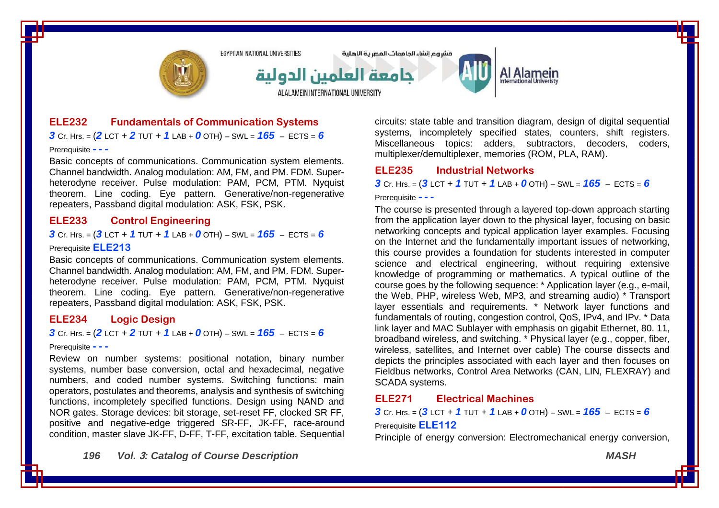

### **ELE232 Fundamentals of Communication Systems**

*3* Cr. Hrs. = (*2* LCT + *2* TUT + *1* LAB + *0* OTH) – SWL = *165* – ECTS = *6*

#### Prerequisite **- - -**

Basic concepts of communications. Communication system elements. Channel bandwidth. Analog modulation: AM, FM, and PM. FDM. Superheterodyne receiver. Pulse modulation: PAM, PCM, PTM. Nyquist theorem. Line coding. Eye pattern. Generative/non-regenerative repeaters, Passband digital modulation: ASK, FSK, PSK.

### **ELE233 Control Engineering**

*3* Cr. Hrs. = (*3* LCT + *1* TUT + *1* LAB + *0* OTH) – SWL = *165* – ECTS = *6*

#### Prerequisite **ELE213**

Basic concepts of communications. Communication system elements. Channel bandwidth. Analog modulation: AM, FM, and PM. FDM. Superheterodyne receiver. Pulse modulation: PAM, PCM, PTM, Nyquist theorem. Line coding. Eye pattern. Generative/non-regenerative repeaters, Passband digital modulation: ASK, FSK, PSK.

### **ELE234 Logic Design**

**3** Cr. Hrs. =  $(2$  LCT + 2 TUT + 1 LAB + 0 OTH) – SWL =  $165$  – ECTS = 6

#### Prerequisite **- - -**

Review on number systems: positional notation, binary number systems, number base conversion, octal and hexadecimal, negative numbers, and coded number systems. Switching functions: main operators, postulates and theorems, analysis and synthesis of switching functions, incompletely specified functions. Design using NAND and NOR gates. Storage devices: bit storage, set-reset FF, clocked SR FF, positive and negative-edge triggered SR-FF, JK-FF, race-around condition, master slave JK-FF, D-FF, T-FF, excitation table. Sequential circuits: state table and transition diagram, design of digital sequential systems, incompletely specified states, counters, shift registers. Miscellaneous topics: adders, subtractors, decoders, coders, multiplexer/demultiplexer, memories (ROM, PLA, RAM).

#### **ELE235 Industrial Networks**

*3* Cr. Hrs. = (*3* LCT + *1* TUT + *1* LAB + *0* OTH) – SWL = *165* – ECTS = *6*

#### Prerequisite **- - -**

The course is presented through a layered top-down approach starting from the application layer down to the physical layer, focusing on basic networking concepts and typical application layer examples. Focusing on the Internet and the fundamentally important issues of networking, this course provides a foundation for students interested in computer science and electrical engineering, without requiring extensive knowledge of programming or mathematics. A typical outline of the course goes by the following sequence: \* Application layer (e.g., e-mail, the Web, PHP, wireless Web, MP3, and streaming audio) \* Transport layer essentials and requirements. \* Network layer functions and fundamentals of routing, congestion control, QoS, IPv4, and IPv. \* Data link layer and MAC Sublayer with emphasis on gigabit Ethernet, 80. 11, broadband wireless, and switching. \* Physical layer (e.g., copper, fiber, wireless, satellites, and Internet over cable) The course dissects and depicts the principles associated with each layer and then focuses on Fieldbus networks, Control Area Networks (CAN, LIN, FLEXRAY) and SCADA systems.

#### **ELE271 Electrical Machines**

*3* Cr. Hrs. = (*3* LCT + *1* TUT + *1* LAB + *0* OTH) – SWL = *165* – ECTS = *6* Prerequisite **ELE112**

Principle of energy conversion: Electromechanical energy conversion,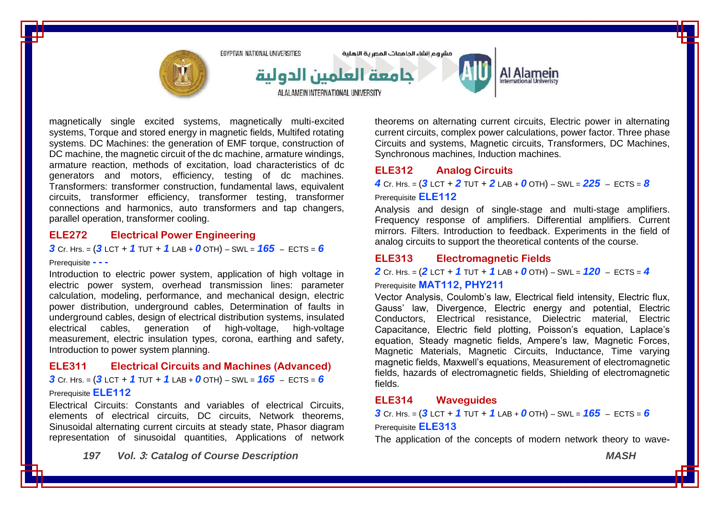

magnetically single excited systems, magnetically multi-excited systems, Torque and stored energy in magnetic fields, Multifed rotating systems. DC Machines: the generation of EMF torque, construction of DC machine, the magnetic circuit of the dc machine, armature windings, armature reaction, methods of excitation, load characteristics of dc generators and motors, efficiency, testing of dc machines. Transformers: transformer construction, fundamental laws, equivalent circuits, transformer efficiency, transformer testing, transformer connections and harmonics, auto transformers and tap changers, parallel operation, transformer cooling.

#### **ELE272 Electrical Power Engineering**

*3* Cr. Hrs. = (*3* LCT + *1* TUT + *1* LAB + *0* OTH) – SWL = *165* – ECTS = *6*

#### Prerequisite **- - -**

Introduction to electric power system, application of high voltage in electric power system, overhead transmission lines: parameter calculation, modeling, performance, and mechanical design, electric power distribution, underground cables, Determination of faults in underground cables, design of electrical distribution systems, insulated electrical cables, generation of high-voltage, high-voltage measurement, electric insulation types, corona, earthing and safety, Introduction to power system planning.

### **ELE311 Electrical Circuits and Machines (Advanced)**

**3** Cr. Hrs. =  $(3$  LCT + 1 TUT + 1 LAB + 0 OTH) – SWL =  $165$  – ECTS = 6

#### Prerequisite **ELE112**

Electrical Circuits: Constants and variables of electrical Circuits, elements of electrical circuits, DC circuits, Network theorems, Sinusoidal alternating current circuits at steady state, Phasor diagram representation of sinusoidal quantities, Applications of network

*197 Vol.* **3***: Catalog of Course Description MASH*

theorems on alternating current circuits, Electric power in alternating current circuits, complex power calculations, power factor. Three phase Circuits and systems, Magnetic circuits, Transformers, DC Machines, Synchronous machines, Induction machines.

### **ELE312 Analog Circuits**

*4* Cr. Hrs. = (*3* LCT + *2* TUT + *2* LAB + *0* OTH) – SWL = *225* – ECTS = *8*

#### Prerequisite **ELE112**

Analysis and design of single-stage and multi-stage amplifiers. Frequency response of amplifiers. Differential amplifiers. Current mirrors. Filters. Introduction to feedback. Experiments in the field of analog circuits to support the theoretical contents of the course.

### **ELE313 Electromagnetic Fields**

*2* Cr. Hrs. = (*2* LCT + *1* TUT + *1* LAB + *0* OTH) – SWL = *120* – ECTS = *4* Prerequisite **MAT112, PHY211**

Vector Analysis, Coulomb's law, Electrical field intensity, Electric flux, Gauss' law, Divergence, Electric energy and potential, Electric Conductors, Electrical resistance, Dielectric material, Electric Capacitance, Electric field plotting, Poisson's equation, Laplace's equation, Steady magnetic fields, Ampere's law, Magnetic Forces, Magnetic Materials, Magnetic Circuits, Inductance, Time varying magnetic fields, Maxwell's equations, Measurement of electromagnetic fields, hazards of electromagnetic fields, Shielding of electromagnetic fields.

#### **ELE314 Waveguides**

*3* Cr. Hrs. = (*3* LCT + *1* TUT + *1* LAB + *0* OTH) – SWL = *165* – ECTS = *6* Prerequisite **ELE313**

The application of the concepts of modern network theory to wave-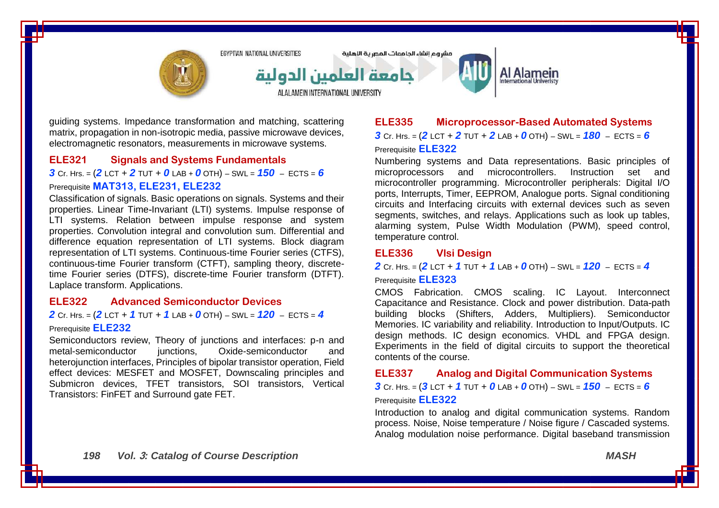

guiding systems. Impedance transformation and matching, scattering matrix, propagation in non-isotropic media, passive microwave devices, electromagnetic resonators, measurements in microwave systems.

#### **ELE321 Signals and Systems Fundamentals**

*3* Cr. Hrs. = (*2* LCT + *2* TUT + *0* LAB + *0* OTH) – SWL = *150* – ECTS = *6*

#### Prerequisite **MAT313, ELE231, ELE232**

Classification of signals. Basic operations on signals. Systems and their properties. Linear Time-Invariant (LTI) systems. Impulse response of LTI systems. Relation between impulse response and system properties. Convolution integral and convolution sum. Differential and difference equation representation of LTI systems. Block diagram representation of LTI systems. Continuous-time Fourier series (CTFS), continuous-time Fourier transform (CTFT), sampling theory, discretetime Fourier series (DTFS), discrete-time Fourier transform (DTFT). Laplace transform. Applications.

### **ELE322 Advanced Semiconductor Devices**

### *2* Cr. Hrs. = (*2* LCT + *1* TUT + *1* LAB + *0* OTH) – SWL = *120* – ECTS = *4* Prerequisite **ELE232**

Semiconductors review, Theory of junctions and interfaces: p-n and metal-semiconductor iunctions. Oxide-semiconductor and heterojunction interfaces, Principles of bipolar transistor operation, Field effect devices: MESFET and MOSFET, Downscaling principles and Submicron devices, TFET transistors, SOI transistors, Vertical Transistors: FinFET and Surround gate FET.

# **ELE335 Microprocessor-Based Automated Systems** *3* Cr. Hrs. = (*2* LCT + *2* TUT + *2* LAB + *0* OTH) – SWL = *180* – ECTS = *6*

#### Prerequisite **ELE322**

Numbering systems and Data representations. Basic principles of microprocessors and microcontrollers. Instruction set and microcontroller programming. Microcontroller peripherals: Digital I/O ports, Interrupts, Timer, EEPROM, Analogue ports. Signal conditioning circuits and Interfacing circuits with external devices such as seven segments, switches, and relays. Applications such as look up tables, alarming system, Pulse Width Modulation (PWM), speed control, temperature control.

#### **ELE336 Vlsi Design**

*2* Cr. Hrs. = (*2* LCT + *1* TUT + *1* LAB + *0* OTH) – SWL = *120* – ECTS = *4*

Prerequisite **ELE323**

CMOS Fabrication. CMOS scaling. IC Layout. Interconnect Capacitance and Resistance. Clock and power distribution. Data-path building blocks (Shifters, Adders, Multipliers). Semiconductor Memories. IC variability and reliability. Introduction to Input/Outputs. IC design methods. IC design economics. VHDL and FPGA design. Experiments in the field of digital circuits to support the theoretical contents of the course.

**ELE337 Analog and Digital Communication Systems**

*3* Cr. Hrs. = (*3* LCT + *1* TUT + *0* LAB + *0* OTH) – SWL = *150* – ECTS = *6*

#### Prerequisite **ELE322**

Introduction to analog and digital communication systems. Random process. Noise, Noise temperature / Noise figure / Cascaded systems. Analog modulation noise performance. Digital baseband transmission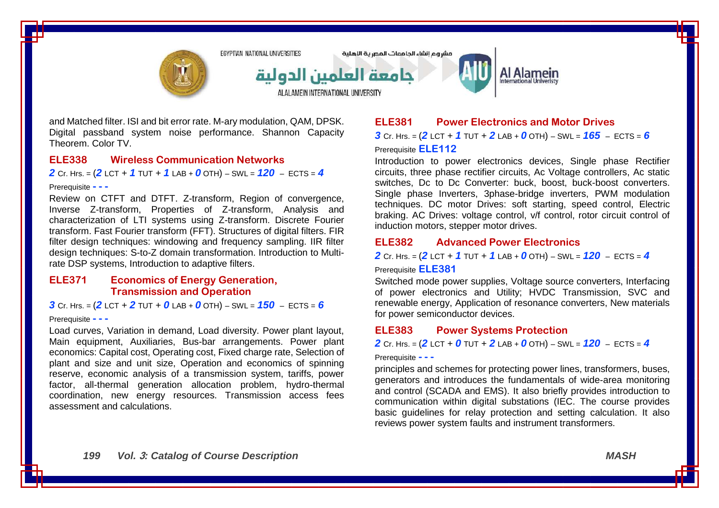

and Matched filter. ISI and bit error rate. M-ary modulation, QAM, DPSK. Digital passband system noise performance. Shannon Capacity Theorem. Color TV

#### **ELE338 Wireless Communication Networks**

*2* Cr. Hrs. = (*2* LCT + *1* TUT + *1* LAB + *0* OTH) – SWL = *120* – ECTS = *4*

#### Prerequisite **- - -**

Review on CTFT and DTFT. Z-transform, Region of convergence, Inverse Z-transform, Properties of Z-transform, Analysis and characterization of LTI systems using Z-transform. Discrete Fourier transform. Fast Fourier transform (FFT). Structures of digital filters. FIR filter design techniques: windowing and frequency sampling. IIR filter design techniques: S-to-Z domain transformation. Introduction to Multirate DSP systems, Introduction to adaptive filters.

## **ELE371 Economics of Energy Generation, Transmission and Operation**

*3* Cr. Hrs. = (*2* LCT + *2* TUT + *0* LAB + *0* OTH) – SWL = *150* – ECTS = *6*

#### Prerequisite **- - -**

Load curves, Variation in demand, Load diversity. Power plant layout, Main equipment, Auxiliaries, Bus-bar arrangements. Power plant economics: Capital cost, Operating cost, Fixed charge rate, Selection of plant and size and unit size, Operation and economics of spinning reserve, economic analysis of a transmission system, tariffs, power factor, all-thermal generation allocation problem, hydro-thermal coordination, new energy resources. Transmission access fees assessment and calculations.

### **ELE381 Power Electronics and Motor Drives**

*3* Cr. Hrs. = (*2* LCT + *1* TUT + *2* LAB + *0* OTH) – SWL = *165* – ECTS = *6* Prerequisite **ELE112**

Introduction to power electronics devices, Single phase Rectifier circuits, three phase rectifier circuits, Ac Voltage controllers, Ac static switches, Dc to Dc Converter: buck, boost, buck-boost converters. Single phase Inverters, 3phase-bridge inverters, PWM modulation techniques. DC motor Drives: soft starting, speed control, Electric braking. AC Drives: voltage control, v/f control, rotor circuit control of induction motors, stepper motor drives.

# **ELE382 Advanced Power Electronics**

*2* Cr. Hrs. = (*2* LCT + *1* TUT + *1* LAB + *0* OTH) – SWL = *120* – ECTS = *4* Prerequisite **ELE381**

Switched mode power supplies, Voltage source converters, Interfacing of power electronics and Utility; HVDC Transmission, SVC and renewable energy, Application of resonance converters, New materials for power semiconductor devices.

### **ELE383 Power Systems Protection**

*2* Cr. Hrs. = (*2* LCT + *0* TUT + *2* LAB + *0* OTH) – SWL = *120* – ECTS = *4*

#### Prerequisite **- - -**

principles and schemes for protecting power lines, transformers, buses, generators and introduces the fundamentals of wide-area monitoring and control (SCADA and EMS). It also briefly provides introduction to communication within digital substations (IEC. The course provides basic guidelines for relay protection and setting calculation. It also reviews power system faults and instrument transformers.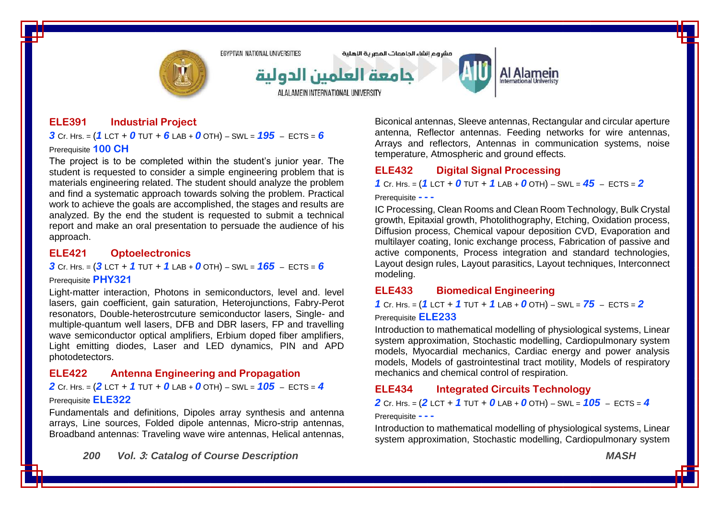

مشروع انشاء الحامعات المصرية اللهلية



# Al Alamein

**ELE391 Industrial Project**

*3* Cr. Hrs. = (*1* LCT + *0* TUT + *6* LAB + *0* OTH) – SWL = *195* – ECTS = *6* Prerequisite **100 CH**

The project is to be completed within the student's junior year. The student is requested to consider a simple engineering problem that is materials engineering related. The student should analyze the problem and find a systematic approach towards solving the problem. Practical work to achieve the goals are accomplished, the stages and results are analyzed. By the end the student is requested to submit a technical report and make an oral presentation to persuade the audience of his approach.

### **ELE421 Optoelectronics**

*3* Cr. Hrs. = (*3* LCT + *1* TUT + *1* LAB + *0* OTH) – SWL = *165* – ECTS = *6*

#### Prerequisite **PHY321**

Light-matter interaction, Photons in semiconductors, level and. level lasers, gain coefficient, gain saturation, Heterojunctions, Fabry-Perot resonators, Double-heterostrcuture semiconductor lasers, Single- and multiple-quantum well lasers, DFB and DBR lasers, FP and travelling wave semiconductor optical amplifiers, Erbium doped fiber amplifiers, Light emitting diodes, Laser and LED dynamics, PIN and APD photodetectors.

#### **ELE422 Antenna Engineering and Propagation**

*2* Cr. Hrs. = (*2* LCT + *1* TUT + *0* LAB + *0* OTH) – SWL = *105* – ECTS = *4* Prerequisite **ELE322**

Fundamentals and definitions, Dipoles array synthesis and antenna arrays, Line sources, Folded dipole antennas, Micro-strip antennas, Broadband antennas: Traveling wave wire antennas, Helical antennas,

*200 Vol.* **3***: Catalog of Course Description MASH*

Biconical antennas, Sleeve antennas, Rectangular and circular aperture antenna, Reflector antennas. Feeding networks for wire antennas, Arrays and reflectors, Antennas in communication systems, noise temperature, Atmospheric and ground effects.

# **ELE432 Digital Signal Processing**

*1* Cr. Hrs. = (*1* LCT + *0* TUT + *1* LAB + *0* OTH) – SWL = *45* – ECTS = *2*

#### Prerequisite **- - -**

IC Processing, Clean Rooms and Clean Room Technology, Bulk Crystal growth, Epitaxial growth, Photolithography, Etching, Oxidation process, Diffusion process, Chemical vapour deposition CVD, Evaporation and multilayer coating, Ionic exchange process, Fabrication of passive and active components, Process integration and standard technologies, Layout design rules, Layout parasitics, Layout techniques, Interconnect modeling.

### **ELE433 Biomedical Engineering**

*1* Cr. Hrs. = (*1* LCT + *1* TUT + *1* LAB + *0* OTH) – SWL = *75* – ECTS = *2* Prerequisite **ELE233**

Introduction to mathematical modelling of physiological systems, Linear system approximation, Stochastic modelling, Cardiopulmonary system models, Myocardial mechanics, Cardiac energy and power analysis models, Models of gastrointestinal tract motility, Models of respiratory mechanics and chemical control of respiration.

### **ELE434 Integrated Circuits Technology**

*2* Cr. Hrs. = (*2* LCT + *1* TUT + *0* LAB + *0* OTH) – SWL = *105* – ECTS = *4*

Prerequisite **- - -**

Introduction to mathematical modelling of physiological systems, Linear system approximation, Stochastic modelling, Cardiopulmonary system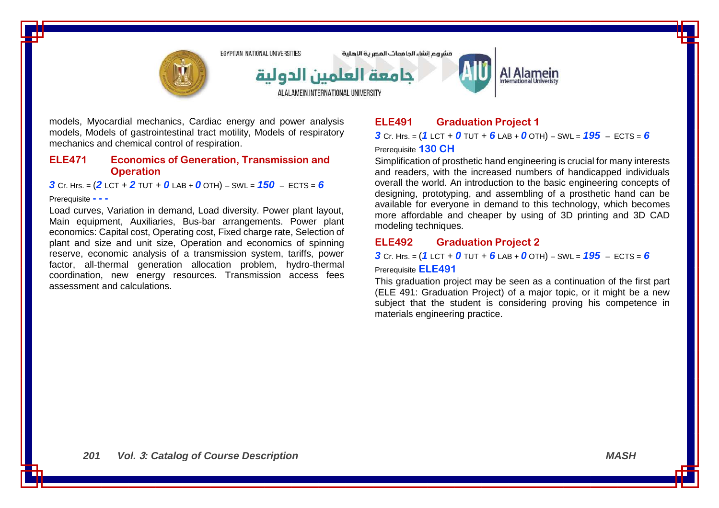

models, Myocardial mechanics, Cardiac energy and power analysis models, Models of gastrointestinal tract motility, Models of respiratory mechanics and chemical control of respiration.

### **ELE471 Economics of Generation, Transmission and Operation**

*3* Cr. Hrs. = (*2* LCT + *2* TUT + *0* LAB + *0* OTH) – SWL = *150* – ECTS = *6*

#### Prerequisite **- - -**

Load curves, Variation in demand, Load diversity. Power plant layout, Main equipment, Auxiliaries, Bus-bar arrangements. Power plant economics: Capital cost, Operating cost, Fixed charge rate, Selection of plant and size and unit size, Operation and economics of spinning reserve, economic analysis of a transmission system, tariffs, power factor, all-thermal generation allocation problem, hydro-thermal coordination, new energy resources. Transmission access fees assessment and calculations.

# **ELE491 Graduation Project 1**

*3* Cr. Hrs. = (*1* LCT + *0* TUT + *6* LAB + *0* OTH) – SWL = *195* – ECTS = *6* Prerequisite **130 CH**

Simplification of prosthetic hand engineering is crucial for many interests and readers, with the increased numbers of handicapped individuals overall the world. An introduction to the basic engineering concepts of designing, prototyping, and assembling of a prosthetic hand can be available for everyone in demand to this technology, which becomes more affordable and cheaper by using of 3D printing and 3D CAD modeling techniques.

## **ELE492 Graduation Project 2**

*3* Cr. Hrs. = (*1* LCT + *0* TUT + *6* LAB + *0* OTH) – SWL = *195* – ECTS = *6* Prerequisite **ELE491**

This graduation project may be seen as a continuation of the first part (ELE 491: Graduation Project) of a major topic, or it might be a new subject that the student is considering proving his competence in materials engineering practice.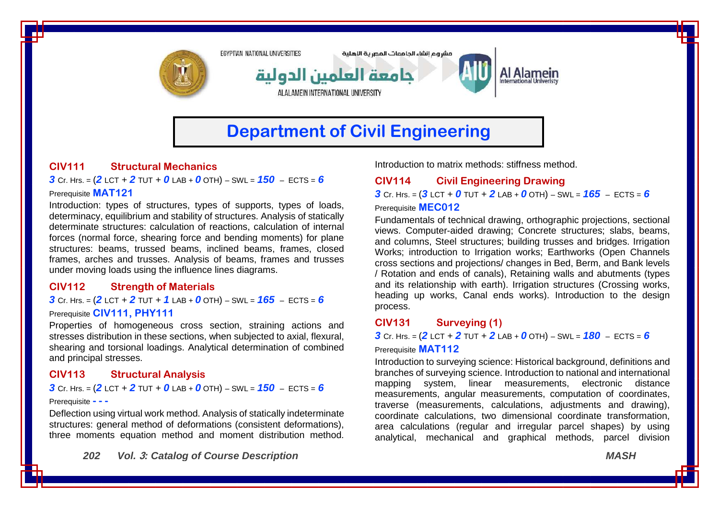

# **CIV111 Structural Mechanics**

*3* Cr. Hrs. = (*2* LCT + *2* TUT + *0* LAB + *0* OTH) – SWL = *150* – ECTS = *6* Prerequisite **MAT121**

Introduction: types of structures, types of supports, types of loads, determinacy, equilibrium and stability of structures. Analysis of statically determinate structures: calculation of reactions, calculation of internal forces (normal force, shearing force and bending moments) for plane structures: beams, trussed beams, inclined beams, frames, closed frames, arches and trusses. Analysis of beams, frames and trusses under moving loads using the influence lines diagrams.

### **CIV112 Strength of Materials**

*3* Cr. Hrs. = (*2* LCT + *2* TUT + *1* LAB + *0* OTH) – SWL = *165* – ECTS = *6*

#### Prerequisite **CIV111, PHY111**

Properties of homogeneous cross section, straining actions and stresses distribution in these sections, when subjected to axial, flexural, shearing and torsional loadings. Analytical determination of combined and principal stresses.

### **CIV113 Structural Analysis**

#### **3** Cr. Hrs. =  $(2$  LCT + 2 TUT + 0 LAB + 0 OTH) – SWL =  $150$  – ECTS = 6

#### Prerequisite **- - -**

Deflection using virtual work method. Analysis of statically indeterminate structures: general method of deformations (consistent deformations), three moments equation method and moment distribution method.

*202 Vol.* **3***: Catalog of Course Description MASH*

Introduction to matrix methods: stiffness method.

# **CIV114 Civil Engineering Drawing**

 $3$  Cr. Hrs. =  $(3$  LCT + 0 TUT + 2 LAB + 0 OTH) – SWL =  $165$  – ECTS = 6

#### Prerequisite **MEC012**

Fundamentals of technical drawing, orthographic projections, sectional views. Computer-aided drawing; Concrete structures; slabs, beams, and columns, Steel structures; building trusses and bridges. Irrigation Works: introduction to Irrigation works: Earthworks (Open Channels cross sections and projections/ changes in Bed, Berm, and Bank levels / Rotation and ends of canals), Retaining walls and abutments (types and its relationship with earth). Irrigation structures (Crossing works, heading up works, Canal ends works). Introduction to the design process.

#### **CIV131 Surveying (1)**

*3* Cr. Hrs. = (*2* LCT + *2* TUT + *2* LAB + *0* OTH) – SWL = *180* – ECTS = *6*

#### Prerequisite **MAT112**

Introduction to surveying science: Historical background, definitions and branches of surveying science. Introduction to national and international mapping system, linear measurements, electronic distance measurements, angular measurements, computation of coordinates, traverse (measurements, calculations, adjustments and drawing), coordinate calculations, two dimensional coordinate transformation, area calculations (regular and irregular parcel shapes) by using analytical, mechanical and graphical methods, parcel division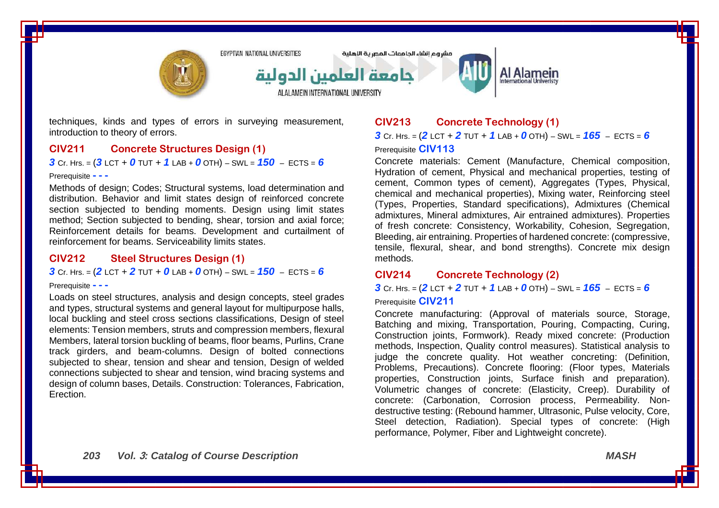

techniques, kinds and types of errors in surveying measurement, introduction to theory of errors.

### **CIV211 Concrete Structures Design (1)**

*3* Cr. Hrs. = (*3* LCT + *0* TUT + *1* LAB + *0* OTH) – SWL = *150* – ECTS = *6*

#### Prerequisite **- - -**

Methods of design; Codes; Structural systems, load determination and distribution. Behavior and limit states design of reinforced concrete section subjected to bending moments. Design using limit states method; Section subjected to bending, shear, torsion and axial force; Reinforcement details for beams. Development and curtailment of reinforcement for beams. Serviceability limits states.

### **CIV212 Steel Structures Design (1)**

*3* Cr. Hrs. = (*2* LCT + *2* TUT + *0* LAB + *0* OTH) – SWL = *150* – ECTS = *6*

#### Prerequisite **- - -**

Loads on steel structures, analysis and design concepts, steel grades and types, structural systems and general layout for multipurpose halls, local buckling and steel cross sections classifications. Design of steel elements: Tension members, struts and compression members, flexural Members, lateral torsion buckling of beams, floor beams, Purlins, Crane track girders, and beam-columns. Design of bolted connections subjected to shear, tension and shear and tension. Design of welded connections subjected to shear and tension, wind bracing systems and design of column bases, Details. Construction: Tolerances, Fabrication, Erection.

# **CIV213 Concrete Technology (1)**

*3* Cr. Hrs. = (*2* LCT + *2* TUT + *1* LAB + *0* OTH) – SWL = *165* – ECTS = *6* Prerequisite **CIV113**

Concrete materials: Cement (Manufacture, Chemical composition, Hydration of cement, Physical and mechanical properties, testing of cement, Common types of cement), Aggregates (Types, Physical, chemical and mechanical properties), Mixing water, Reinforcing steel (Types, Properties, Standard specifications), Admixtures (Chemical admixtures, Mineral admixtures, Air entrained admixtures). Properties of fresh concrete: Consistency, Workability, Cohesion, Segregation, Bleeding, air entraining. Properties of hardened concrete: (compressive, tensile, flexural, shear, and bond strengths). Concrete mix design methods.

### **CIV214 Concrete Technology (2)**

*3* Cr. Hrs. = (*2* LCT + *2* TUT + *1* LAB + *0* OTH) – SWL = *165* – ECTS = *6* Prerequisite **CIV211**

Concrete manufacturing: (Approval of materials source, Storage, Batching and mixing, Transportation, Pouring, Compacting, Curing, Construction joints, Formwork). Ready mixed concrete: (Production methods, Inspection, Quality control measures). Statistical analysis to judge the concrete quality. Hot weather concreting: (Definition, Problems, Precautions). Concrete flooring: (Floor types, Materials properties, Construction joints, Surface finish and preparation). Volumetric changes of concrete: (Elasticity, Creep). Durability of concrete: (Carbonation, Corrosion process, Permeability. Nondestructive testing: (Rebound hammer, Ultrasonic, Pulse velocity, Core, Steel detection, Radiation). Special types of concrete: (High performance, Polymer, Fiber and Lightweight concrete).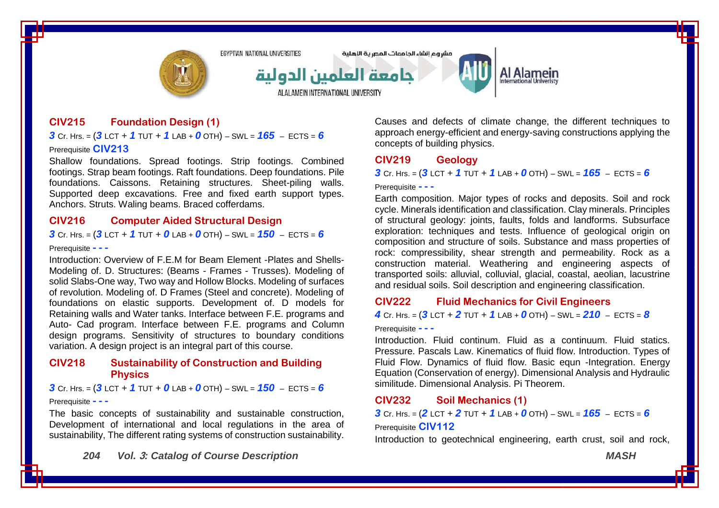

ALALAMEIN INTERNATIONAL UNIVERSITY

مشروع انشاء الحامعات المصرية اللهلية



# Al Alamein

**CIV215 Foundation Design (1)**

*3* Cr. Hrs. = (*3* LCT + *1* TUT + *1* LAB + *0* OTH) – SWL = *165* – ECTS = *6* Prerequisite **CIV213**

Shallow foundations. Spread footings. Strip footings. Combined footings. Strap beam footings. Raft foundations. Deep foundations. Pile foundations. Caissons. Retaining structures. Sheet-piling walls. Supported deep excavations. Free and fixed earth support types. Anchors. Struts. Waling beams. Braced cofferdams.

### **CIV216 Computer Aided Structural Design**

*3* Cr. Hrs. = (*3* LCT + *1* TUT + *0* LAB + *0* OTH) – SWL = *150* – ECTS = *6*

#### Prerequisite **- - -**

Introduction: Overview of F.E.M for Beam Element -Plates and Shells-Modeling of. D. Structures: (Beams - Frames - Trusses). Modeling of solid Slabs-One way, Two way and Hollow Blocks. Modeling of surfaces of revolution. Modeling of. D Frames (Steel and concrete). Modeling of foundations on elastic supports. Development of. D models for Retaining walls and Water tanks. Interface between F.E. programs and Auto- Cad program. Interface between F.E. programs and Column design programs. Sensitivity of structures to boundary conditions variation. A design project is an integral part of this course.

### **CIV218 Sustainability of Construction and Building Physics**

*3* Cr. Hrs. = (*3* LCT + *1* TUT + *0* LAB + *0* OTH) – SWL = *150* – ECTS = *6*

Prerequisite **- - -**

The basic concepts of sustainability and sustainable construction, Development of international and local regulations in the area of sustainability, The different rating systems of construction sustainability.

*204 Vol.* **3***: Catalog of Course Description MASH*

Causes and defects of climate change, the different techniques to approach energy-efficient and energy-saving constructions applying the concepts of building physics.

#### **CIV219 Geology**

*3* Cr. Hrs. = (*3* LCT + *1* TUT + *1* LAB + *0* OTH) – SWL = *165* – ECTS = *6*

#### Prerequisite **- - -**

Earth composition. Major types of rocks and deposits. Soil and rock cycle. Minerals identification and classification. Clay minerals. Principles of structural geology: joints, faults, folds and landforms. Subsurface exploration: techniques and tests. Influence of geological origin on composition and structure of soils. Substance and mass properties of rock: compressibility, shear strength and permeability. Rock as a construction material. Weathering and engineering aspects of transported soils: alluvial, colluvial, glacial, coastal, aeolian, lacustrine and residual soils. Soil description and engineering classification.

#### **CIV222 Fluid Mechanics for Civil Engineers**

*4* Cr. Hrs. = (*3* LCT + *2* TUT + *1* LAB + *0* OTH) – SWL = *210* – ECTS = *8*

Prerequisite **- - -**

Introduction. Fluid continum. Fluid as a continuum. Fluid statics. Pressure. Pascals Law. Kinematics of fluid flow. Introduction. Types of Fluid Flow. Dynamics of fluid flow. Basic equn -Integration. Energy Equation (Conservation of energy). Dimensional Analysis and Hydraulic similitude. Dimensional Analysis. Pi Theorem.

#### **CIV232 Soil Mechanics (1)**

*3* Cr. Hrs. =  $(2$  LCT + 2 TUT + 1 LAB + 0 OTH) – SWL =  $165$  – ECTS = 6 Prerequisite **CIV112**

Introduction to geotechnical engineering, earth crust, soil and rock,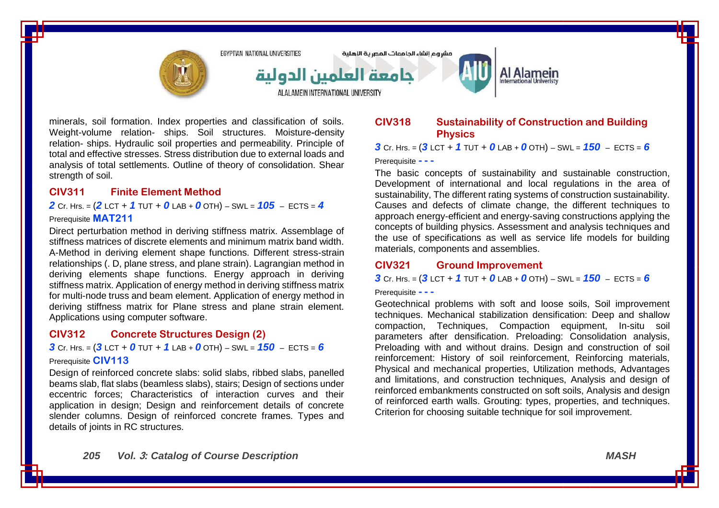

minerals, soil formation. Index properties and classification of soils. Weight-volume relation- ships. Soil structures. Moisture-density relation- ships. Hydraulic soil properties and permeability. Principle of total and effective stresses. Stress distribution due to external loads and analysis of total settlements. Outline of theory of consolidation. Shear strength of soil.

### **CIV311 Finite Element Method**

*2* Cr. Hrs. = (*2* LCT + *1* TUT + *0* LAB + *0* OTH) – SWL = *105* – ECTS = *4*

#### Prerequisite **MAT211**

Direct perturbation method in deriving stiffness matrix. Assemblage of stiffness matrices of discrete elements and minimum matrix band width. A-Method in deriving element shape functions. Different stress-strain relationships (. D, plane stress, and plane strain). Lagrangian method in deriving elements shape functions. Energy approach in deriving stiffness matrix. Application of energy method in deriving stiffness matrix for multi-node truss and beam element. Application of energy method in deriving stiffness matrix for Plane stress and plane strain element. Applications using computer software.

## **CIV312 Concrete Structures Design (2)**

### *3* Cr. Hrs. = (*3* LCT + *0* TUT + *1* LAB + *0* OTH) – SWL = *150* – ECTS = *6* Prerequisite **CIV113**

Design of reinforced concrete slabs: solid slabs, ribbed slabs, panelled beams slab, flat slabs (beamless slabs), stairs; Design of sections under eccentric forces; Characteristics of interaction curves and their application in design; Design and reinforcement details of concrete slender columns. Design of reinforced concrete frames. Types and details of joints in RC structures.

### **CIV318 Sustainability of Construction and Building Physics**

*3* Cr. Hrs. = (*3* LCT + *1* TUT + *0* LAB + *0* OTH) – SWL = *150* – ECTS = *6*

#### Prerequisite **- - -**

The basic concepts of sustainability and sustainable construction, Development of international and local regulations in the area of sustainability, The different rating systems of construction sustainability. Causes and defects of climate change, the different techniques to approach energy-efficient and energy-saving constructions applying the concepts of building physics. Assessment and analysis techniques and the use of specifications as well as service life models for building materials, components and assemblies.

# **CIV321 Ground Improvement**

**3** Cr. Hrs. =  $(3 \text{ LCT} + 1 \text{ TUT} + 0 \text{ LAB} + 0 \text{ OTH}) - \text{SWL} = 150 - \text{ECTS} = 6$ 

#### Prerequisite **- - -**

Geotechnical problems with soft and loose soils, Soil improvement techniques. Mechanical stabilization densification: Deep and shallow compaction, Techniques, Compaction equipment, In-situ soil parameters after densification. Preloading: Consolidation analysis, Preloading with and without drains. Design and construction of soil reinforcement: History of soil reinforcement, Reinforcing materials, Physical and mechanical properties, Utilization methods, Advantages and limitations, and construction techniques, Analysis and design of reinforced embankments constructed on soft soils, Analysis and design of reinforced earth walls. Grouting: types, properties, and techniques. Criterion for choosing suitable technique for soil improvement.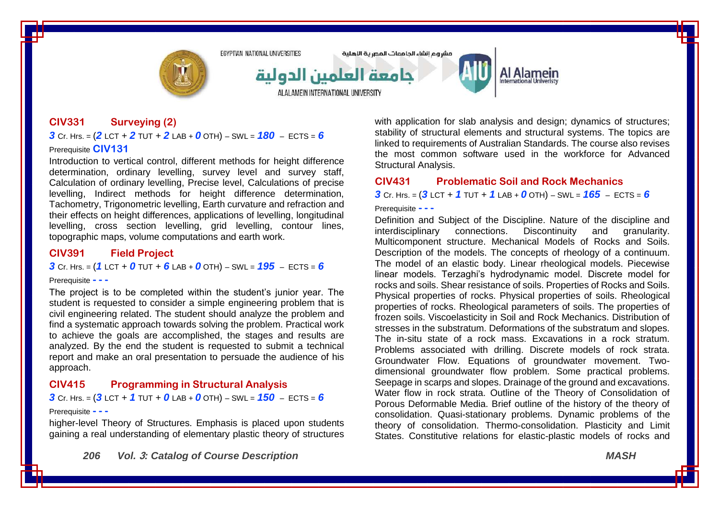

ALALAMEIN INTERNATIONAL UNIVERSITY

مشروع انشاء الحامعات المصرية الاهلية



### **CIV331 Surveying (2)**

### *3* Cr. Hrs. = (*2* LCT + *2* TUT + *2* LAB + *0* OTH) – SWL = *180* – ECTS = *6* Prerequisite **CIV131**

Introduction to vertical control, different methods for height difference determination, ordinary levelling, survey level and survey staff, Calculation of ordinary levelling, Precise level, Calculations of precise levelling, Indirect methods for height difference determination, Tachometry, Trigonometric levelling, Earth curvature and refraction and their effects on height differences, applications of levelling, longitudinal levelling, cross section levelling, grid levelling, contour lines, topographic maps, volume computations and earth work.

### **CIV391 Field Project**

#### *3* Cr. Hrs. =  $(1 \text{ LCT} + 0 \text{ TUT} + 6 \text{ LAB} + 0 \text{ OTH}) - \text{SWL} = 195 - \text{ECTS} = 6$

#### Prerequisite **- - -**

The project is to be completed within the student's junior year. The student is requested to consider a simple engineering problem that is civil engineering related. The student should analyze the problem and find a systematic approach towards solving the problem. Practical work to achieve the goals are accomplished, the stages and results are analyzed. By the end the student is requested to submit a technical report and make an oral presentation to persuade the audience of his approach.

### **CIV415 Programming in Structural Analysis**

*3* Cr. Hrs. = (*3* LCT + *1* TUT + *0* LAB + *0* OTH) – SWL = *150* – ECTS = *6*

#### Prerequisite **- - -**

higher-level Theory of Structures. Emphasis is placed upon students gaining a real understanding of elementary plastic theory of structures

*206 Vol.* **3***: Catalog of Course Description MASH*

with application for slab analysis and design; dynamics of structures; stability of structural elements and structural systems. The topics are linked to requirements of Australian Standards. The course also revises the most common software used in the workforce for Advanced Structural Analysis.

### **CIV431 Problematic Soil and Rock Mechanics**

*3* Cr. Hrs. = (*3* LCT + *1* TUT + *1* LAB + *0* OTH) – SWL = *165* – ECTS = *6*

#### Prerequisite **- - -**

Definition and Subject of the Discipline. Nature of the discipline and interdisciplinary connections. Discontinuity and granularity. interdisciplinary connections. Discontinuity and granularity. Multicomponent structure. Mechanical Models of Rocks and Soils. Description of the models. The concepts of rheology of a continuum. The model of an elastic body. Linear rheological models. Piecewise linear models. Terzaghi's hydrodynamic model. Discrete model for rocks and soils. Shear resistance of soils. Properties of Rocks and Soils. Physical properties of rocks. Physical properties of soils. Rheological properties of rocks. Rheological parameters of soils. The properties of frozen soils. Viscoelasticity in Soil and Rock Mechanics. Distribution of stresses in the substratum. Deformations of the substratum and slopes. The in-situ state of a rock mass. Excavations in a rock stratum. Problems associated with drilling. Discrete models of rock strata. Groundwater Flow. Equations of groundwater movement. Twodimensional groundwater flow problem. Some practical problems. Seepage in scarps and slopes. Drainage of the ground and excavations. Water flow in rock strata. Outline of the Theory of Consolidation of Porous Deformable Media. Brief outline of the history of the theory of consolidation. Quasi-stationary problems. Dynamic problems of the theory of consolidation. Thermo-consolidation. Plasticity and Limit States. Constitutive relations for elastic-plastic models of rocks and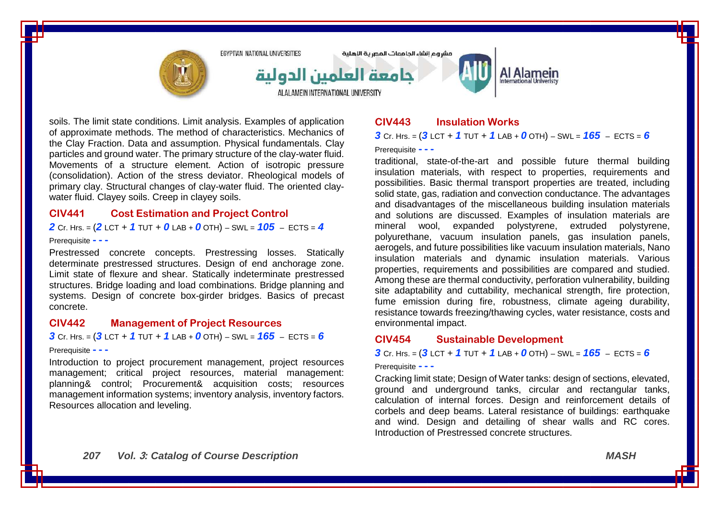

soils. The limit state conditions. Limit analysis. Examples of application of approximate methods. The method of characteristics. Mechanics of the Clay Fraction. Data and assumption. Physical fundamentals. Clay particles and ground water. The primary structure of the clay-water fluid. Movements of a structure element. Action of isotropic pressure (consolidation). Action of the stress deviator. Rheological models of primary clay. Structural changes of clay-water fluid. The oriented claywater fluid. Clayey soils. Creep in clayey soils.

### **CIV441 Cost Estimation and Project Control**

*2* Cr. Hrs. = (*2* LCT + *1* TUT + *0* LAB + *0* OTH) – SWL = *105* – ECTS = *4*

#### Prerequisite **- - -**

Prestressed concrete concepts. Prestressing losses. Statically determinate prestressed structures. Design of end anchorage zone. Limit state of flexure and shear. Statically indeterminate prestressed structures. Bridge loading and load combinations. Bridge planning and systems. Design of concrete box-girder bridges. Basics of precast concrete.

#### **CIV442 Management of Project Resources**

#### *3* Cr. Hrs. = (*3* LCT + *1* TUT + *1* LAB + *0* OTH) – SWL = *165* – ECTS = *6*

#### Prerequisite **- - -**

Introduction to project procurement management, project resources management; critical project resources, material management: planning& control; Procurement& acquisition costs; resources management information systems; inventory analysis, inventory factors. Resources allocation and leveling.

## **CIV443 Insulation Works**

*3* Cr. Hrs. = (*3* LCT + *1* TUT + *1* LAB + *0* OTH) – SWL = *165* – ECTS = *6*

#### Prerequisite **- - -**

traditional, state-of-the-art and possible future thermal building insulation materials, with respect to properties, requirements and possibilities. Basic thermal transport properties are treated, including solid state, gas, radiation and convection conductance. The advantages and disadvantages of the miscellaneous building insulation materials and solutions are discussed. Examples of insulation materials are mineral wool, expanded polystyrene, extruded polystyrene, polyurethane, vacuum insulation panels, gas insulation panels, aerogels, and future possibilities like vacuum insulation materials, Nano insulation materials and dynamic insulation materials. Various properties, requirements and possibilities are compared and studied. Among these are thermal conductivity, perforation vulnerability, building site adaptability and cuttability, mechanical strength, fire protection, fume emission during fire, robustness, climate ageing durability, resistance towards freezing/thawing cycles, water resistance, costs and environmental impact.

#### **CIV454 Sustainable Development**

*3* Cr. Hrs. = (*3* LCT + *1* TUT + *1* LAB + *0* OTH) – SWL = *165* – ECTS = *6*

#### Prerequisite **- - -**

Cracking limit state; Design of Water tanks: design of sections, elevated, ground and underground tanks, circular and rectangular tanks, calculation of internal forces. Design and reinforcement details of corbels and deep beams. Lateral resistance of buildings: earthquake and wind. Design and detailing of shear walls and RC cores. Introduction of Prestressed concrete structures.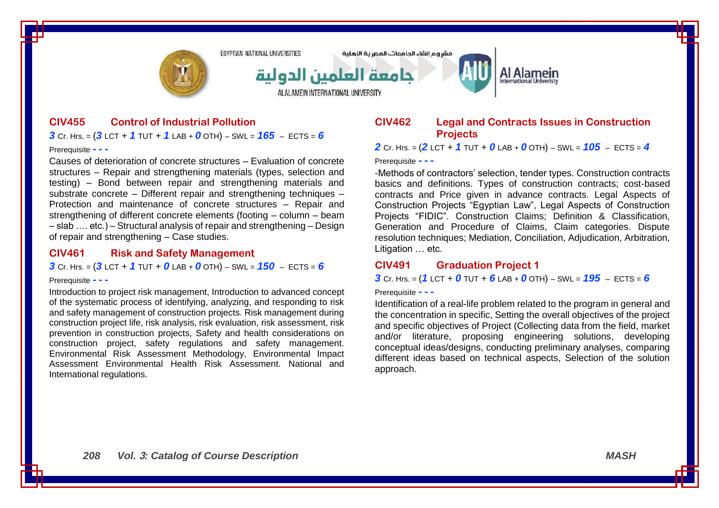

### **CIV455 Control of Industrial Pollution** *3* Cr. Hrs. = (*3* LCT + *1* TUT + *1* LAB + *0* OTH) – SWL = *165* – ECTS = *6*

Prerequisite **- - -**

Causes of deterioration of concrete structures – Evaluation of concrete structures – Repair and strengthening materials (types, selection and testing) – Bond between repair and strengthening materials and substrate concrete – Different repair and strengthening techniques – Protection and maintenance of concrete structures – Repair and strengthening of different concrete elements (footing – column – beam – slab …. etc.) – Structural analysis of repair and strengthening – Design of repair and strengthening – Case studies.

#### **CIV461 Risk and Safety Management**

*3* Cr. Hrs. = (*3* LCT + *1* TUT + *0* LAB + *0* OTH) – SWL = *150* – ECTS = *6*

#### Prerequisite **- - -**

Introduction to project risk management, Introduction to advanced concept of the systematic process of identifying, analyzing, and responding to risk and safety management of construction projects. Risk management during construction project life, risk analysis, risk evaluation, risk assessment, risk prevention in construction projects, Safety and health considerations on construction project, safety regulations and safety management. Environmental Risk Assessment Methodology, Environmental Impact Assessment Environmental Health Risk Assessment. National and International regulations.

### **CIV462 Legal and Contracts Issues in Construction Projects**

*2* Cr. Hrs. = (*2* LCT + *1* TUT + *0* LAB + *0* OTH) – SWL = *105* – ECTS = *4*

#### Prerequisite **- - -**

-Methods of contractors' selection, tender types. Construction contracts basics and definitions. Types of construction contracts; cost-based contracts and Price given in advance contracts. Legal Aspects of Construction Projects "Egyptian Law", Legal Aspects of Construction Projects "FIDIC". Construction Claims; Definition & Classification, Generation and Procedure of Claims, Claim categories. Dispute resolution techniques; Mediation, Conciliation, Adjudication, Arbitration, Litigation … etc.

### **CIV491 Graduation Project 1**

**3** Cr. Hrs. =  $(1 \text{ LCT} + 0 \text{ TUT} + 6 \text{ LAB} + 0 \text{ OTH}) - \text{SWL} = 195 - \text{ECTS} = 6$ 

#### Prerequisite **- - -**

Identification of a real-life problem related to the program in general and the concentration in specific, Setting the overall objectives of the project and specific objectives of Project (Collecting data from the field, market and/or literature, proposing engineering solutions, developing conceptual ideas/designs, conducting preliminary analyses, comparing different ideas based on technical aspects, Selection of the solution approach.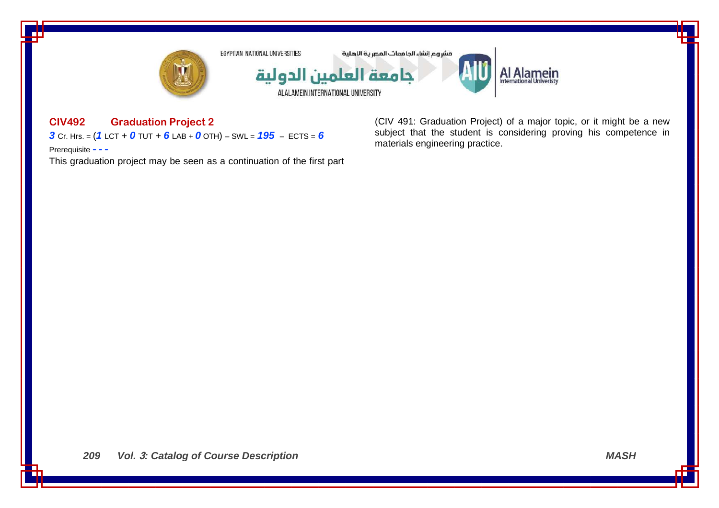

# **CIV492 Graduation Project 2**

*3* Cr. Hrs. = (*1* LCT + *0* TUT + *6* LAB + *0* OTH) – SWL = *195* – ECTS = *6*

Prerequisite **- - -**

This graduation project may be seen as a continuation of the first part

(CIV 491: Graduation Project) of a major topic, or it might be a new subject that the student is considering proving his competence in materials engineering practice.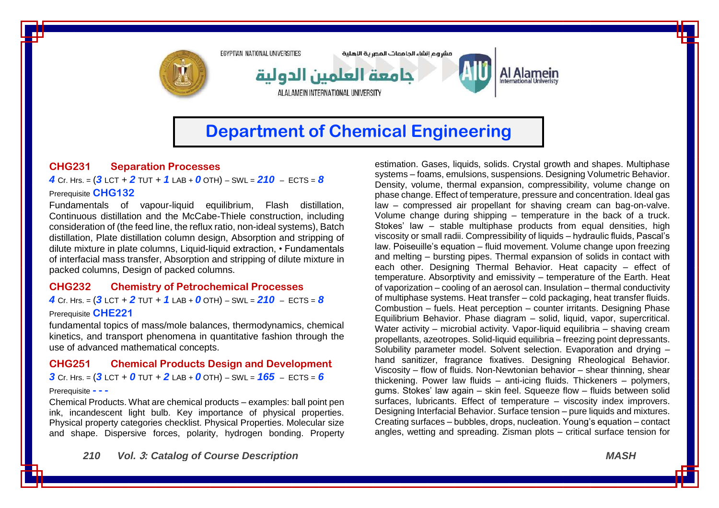

# **Department of Chemical Engineering**

# **CHG231 Separation Processes**

*4* Cr. Hrs. = (*3* LCT + *2* TUT + *1* LAB + *0* OTH) – SWL = *210* – ECTS = *8* Prerequisite **CHG132**

Fundamentals of vapour-liquid equilibrium, Flash distillation, Continuous distillation and the McCabe-Thiele construction, including consideration of (the feed line, the reflux ratio, non-ideal systems), Batch distillation, Plate distillation column design, Absorption and stripping of dilute mixture in plate columns, Liquid-liquid extraction, • Fundamentals of interfacial mass transfer, Absorption and stripping of dilute mixture in packed columns, Design of packed columns.

#### **CHG232 Chemistry of Petrochemical Processes**

*4* Cr. Hrs. = (*3* LCT + *2* TUT + *1* LAB + *0* OTH) – SWL = *210* – ECTS = *8*

#### Prerequisite **CHE221**

fundamental topics of mass/mole balances, thermodynamics, chemical kinetics, and transport phenomena in quantitative fashion through the use of advanced mathematical concepts.

#### **CHG251 Chemical Products Design and Development**

 $3$  Cr. Hrs. =  $(3$  LCT + 0 TUT + 2 LAB + 0 OTH) – SWL =  $165$  – ECTS = 6

#### Prerequisite **- - -**

Chemical Products. What are chemical products – examples: ball point pen ink, incandescent light bulb. Key importance of physical properties. Physical property categories checklist. Physical Properties. Molecular size and shape. Dispersive forces, polarity, hydrogen bonding. Property

estimation. Gases, liquids, solids. Crystal growth and shapes. Multiphase systems – foams, emulsions, suspensions. Designing Volumetric Behavior. Density, volume, thermal expansion, compressibility, volume change on phase change. Effect of temperature, pressure and concentration. Ideal gas law – compressed air propellant for shaving cream can bag-on-valve. Volume change during shipping – temperature in the back of a truck. Stokes' law – stable multiphase products from equal densities, high viscosity or small radii. Compressibility of liquids – hydraulic fluids, Pascal's law. Poiseuille's equation – fluid movement. Volume change upon freezing and melting – bursting pipes. Thermal expansion of solids in contact with each other. Designing Thermal Behavior. Heat capacity – effect of temperature. Absorptivity and emissivity – temperature of the Earth. Heat of vaporization – cooling of an aerosol can. Insulation – thermal conductivity of multiphase systems. Heat transfer – cold packaging, heat transfer fluids. Combustion – fuels. Heat perception – counter irritants. Designing Phase Equilibrium Behavior. Phase diagram – solid, liquid, vapor, supercritical. Water activity – microbial activity. Vapor-liquid equilibria – shaving cream propellants, azeotropes. Solid-liquid equilibria – freezing point depressants. Solubility parameter model. Solvent selection. Evaporation and drying – hand sanitizer, fragrance fixatives. Designing Rheological Behavior. Viscosity – flow of fluids. Non-Newtonian behavior – shear thinning, shear thickening. Power law fluids – anti-icing fluids. Thickeners – polymers, gums. Stokes' law again – skin feel. Squeeze flow – fluids between solid surfaces, lubricants. Effect of temperature – viscosity index improvers. Designing Interfacial Behavior. Surface tension – pure liquids and mixtures. Creating surfaces – bubbles, drops, nucleation. Young's equation – contact angles, wetting and spreading. Zisman plots – critical surface tension for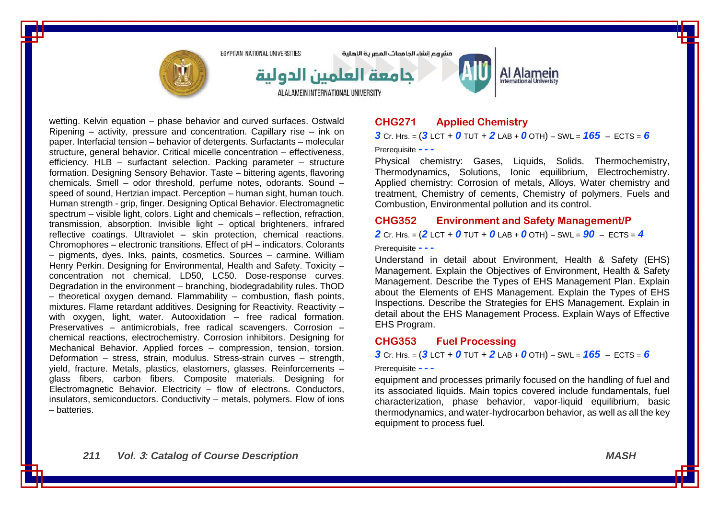

مشروع انشاء الحامعات المصرية الاهلية



Al Alamein

wetting. Kelvin equation – phase behavior and curved surfaces. Ostwald Ripening – activity, pressure and concentration. Capillary rise – ink on paper. Interfacial tension – behavior of detergents. Surfactants – molecular structure, general behavior. Critical micelle concentration – effectiveness, efficiency. HLB – surfactant selection. Packing parameter – structure formation. Designing Sensory Behavior. Taste – bittering agents, flavoring chemicals. Smell – odor threshold, perfume notes, odorants. Sound – speed of sound, Hertzian impact. Perception – human sight, human touch. Human strength - grip, finger. Designing Optical Behavior. Electromagnetic spectrum – visible light, colors. Light and chemicals – reflection, refraction, transmission, absorption. Invisible light – optical brighteners, infrared reflective coatings. Ultraviolet – skin protection, chemical reactions. Chromophores – electronic transitions. Effect of pH – indicators. Colorants – pigments, dyes. Inks, paints, cosmetics. Sources – carmine. William Henry Perkin. Designing for Environmental, Health and Safety. Toxicity – concentration not chemical, LD50, LC50. Dose-response curves. Degradation in the environment – branching, biodegradability rules. ThOD – theoretical oxygen demand. Flammability – combustion, flash points, mixtures. Flame retardant additives. Designing for Reactivity. Reactivity with oxygen, light, water. Autooxidation – free radical formation. Preservatives – antimicrobials, free radical scavengers. Corrosion – chemical reactions, electrochemistry. Corrosion inhibitors. Designing for Mechanical Behavior. Applied forces – compression, tension, torsion. Deformation – stress, strain, modulus. Stress-strain curves – strength, yield, fracture. Metals, plastics, elastomers, glasses. Reinforcements – glass fibers, carbon fibers. Composite materials. Designing for Electromagnetic Behavior. Electricity – flow of electrons. Conductors, insulators, semiconductors. Conductivity – metals, polymers. Flow of ions – batteries.

# **CHG271 Applied Chemistry**

*3* Cr. Hrs. =  $(3$  LCT + 0 TUT + 2 LAB + 0 OTH) – SWL =  $165$  – ECTS = 6

Prerequisite **- - -**

Physical chemistry: Gases, Liquids, Solids. Thermochemistry, Thermodynamics, Solutions, Ionic equilibrium, Electrochemistry. Applied chemistry: Corrosion of metals, Alloys, Water chemistry and treatment, Chemistry of cements, Chemistry of polymers, Fuels and Combustion, Environmental pollution and its control.

#### **CHG352 Environment and Safety Management/P**

*2* Cr. Hrs. = (*2* LCT + *0* TUT + *0* LAB + *0* OTH) – SWL = *90* – ECTS = *4*

Prerequisite **- - -**

Understand in detail about Environment, Health & Safety (EHS) Management. Explain the Objectives of Environment, Health & Safety Management. Describe the Types of EHS Management Plan. Explain about the Elements of EHS Management. Explain the Types of EHS Inspections. Describe the Strategies for EHS Management. Explain in detail about the EHS Management Process. Explain Ways of Effective EHS Program.

### **CHG353 Fuel Processing**

*3* Cr. Hrs. = (*3* LCT + *0* TUT + *2* LAB + *0* OTH) – SWL = *165* – ECTS = *6*

#### Prerequisite **- - -**

equipment and processes primarily focused on the handling of fuel and its associated liquids. Main topics covered include fundamentals, fuel characterization, phase behavior, vapor-liquid equilibrium, basic thermodynamics, and water-hydrocarbon behavior, as well as all the key equipment to process fuel.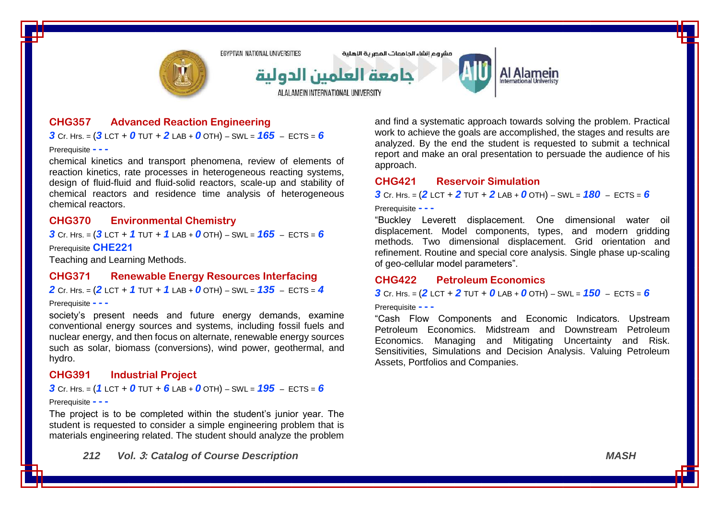

### **CHG357 Advanced Reaction Engineering**

#### $3$  Cr. Hrs. =  $(3$  LCT + 0 TUT + 2 LAB + 0 OTH) – SWL =  $165$  – ECTS = 6

Prerequisite **- - -**

chemical kinetics and transport phenomena, review of elements of reaction kinetics, rate processes in heterogeneous reacting systems, design of fluid-fluid and fluid-solid reactors, scale-up and stability of chemical reactors and residence time analysis of heterogeneous chemical reactors.

### **CHG370 Environmental Chemistry**

*3* Cr. Hrs. = (*3* LCT + *1* TUT + *1* LAB + *0* OTH) – SWL = *165* – ECTS = *6* Prerequisite **CHE221**

Teaching and Learning Methods.

#### **CHG371 Renewable Energy Resources Interfacing**

*2* Cr. Hrs. = (*2* LCT + *1* TUT + *1* LAB + *0* OTH) – SWL = *135* – ECTS = *4*

#### Prerequisite **- - -**

society's present needs and future energy demands, examine conventional energy sources and systems, including fossil fuels and nuclear energy, and then focus on alternate, renewable energy sources such as solar, biomass (conversions), wind power, geothermal, and hydro.

### **CHG391 Industrial Project**

*3* Cr. Hrs. = (*1* LCT + *0* TUT + *6* LAB + *0* OTH) – SWL = *195* – ECTS = *6*

#### Prerequisite **- - -**

The project is to be completed within the student's junior year. The student is requested to consider a simple engineering problem that is materials engineering related. The student should analyze the problem and find a systematic approach towards solving the problem. Practical work to achieve the goals are accomplished, the stages and results are analyzed. By the end the student is requested to submit a technical report and make an oral presentation to persuade the audience of his approach.

# **CHG421 Reservoir Simulation**

*3* Cr. Hrs. = (*2* LCT + *2* TUT + *2* LAB + *0* OTH) – SWL = *180* – ECTS = *6*

#### Prerequisite **- - -**

"Buckley Leverett displacement. One dimensional water oil displacement. Model components, types, and modern gridding methods. Two dimensional displacement. Grid orientation and refinement. Routine and special core analysis. Single phase up-scaling of geo-cellular model parameters".

#### **CHG422 Petroleum Economics**

#### *3* Cr. Hrs. = (*2* LCT + *2* TUT + *0* LAB + *0* OTH) – SWL = *150* – ECTS = *6*

#### Prerequisite **- - -**

"Cash Flow Components and Economic Indicators. Upstream Petroleum Economics. Midstream and Downstream Petroleum Economics. Managing and Mitigating Uncertainty and Risk. Sensitivities, Simulations and Decision Analysis. Valuing Petroleum Assets, Portfolios and Companies.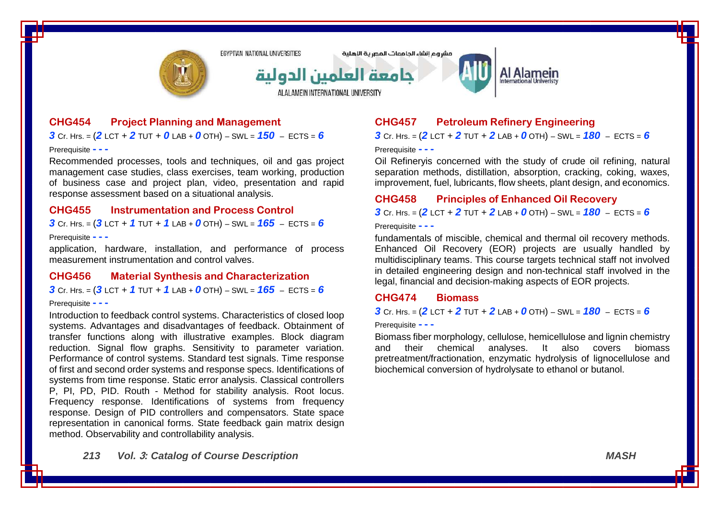

مشروع انشاء الحامعات المصرية الاهلية



# Al Alamein

**CHG454 Project Planning and Management**

*3* Cr. Hrs. =  $(2$  LCT + 2 TUT + 0 LAB + 0 OTH) – SWL =  $150$  – ECTS = 6

Prerequisite **- - -**

Recommended processes, tools and techniques, oil and gas project management case studies, class exercises, team working, production of business case and project plan, video, presentation and rapid response assessment based on a situational analysis.

## **CHG455 Instrumentation and Process Control**

*3* Cr. Hrs. = (*3* LCT + *1* TUT + *1* LAB + *0* OTH) – SWL = *165* – ECTS = *6*

#### Prerequisite **- - -**

application, hardware, installation, and performance of process measurement instrumentation and control valves.

#### **CHG456 Material Synthesis and Characterization**

*3* Cr. Hrs. = (*3* LCT + *1* TUT + *1* LAB + *0* OTH) – SWL = *165* – ECTS = *6*

#### Prerequisite **- - -**

Introduction to feedback control systems. Characteristics of closed loop systems. Advantages and disadvantages of feedback. Obtainment of transfer functions along with illustrative examples. Block diagram reduction. Signal flow graphs. Sensitivity to parameter variation. Performance of control systems. Standard test signals. Time response of first and second order systems and response specs. Identifications of systems from time response. Static error analysis. Classical controllers P, PI, PD, PID. Routh - Method for stability analysis. Root locus. Frequency response. Identifications of systems from frequency response. Design of PID controllers and compensators. State space representation in canonical forms. State feedback gain matrix design method. Observability and controllability analysis.

# **CHG457 Petroleum Refinery Engineering**

*3* Cr. Hrs. = (*2* LCT + *2* TUT + *2* LAB + *0* OTH) – SWL = *180* – ECTS = *6*

Prerequisite **- - -**

Oil Refineryis concerned with the study of crude oil refining, natural separation methods, distillation, absorption, cracking, coking, waxes, improvement, fuel, lubricants, flow sheets, plant design, and economics.

#### **CHG458 Principles of Enhanced Oil Recovery**

 $3$  Cr. Hrs. =  $(2$  LCT +  $2$  TUT +  $2$  LAB +  $0$  OTH) – SWL =  $180$  – ECTS =  $6$ 

Prerequisite **- - -**

fundamentals of miscible, chemical and thermal oil recovery methods. Enhanced Oil Recovery (EOR) projects are usually handled by multidisciplinary teams. This course targets technical staff not involved in detailed engineering design and non-technical staff involved in the legal, financial and decision-making aspects of EOR projects.

#### **CHG474 Biomass**

**3** Cr. Hrs. =  $(2$  LCT + 2 TUT + 2 LAB + 0 OTH) – SWL =  $180 -$  ECTS = 6

Prerequisite **- - -**

Biomass fiber morphology, cellulose, hemicellulose and lignin chemistry and their chemical analyses. It also covers biomass pretreatment/fractionation, enzymatic hydrolysis of lignocellulose and biochemical conversion of hydrolysate to ethanol or butanol.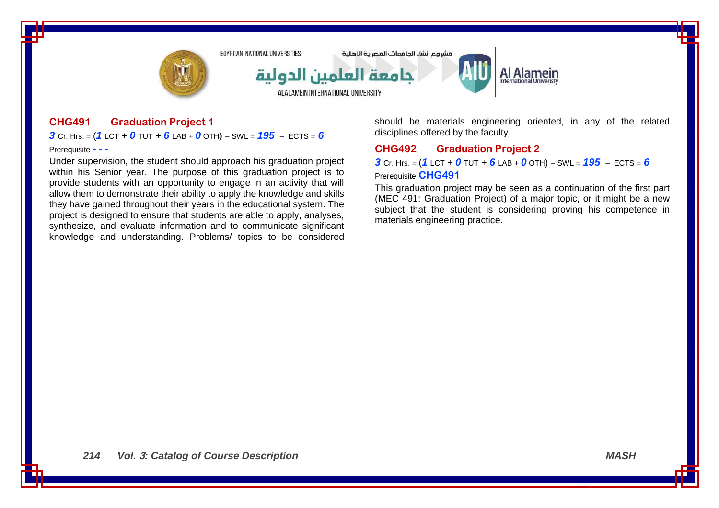

# **CHG491 Graduation Project 1**

*3* Cr. Hrs. = (*1* LCT + *0* TUT + *6* LAB + *0* OTH) – SWL = *195* – ECTS = *6*

Prerequisite **- - -**

Under supervision, the student should approach his graduation project within his Senior year. The purpose of this graduation project is to provide students with an opportunity to engage in an activity that will allow them to demonstrate their ability to apply the knowledge and skills they have gained throughout their years in the educational system. The project is designed to ensure that students are able to apply, analyses, synthesize, and evaluate information and to communicate significant knowledge and understanding. Problems/ topics to be considered should be materials engineering oriented, in any of the related disciplines offered by the faculty.

# **CHG492 Graduation Project 2**

*3* Cr. Hrs. = (*1* LCT + *0* TUT + *6* LAB + *0* OTH) – SWL = *195* – ECTS = *6*

### Prerequisite **CHG491**

This graduation project may be seen as a continuation of the first part (MEC 491: Graduation Project) of a major topic, or it might be a new subject that the student is considering proving his competence in materials engineering practice.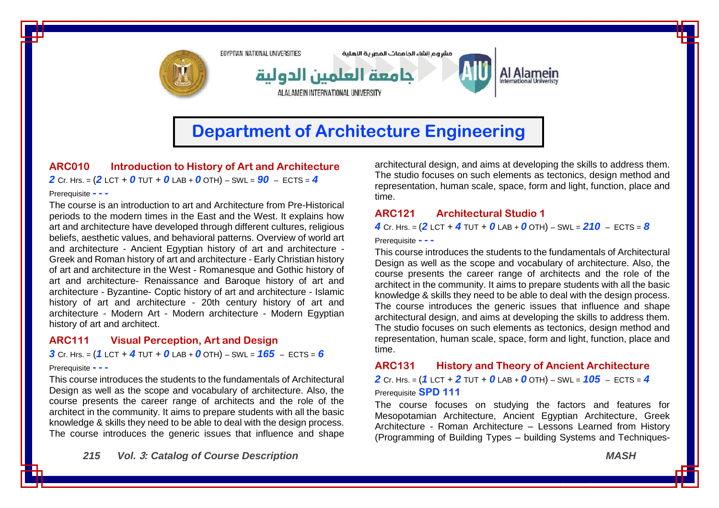

**ARC010 Introduction to History of Art and Architecture** *2* Cr. Hrs. = (*2* LCT + *0* TUT + *0* LAB + *0* OTH) – SWL = *90* – ECTS = *4*

#### Prerequisite **- - -**

The course is an introduction to art and Architecture from Pre-Historical periods to the modern times in the East and the West. It explains how art and architecture have developed through different cultures, religious beliefs, aesthetic values, and behavioral patterns. Overview of world art and architecture - Ancient Egyptian history of art and architecture - Greek and Roman history of art and architecture - Early Christian history of art and architecture in the West - Romanesque and Gothic history of art and architecture- Renaissance and Baroque history of art and architecture - Byzantine- Coptic history of art and architecture - Islamic history of art and architecture - 20th century history of art and architecture - Modern Art - Modern architecture - Modern Egyptian history of art and architect.

#### **ARC111 Visual Perception, Art and Design**

*3* Cr. Hrs. = (*1* LCT + *4* TUT + *0* LAB + *0* OTH) – SWL = *165* – ECTS = *6*

#### Prerequisite **- - -**

This course introduces the students to the fundamentals of Architectural Design as well as the scope and vocabulary of architecture. Also, the course presents the career range of architects and the role of the architect in the community. It aims to prepare students with all the basic knowledge & skills they need to be able to deal with the design process. The course introduces the generic issues that influence and shape

*215 Vol.* **3***: Catalog of Course Description MASH*

architectural design, and aims at developing the skills to address them. The studio focuses on such elements as tectonics, design method and representation, human scale, space, form and light, function, place and time.

### **ARC121 Architectural Studio 1**

*4* Cr. Hrs. = (*2* LCT + *4* TUT + *0* LAB + *0* OTH) – SWL = *210* – ECTS = *8*

Prerequisite **- - -**

This course introduces the students to the fundamentals of Architectural Design as well as the scope and vocabulary of architecture. Also, the course presents the career range of architects and the role of the architect in the community. It aims to prepare students with all the basic knowledge & skills they need to be able to deal with the design process. The course introduces the generic issues that influence and shape architectural design, and aims at developing the skills to address them. The studio focuses on such elements as tectonics, design method and representation, human scale, space, form and light, function, place and time.

#### **ARC131 History and Theory of Ancient Architecture**

*2* Cr. Hrs. = (*1* LCT + *2* TUT + *0* LAB + *0* OTH) – SWL = *105* – ECTS = *4* Prerequisite **SPD 111**

The course focuses on studying the factors and features for Mesopotamian Architecture, Ancient Egyptian Architecture, Greek Architecture - Roman Architecture – Lessons Learned from History (Programming of Building Types – building Systems and Techniques-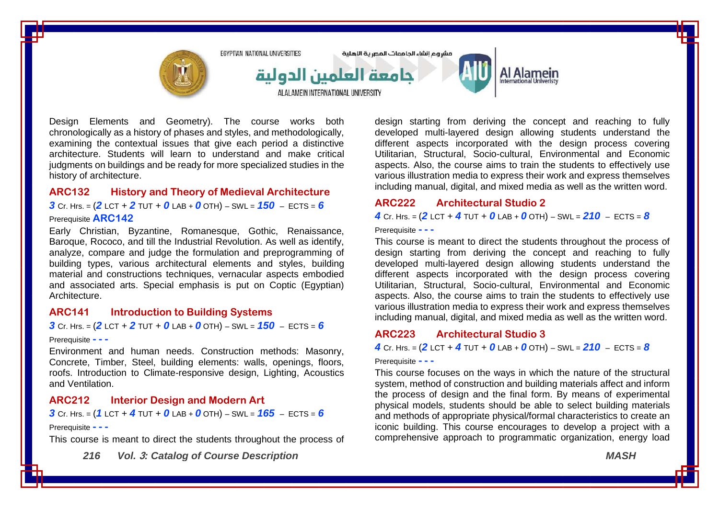

Design Elements and Geometry). The course works both chronologically as a history of phases and styles, and methodologically, examining the contextual issues that give each period a distinctive architecture. Students will learn to understand and make critical judgments on buildings and be ready for more specialized studies in the history of architecture.

# **ARC132 History and Theory of Medieval Architecture**

*3* Cr. Hrs. = (*2* LCT + *2* TUT + *0* LAB + *0* OTH) – SWL = *150* – ECTS = *6*

#### Prerequisite **ARC142**

Early Christian, Byzantine, Romanesque, Gothic, Renaissance, Baroque, Rococo, and till the Industrial Revolution. As well as identify, analyze, compare and judge the formulation and preprogramming of building types, various architectural elements and styles, building material and constructions techniques, vernacular aspects embodied and associated arts. Special emphasis is put on Coptic (Egyptian) Architecture.

### **ARC141 Introduction to Building Systems**

*3* Cr. Hrs. = (*2* LCT + *2* TUT + *0* LAB + *0* OTH) – SWL = *150* – ECTS = *6*

#### Prerequisite **- - -**

Environment and human needs. Construction methods: Masonry, Concrete, Timber, Steel, building elements: walls, openings, floors, roofs. Introduction to Climate-responsive design, Lighting, Acoustics and Ventilation.

### **ARC212 Interior Design and Modern Art**

*3* Cr. Hrs. = (*1* LCT + *4* TUT + *0* LAB + *0* OTH) – SWL = *165* – ECTS = *6*

#### Prerequisite **- - -**

This course is meant to direct the students throughout the process of

*216 Vol.* **3***: Catalog of Course Description MASH*

design starting from deriving the concept and reaching to fully developed multi-layered design allowing students understand the different aspects incorporated with the design process covering Utilitarian, Structural, Socio-cultural, Environmental and Economic aspects. Also, the course aims to train the students to effectively use various illustration media to express their work and express themselves including manual, digital, and mixed media as well as the written word.

## **ARC222 Architectural Studio 2**

*4* Cr. Hrs. = (*2* LCT + *4* TUT + *0* LAB + *0* OTH) – SWL = *210* – ECTS = *8*

Prerequisite **- - -**

This course is meant to direct the students throughout the process of design starting from deriving the concept and reaching to fully developed multi-layered design allowing students understand the different aspects incorporated with the design process covering Utilitarian, Structural, Socio-cultural, Environmental and Economic aspects. Also, the course aims to train the students to effectively use various illustration media to express their work and express themselves including manual, digital, and mixed media as well as the written word.

### **ARC223 Architectural Studio 3**

*4* Cr. Hrs. =  $(2$  LCT + *4* TUT + *0* LAB + *0* OTH) – SWL =  $210$  – ECTS =  $8$ 

#### Prerequisite **- - -**

This course focuses on the ways in which the nature of the structural system, method of construction and building materials affect and inform the process of design and the final form. By means of experimental physical models, students should be able to select building materials and methods of appropriate physical/formal characteristics to create an iconic building. This course encourages to develop a project with a comprehensive approach to programmatic organization, energy load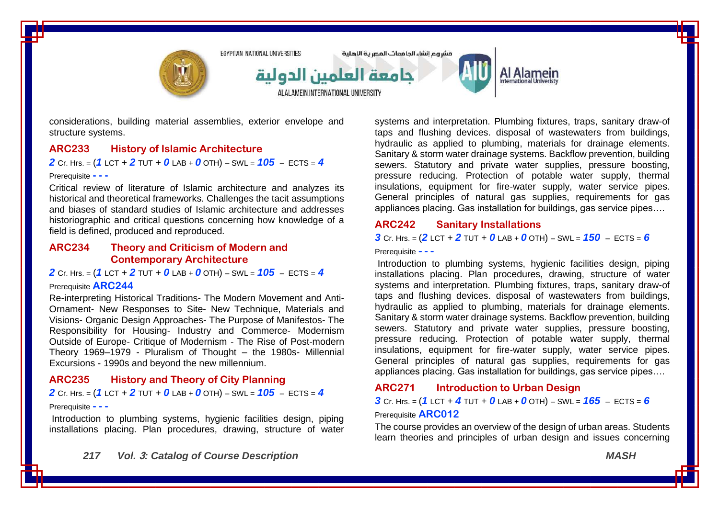

considerations, building material assemblies, exterior envelope and structure systems.

#### **ARC233 History of Islamic Architecture**

#### *2* Cr. Hrs. = (*1* LCT + *2* TUT + *0* LAB + *0* OTH) – SWL = *105* – ECTS = *4*

#### Prerequisite **- - -**

Critical review of literature of Islamic architecture and analyzes its historical and theoretical frameworks. Challenges the tacit assumptions and biases of standard studies of Islamic architecture and addresses historiographic and critical questions concerning how knowledge of a field is defined, produced and reproduced.

#### **ARC234 Theory and Criticism of Modern and Contemporary Architecture**

*2* Cr. Hrs. = (*1* LCT + *2* TUT + *0* LAB + *0* OTH) – SWL = *105* – ECTS = *4*

#### Prerequisite **ARC244**

Re-interpreting Historical Traditions- The Modern Movement and Anti-Ornament- New Responses to Site- New Technique, Materials and Visions- Organic Design Approaches- The Purpose of Manifestos- The Responsibility for Housing- Industry and Commerce- Modernism Outside of Europe- Critique of Modernism - The Rise of Post-modern Theory 1969–1979 - Pluralism of Thought – the 1980s- Millennial Excursions - 1990s and beyond the new millennium.

### **ARC235 History and Theory of City Planning**

*2* Cr. Hrs. = (*1* LCT + *2* TUT + *0* LAB + *0* OTH) – SWL = *105* – ECTS = *4* Prerequisite **- - -**

Introduction to plumbing systems, hygienic facilities design, piping installations placing. Plan procedures, drawing, structure of water systems and interpretation. Plumbing fixtures, traps, sanitary draw-of taps and flushing devices. disposal of wastewaters from buildings, hydraulic as applied to plumbing, materials for drainage elements. Sanitary & storm water drainage systems. Backflow prevention, building sewers. Statutory and private water supplies, pressure boosting, pressure reducing. Protection of potable water supply, thermal insulations, equipment for fire-water supply, water service pipes. General principles of natural gas supplies, requirements for gas appliances placing. Gas installation for buildings, gas service pipes….

### **ARC242 Sanitary Installations**

**3** Cr. Hrs. =  $(2$  LCT + 2 TUT + 0 LAB + 0 OTH) – SWL =  $150$  – ECTS = 6

Prerequisite **- - -**

Introduction to plumbing systems, hygienic facilities design, piping installations placing. Plan procedures, drawing, structure of water systems and interpretation. Plumbing fixtures, traps, sanitary draw-of taps and flushing devices. disposal of wastewaters from buildings, hydraulic as applied to plumbing, materials for drainage elements. Sanitary & storm water drainage systems. Backflow prevention, building sewers. Statutory and private water supplies, pressure boosting, pressure reducing. Protection of potable water supply, thermal insulations, equipment for fire-water supply, water service pipes. General principles of natural gas supplies, requirements for gas appliances placing. Gas installation for buildings, gas service pipes….

#### **ARC271 Introduction to Urban Design**

*3* Cr. Hrs. = (*1* LCT + *4* TUT + *0* LAB + *0* OTH) – SWL = *165* – ECTS = *6*

#### Prerequisite **ARC012**

The course provides an overview of the design of urban areas. Students learn theories and principles of urban design and issues concerning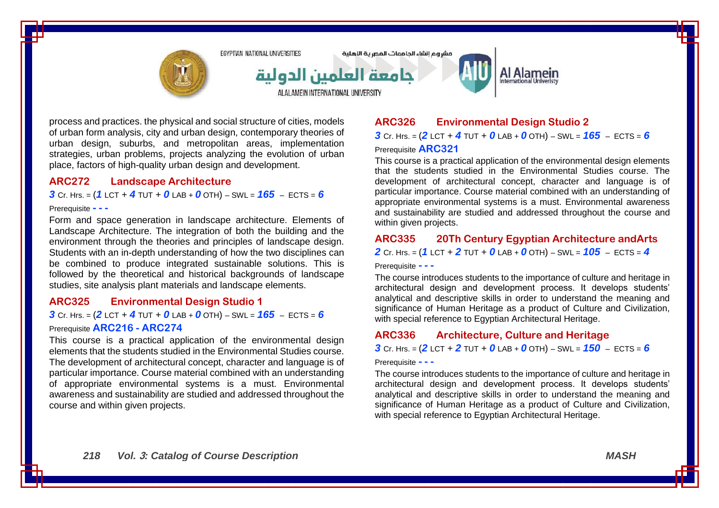

process and practices. the physical and social structure of cities, models of urban form analysis, city and urban design, contemporary theories of urban design, suburbs, and metropolitan areas, implementation strategies, urban problems, projects analyzing the evolution of urban place, factors of high-quality urban design and development.

### **ARC272 Landscape Architecture**

*3* Cr. Hrs. = (*1* LCT + *4* TUT + *0* LAB + *0* OTH) – SWL = *165* – ECTS = *6*

#### Prerequisite **- - -**

Form and space generation in landscape architecture. Elements of Landscape Architecture. The integration of both the building and the environment through the theories and principles of landscape design. Students with an in-depth understanding of how the two disciplines can be combined to produce integrated sustainable solutions. This is followed by the theoretical and historical backgrounds of landscape studies, site analysis plant materials and landscape elements.

### **ARC325 Environmental Design Studio 1**

# *3* Cr. Hrs. = (*2* LCT + *4* TUT + *0* LAB + *0* OTH) – SWL = *165* – ECTS = *6* Prerequisite **ARC216 - ARC274**

This course is a practical application of the environmental design elements that the students studied in the Environmental Studies course. The development of architectural concept, character and language is of particular importance. Course material combined with an understanding of appropriate environmental systems is a must. Environmental awareness and sustainability are studied and addressed throughout the course and within given projects.

# **ARC326 Environmental Design Studio 2**

*3* Cr. Hrs. = (*2* LCT + *4* TUT + *0* LAB + *0* OTH) – SWL = *165* – ECTS = *6* Prerequisite **ARC321**

This course is a practical application of the environmental design elements that the students studied in the Environmental Studies course. The development of architectural concept, character and language is of particular importance. Course material combined with an understanding of appropriate environmental systems is a must. Environmental awareness and sustainability are studied and addressed throughout the course and within given projects.

### **ARC335 20Th Century Egyptian Architecture andArts**

*2* Cr. Hrs. = (*1* LCT + *2* TUT + *0* LAB + *0* OTH) – SWL = *105* – ECTS = *4*

Prerequisite **- - -**

The course introduces students to the importance of culture and heritage in architectural design and development process. It develops students' analytical and descriptive skills in order to understand the meaning and significance of Human Heritage as a product of Culture and Civilization, with special reference to Egyptian Architectural Heritage.

# **ARC336 Architecture, Culture and Heritage**

*3* Cr. Hrs. = (*2* LCT + *2* TUT + *0* LAB + *0* OTH) – SWL = *150* – ECTS = *6*

#### Prerequisite **- - -**

The course introduces students to the importance of culture and heritage in architectural design and development process. It develops students' analytical and descriptive skills in order to understand the meaning and significance of Human Heritage as a product of Culture and Civilization, with special reference to Egyptian Architectural Heritage.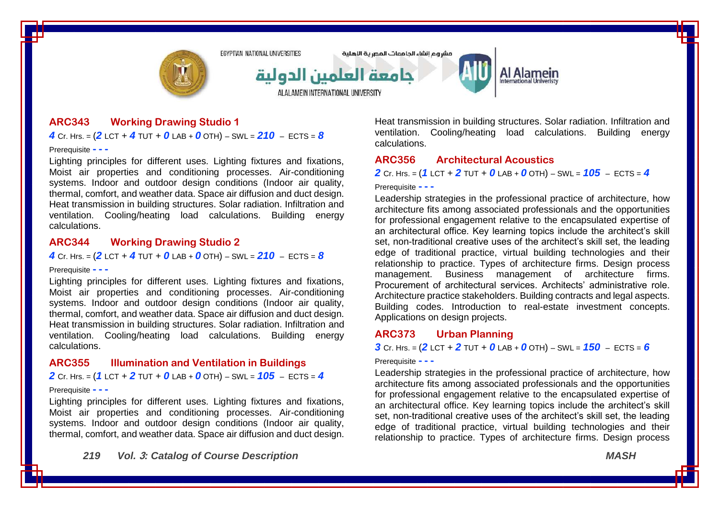

## **ARC343 Working Drawing Studio 1**

*4* Cr. Hrs. =  $(2$  LCT + *4* TUT + *0* LAB + *0* OTH) – SWL =  $210$  – ECTS =  $8$ 

Prerequisite **- - -**

Lighting principles for different uses. Lighting fixtures and fixations, Moist air properties and conditioning processes. Air-conditioning systems. Indoor and outdoor design conditions (Indoor air quality, thermal, comfort, and weather data. Space air diffusion and duct design. Heat transmission in building structures. Solar radiation. Infiltration and ventilation. Cooling/heating load calculations. Building energy calculations.

### **ARC344 Working Drawing Studio 2**

*4* Cr. Hrs. = (*2* LCT + *4* TUT + *0* LAB + *0* OTH) – SWL = *210* – ECTS = *8*

#### Prerequisite **- - -**

Lighting principles for different uses. Lighting fixtures and fixations, Moist air properties and conditioning processes. Air-conditioning systems. Indoor and outdoor design conditions (Indoor air quality, thermal, comfort, and weather data. Space air diffusion and duct design. Heat transmission in building structures. Solar radiation. Infiltration and ventilation. Cooling/heating load calculations. Building energy calculations.

#### **ARC355 Illumination and Ventilation in Buildings**

*2* Cr. Hrs. = (*1* LCT + *2* TUT + *0* LAB + *0* OTH) – SWL = *105* – ECTS = *4*

#### Prerequisite **- - -**

Lighting principles for different uses. Lighting fixtures and fixations, Moist air properties and conditioning processes. Air-conditioning systems. Indoor and outdoor design conditions (Indoor air quality, thermal, comfort, and weather data. Space air diffusion and duct design.

*219 Vol.* **3***: Catalog of Course Description MASH*

Heat transmission in building structures. Solar radiation. Infiltration and ventilation. Cooling/heating load calculations. Building energy calculations.

### **ARC356 Architectural Acoustics**

*2* Cr. Hrs. = (*1* LCT + *2* TUT + *0* LAB + *0* OTH) – SWL = *105* – ECTS = *4*

#### Prerequisite **- - -**

Leadership strategies in the professional practice of architecture, how architecture fits among associated professionals and the opportunities for professional engagement relative to the encapsulated expertise of an architectural office. Key learning topics include the architect's skill set, non-traditional creative uses of the architect's skill set, the leading edge of traditional practice, virtual building technologies and their relationship to practice. Types of architecture firms. Design process management. Business management of architecture firms. Procurement of architectural services. Architects' administrative role. Architecture practice stakeholders. Building contracts and legal aspects. Building codes. Introduction to real-estate investment concepts. Applications on design projects.

#### **ARC373 Urban Planning**

**3** Cr. Hrs. =  $(2$  LCT + 2 TUT + 0 LAB + 0 OTH) – SWL =  $150$  – ECTS = 6

#### Prerequisite **- - -**

Leadership strategies in the professional practice of architecture, how architecture fits among associated professionals and the opportunities for professional engagement relative to the encapsulated expertise of an architectural office. Key learning topics include the architect's skill set, non-traditional creative uses of the architect's skill set, the leading edge of traditional practice, virtual building technologies and their relationship to practice. Types of architecture firms. Design process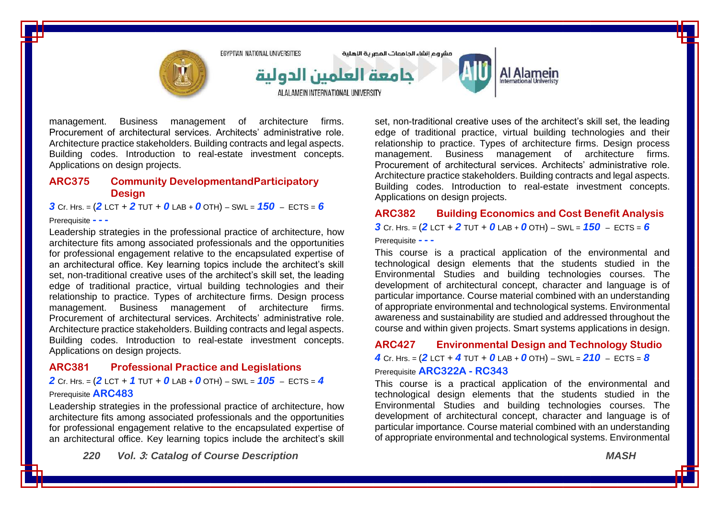

management. Business management of architecture firms. Procurement of architectural services. Architects' administrative role. Architecture practice stakeholders. Building contracts and legal aspects. Building codes. Introduction to real-estate investment concepts. Applications on design projects.

### **ARC375 Community DevelopmentandParticipatory Design**

*3* Cr. Hrs. = (*2* LCT + *2* TUT + *0* LAB + *0* OTH) – SWL = *150* – ECTS = *6*

#### Prerequisite **- - -**

Leadership strategies in the professional practice of architecture, how architecture fits among associated professionals and the opportunities for professional engagement relative to the encapsulated expertise of an architectural office. Key learning topics include the architect's skill set, non-traditional creative uses of the architect's skill set, the leading edge of traditional practice, virtual building technologies and their relationship to practice. Types of architecture firms. Design process management. Business management of architecture firms. Procurement of architectural services. Architects' administrative role. Architecture practice stakeholders. Building contracts and legal aspects. Building codes. Introduction to real-estate investment concepts. Applications on design projects.

#### **ARC381 Professional Practice and Legislations**

*2* Cr. Hrs. = (*2* LCT + *1* TUT + *0* LAB + *0* OTH) – SWL = *105* – ECTS = *4*

#### Prerequisite **ARC483**

Leadership strategies in the professional practice of architecture, how architecture fits among associated professionals and the opportunities for professional engagement relative to the encapsulated expertise of an architectural office. Key learning topics include the architect's skill

*220 Vol.* **3***: Catalog of Course Description MASH*

set, non-traditional creative uses of the architect's skill set, the leading edge of traditional practice, virtual building technologies and their relationship to practice. Types of architecture firms. Design process management. Business management of architecture firms. Procurement of architectural services. Architects' administrative role. Architecture practice stakeholders. Building contracts and legal aspects. Building codes. Introduction to real-estate investment concepts. Applications on design projects.

# **ARC382 Building Economics and Cost Benefit Analysis 3** Cr. Hrs. =  $(2$  LCT + 2 TUT + 0 LAB + 0 OTH) – SWL =  $150$  – ECTS = 6

#### Prerequisite **- - -**

This course is a practical application of the environmental and technological design elements that the students studied in the Environmental Studies and building technologies courses. The development of architectural concept, character and language is of particular importance. Course material combined with an understanding of appropriate environmental and technological systems. Environmental awareness and sustainability are studied and addressed throughout the course and within given projects. Smart systems applications in design.

# **ARC427 Environmental Design and Technology Studio** *4* Cr. Hrs. = (*2* LCT + *4* TUT + *0* LAB + *0* OTH) – SWL = *210* – ECTS = *8*

# Prerequisite **ARC322A - RC343**

This course is a practical application of the environmental and technological design elements that the students studied in the Environmental Studies and building technologies courses. The development of architectural concept, character and language is of particular importance. Course material combined with an understanding of appropriate environmental and technological systems. Environmental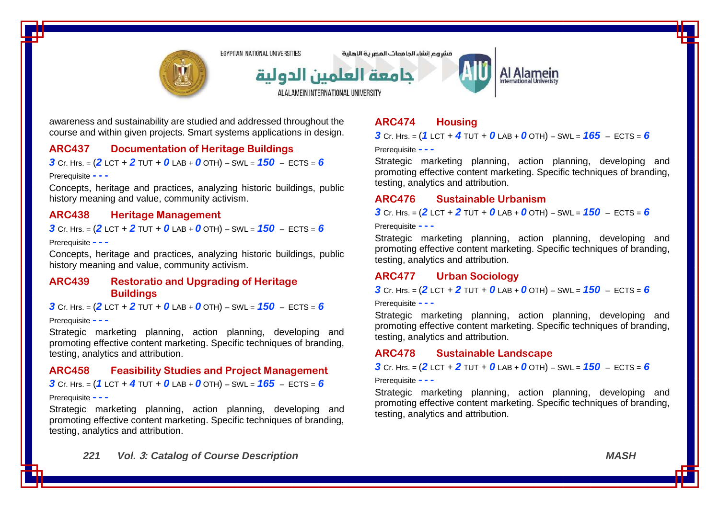

مشروع انشاء الحاممات المصرية اللهلية

جامعة العلمين الدولية

ALALAMEIN INTERNATIONAL UNIVERSITY



awareness and sustainability are studied and addressed throughout the course and within given projects. Smart systems applications in design.

## **ARC437 Documentation of Heritage Buildings**

**3** Cr. Hrs. =  $(2$  LCT + 2 TUT + 0 LAB + 0 OTH) – SWL =  $150$  – ECTS = 6

#### Prerequisite **- - -**

Concepts, heritage and practices, analyzing historic buildings, public history meaning and value, community activism.

### **ARC438 Heritage Management**

*3* Cr. Hrs. = (*2* LCT + *2* TUT + *0* LAB + *0* OTH) – SWL = *150* – ECTS = *6*

#### Prerequisite **- - -**

Concepts, heritage and practices, analyzing historic buildings, public history meaning and value, community activism.

### **ARC439 Restoratio and Upgrading of Heritage Buildings**

**3** Cr. Hrs. =  $(2$  LCT + 2 TUT + 0 LAB + 0 OTH) – SWL =  $150$  – ECTS = 6

#### Prerequisite **- - -**

Strategic marketing planning, action planning, developing and promoting effective content marketing. Specific techniques of branding, testing, analytics and attribution.

#### **ARC458 Feasibility Studies and Project Management**

*3* Cr. Hrs. = (*1* LCT + *4* TUT + *0* LAB + *0* OTH) – SWL = *165* – ECTS = *6*

#### Prerequisite **- - -**

Strategic marketing planning, action planning, developing and promoting effective content marketing. Specific techniques of branding, testing, analytics and attribution.

# **ARC474 Housing**

*3* Cr. Hrs. = (*1* LCT + *4* TUT + *0* LAB + *0* OTH) – SWL = *165* – ECTS = *6*

#### Prerequisite **- - -**

Strategic marketing planning, action planning, developing and promoting effective content marketing. Specific techniques of branding, testing, analytics and attribution.

#### **ARC476 Sustainable Urbanism**

*3* Cr. Hrs. = (*2* LCT + *2* TUT + *0* LAB + *0* OTH) – SWL = *150* – ECTS = *6*

Prerequisite **- - -**

Strategic marketing planning, action planning, developing and promoting effective content marketing. Specific techniques of branding, testing, analytics and attribution.

### **ARC477 Urban Sociology**

*3* Cr. Hrs. = (*2* LCT + *2* TUT + *0* LAB + *0* OTH) – SWL = *150* – ECTS = *6*

Prerequisite **- - -**

Strategic marketing planning, action planning, developing and promoting effective content marketing. Specific techniques of branding, testing, analytics and attribution.

#### **ARC478 Sustainable Landscape**

**3** Cr. Hrs. =  $(2$  LCT + 2 TUT + 0 LAB + 0 OTH) – SWL =  $150$  – ECTS = 6

Prerequisite **- - -**

Strategic marketing planning, action planning, developing and promoting effective content marketing. Specific techniques of branding, testing, analytics and attribution.